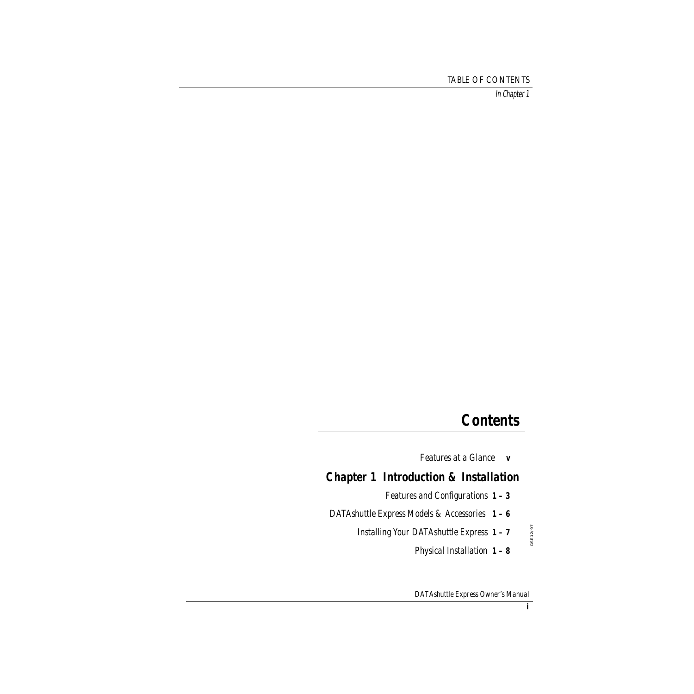In Chapter 1

### *Contents*

*Features at a Glance v*

### *Chapter 1 Introduction & Installation*

- *Features and Configurations 1 3*
- *DATAshuttle Express Models & Accessories 1 6*
	- *Installing Your DATAshuttle Express 1 7*
		- *Physical Installation 1 8*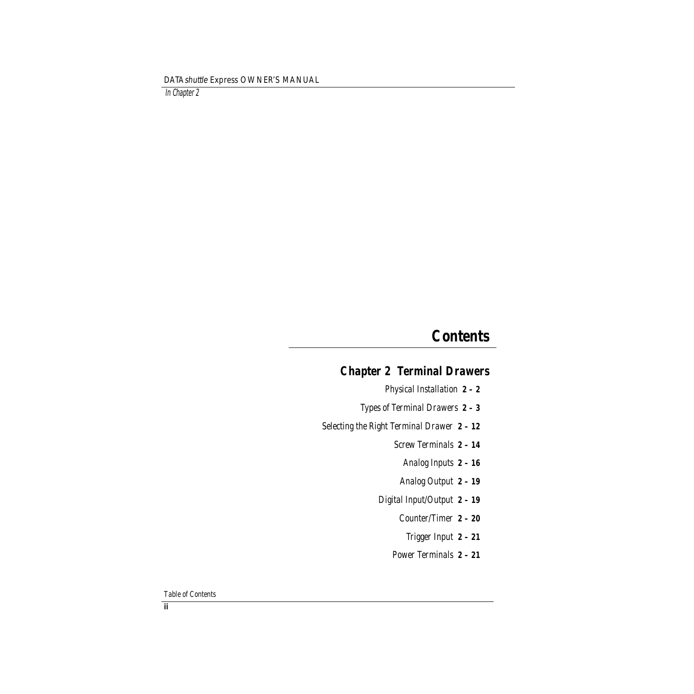In Chapter 2

### *Contents*

### *Chapter 2 Terminal Drawers*

- *Physical Installation 2 2*
- *Types of Terminal Drawers 2 3*
- *Selecting the Right Terminal Drawer 2 12*
	- *Screw Terminals 2 14*
		- *Analog Inputs 2 16*
		- *Analog Output 2 19*
	- *Digital Input/Output 2 19*
		- *Counter/Timer 2 20*
			- *Trigger Input 2 21*
		- *Power Terminals 2 21*

*Table of Contents*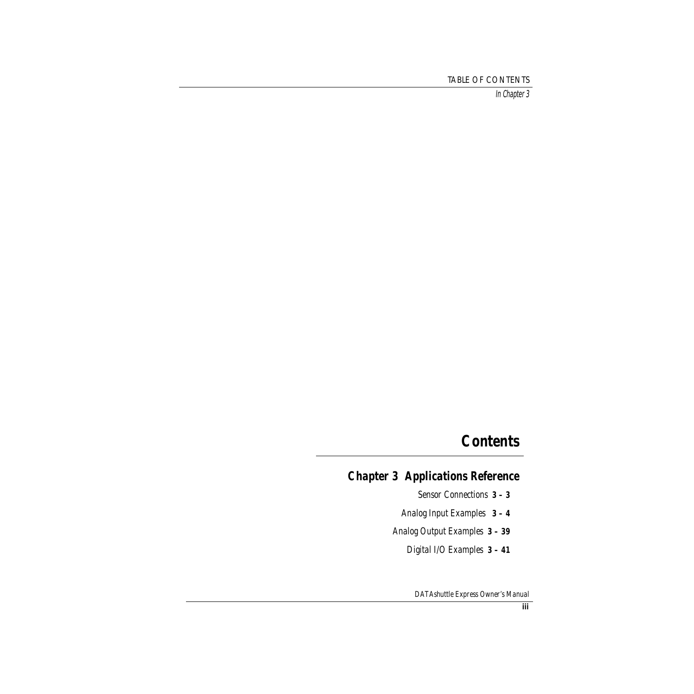In Chapter 3

### *Contents*

### *Chapter 3 Applications Reference*

- *Sensor Connections 3 3*
- *Analog Input Examples 3 4*
- *Analog Output Examples 3 39*
	- *Digital I/O Examples 3 41*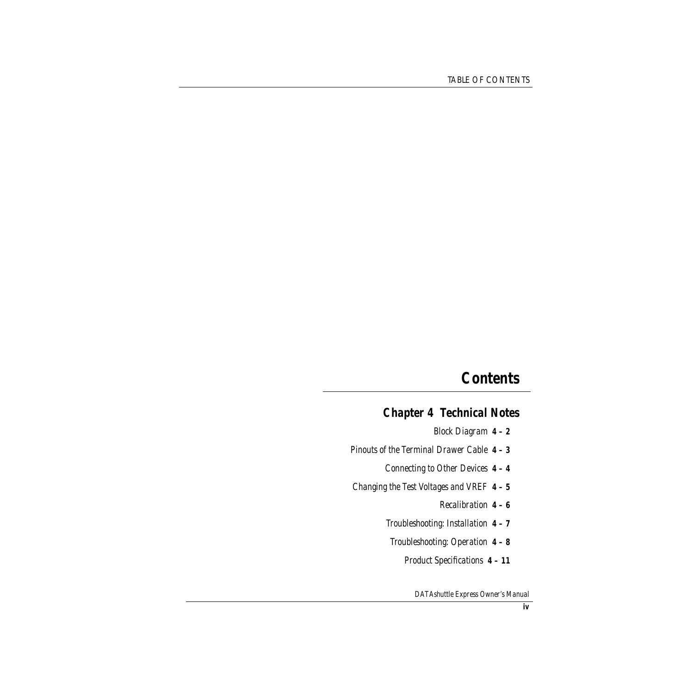### *Contents*

### *Chapter 4 Technical Notes*

- *Block Diagram 4 2*
- *Pinouts of the Terminal Drawer Cable 4 3*
	- *Connecting to Other Devices 4 4*
- *Changing the Test Voltages and VREF 4 5*
	- *Recalibration 4 6*
	- *Troubleshooting: Installation 4 7*
	- *Troubleshooting: Operation 4 8*
		- *Product Specifications 4 11*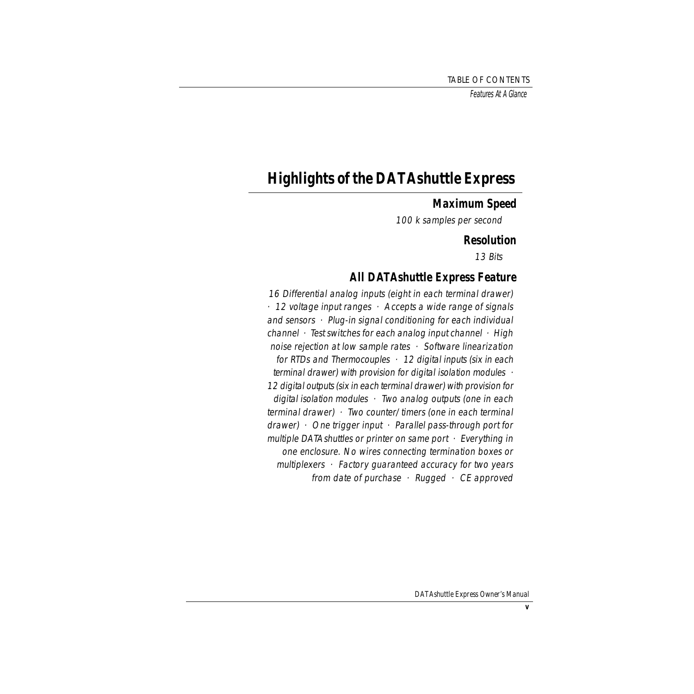## *Highlights of the DATAshuttle Express*

### *Maximum Speed*

100 k samples per second

### *Resolution*

13 Bits

### *All DATAshuttle Express Feature*

16 Differential analog inputs (eight in each terminal drawer) · 12 voltage input ranges · Accepts a wide range of signals and sensors  $\cdot$  Plug-in signal conditioning for each individual channel  $\cdot$  Test switches for each analog input channel  $\cdot$  High noise rejection at low sample rates · Software linearization for RTDs and Thermocouples  $\cdot$  12 digital inputs (six in each terminal drawer) with provision for digital isolation modules · 12 digital outputs (six in each terminal drawer) with provision for digital isolation modules  $\cdot$  Two analog outputs (one in each terminal drawer) · Two counter/timers (one in each terminal drawer) · One trigger input · Parallel pass-through port for multiple DATAshuttles or printer on same port · Everything in one enclosure. No wires connecting termination boxes or multiplexers · Factory guaranteed accuracy for two years from date of purchase · Rugged · CE approved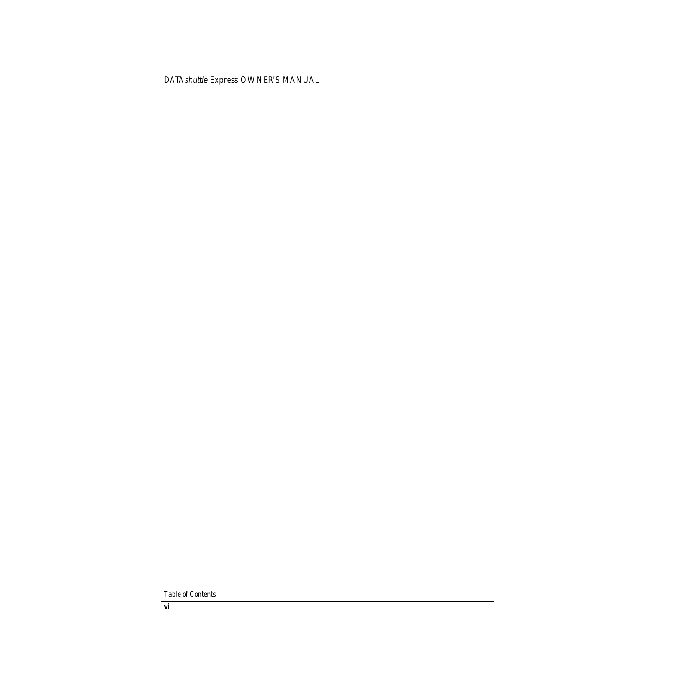*Table of Contents*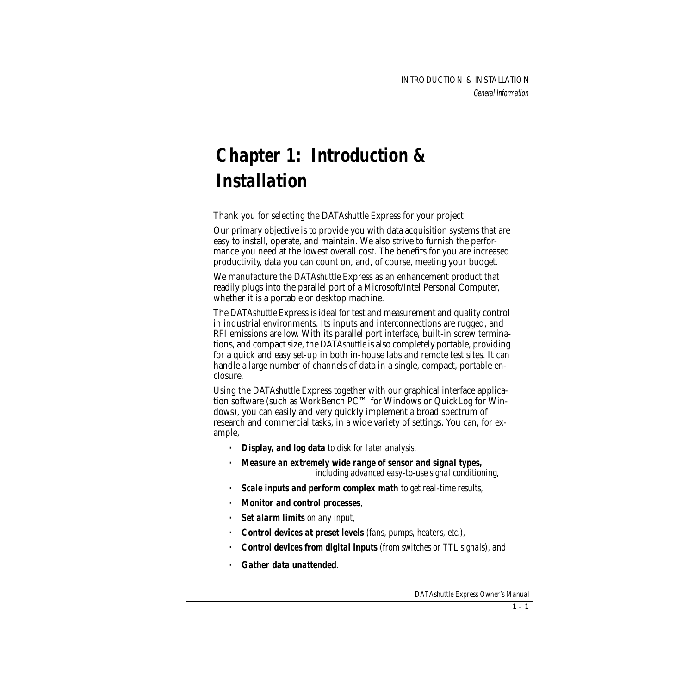General Information

# *Chapter 1: Introduction & Installation*

Thank you for selecting the DATA*shuttle* Express for your project!

Our primary objective is to provide you with data acquisition systems that are easy to install, operate, and maintain. We also strive to furnish the performance you need at the lowest overall cost. The benefits for you are increased productivity, data you can count on, and, of course, meeting your budget.

We manufacture the DATA*shuttle* Express as an enhancement product that readily plugs into the parallel port of a Microsoft/Intel Personal Computer, whether it is a portable or desktop machine.

The DATA*shuttle* Express is ideal for test and measurement and quality control in industrial environments. Its inputs and interconnections are rugged, and RFI emissions are low. With its parallel port interface, built-in screw terminations, and compact size, the DATA*shuttle* is also completely portable, providing for a quick and easy set-up in both in-house labs and remote test sites. It can handle a large number of channels of data in a single, compact, portable enclosure.

Using the DATA*shuttle* Express together with our graphical interface application software (such as WorkBench PC™ for Windows or QuickLog for Windows), you can easily and very quickly implement a broad spectrum of research and commercial tasks, in a wide variety of settings. You can, for example,

- *· Display, and log data to disk for later analysis,*
- *· Measure an extremely wide range of sensor and signal types, including advanced easy-to-use signal conditioning,*
- *· Scale inputs and perform complex math to get real-time results,*
- *· Monitor and control processes,*
- *· Set alarm limits on any input,*
- *· Control devices at preset levels (fans, pumps, heaters, etc.),*
- *· Control devices from digital inputs (from switches or TTL signals), and*
- *· Gather data unattended.*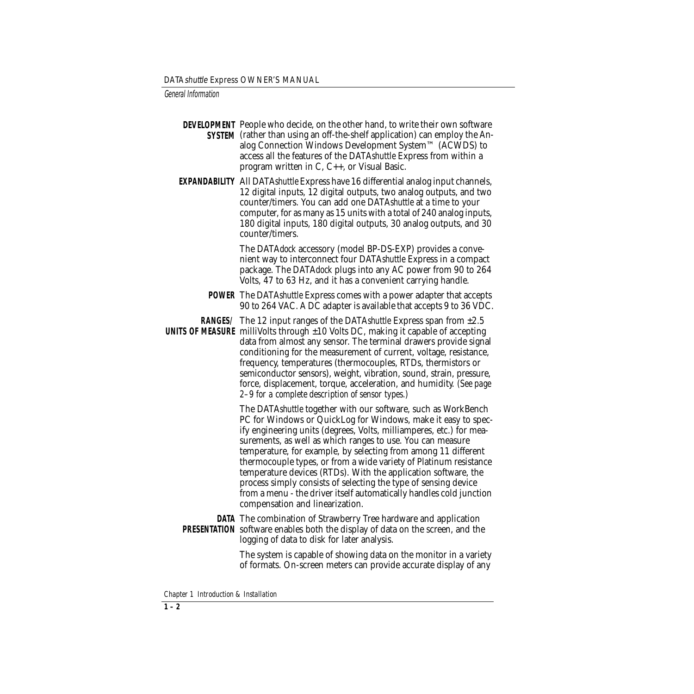General Information

| DEVELOPMENT People who decide, on the other hand, to write their own software     |
|-----------------------------------------------------------------------------------|
| <b>SYSTEM</b> (rather than using an off-the-shelf application) can employ the An- |
| alog Connection Windows Development System™ (ACWDS) to                            |
| access all the features of the DATA shuttle Express from within a                 |
| program written in $C$ , $C_{++}$ , or Visual Basic.                              |

**EXPANDABILITY** All DATA*shuttle* Express have 16 differential analog input channels, 12 digital inputs, 12 digital outputs, two analog outputs, and two counter/timers. You can add one DATA*shuttle* at a time to your computer, for as many as 15 units with a total of 240 analog inputs, 180 digital inputs, 180 digital outputs, 30 analog outputs, and 30 counter/timers.

> The DATA*dock* accessory (model BP-DS-EXP) provides a convenient way to interconnect four DATA*shuttle* Express in a compact package. The DATA*dock* plugs into any AC power from 90 to 264 Volts, 47 to 63 Hz, and it has a convenient carrying handle.

**POWER** The DATA*shuttle* Express comes with a power adapter that accepts 90 to 264 VAC. A DC adapter is available that accepts 9 to 36 VDC.

**RANGES/** The 12 input ranges of the DATA*shuttle* Express span from ±2.5 **UNITS OF MEASURE** milliVolts through ±10 Volts DC, making it capable of accepting data from almost any sensor. The terminal drawers provide signal conditioning for the measurement of current, voltage, resistance, frequency, temperatures (thermocouples, RTDs, thermistors or semiconductor sensors), weight, vibration, sound, strain, pressure, force, displacement, torque, acceleration, and humidity. *(See page 2–9 for a complete description of sensor types.)*

> The DATA*shuttle* together with our software, such as WorkBench PC for Windows or QuickLog for Windows, make it easy to specify engineering units (degrees, Volts, milliamperes, etc.) for measurements, as well as which ranges to use. You can measure temperature, for example, by selecting from among 11 different thermocouple types, or from a wide variety of Platinum resistance temperature devices (RTDs). With the application software, the process simply consists of selecting the type of sensing device from a menu - the driver itself automatically handles cold junction compensation and linearization.

**DATA** The combination of Strawberry Tree hardware and application **PRESENTATION** software enables both the display of data on the screen, and the logging of data to disk for later analysis.

> The system is capable of showing data on the monitor in a variety of formats. On-screen meters can provide accurate display of any

*Chapter 1 Introduction & Installation*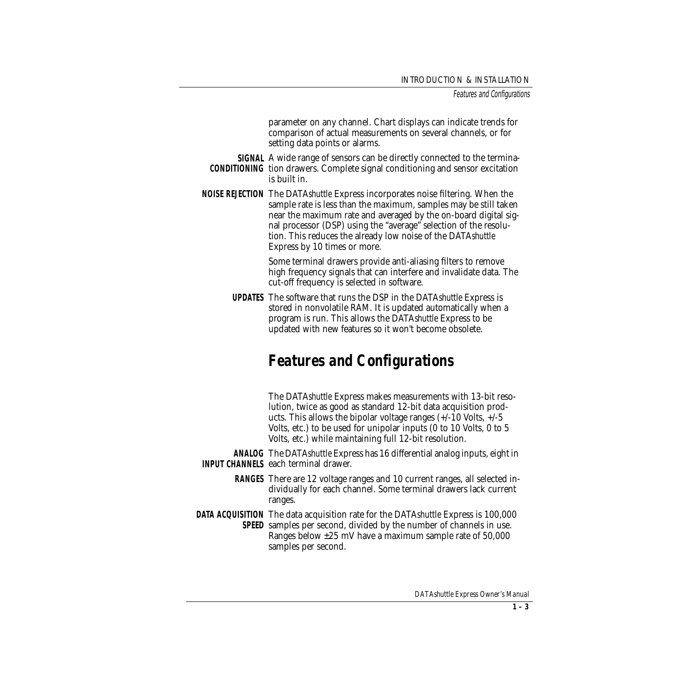parameter on any channel. Chart displays can indicate trends for comparison of actual measurements on several channels, or for setting data points or alarms.

**SIGNAL** A wide range of sensors can be directly connected to the termina-**CONDITIONING** tion drawers. Complete signal conditioning and sensor excitation is built in.

**NOISE REJECTION** The DATA*shuttle* Express incorporates noise filtering. When the sample rate is less than the maximum, samples may be still taken near the maximum rate and averaged by the on-board digital signal processor (DSP) using the "average" selection of the resolution. This reduces the already low noise of the DATA*shuttle* Express by 10 times or more.

> Some terminal drawers provide anti-aliasing filters to remove high frequency signals that can interfere and invalidate data. The cut-off frequency is selected in software.

**UPDATES** The software that runs the DSP in the DATA*shuttle* Express is stored in nonvolatile RAM. It is updated automatically when a program is run. This allows the DATA*shuttle* Express to be updated with new features so it won't become obsolete.

### *Features and Configurations*

The DATA*shuttle* Express makes measurements with 13-bit resolution, twice as good as standard 12-bit data acquisition products. This allows the bipolar voltage ranges (+/-10 Volts, +/-5 Volts, etc.) to be used for unipolar inputs (0 to 10 Volts, 0 to 5 Volts, etc.) while maintaining full 12-bit resolution.

- The DATA*shuttle* Express has 16 differential analog inputs, eight in **ANALOG INPUT CHANNELS** each terminal drawer.
	- **RANGES** There are 12 voltage ranges and 10 current ranges, all selected individually for each channel. Some terminal drawers lack current ranges.
- **DATA ACQUISITION** The data acquisition rate for the DATA*shuttle* Express is 100,000 **SPEED** samples per second, divided by the number of channels in use. Ranges below  $\pm 25$  mV have a maximum sample rate of 50,000 samples per second.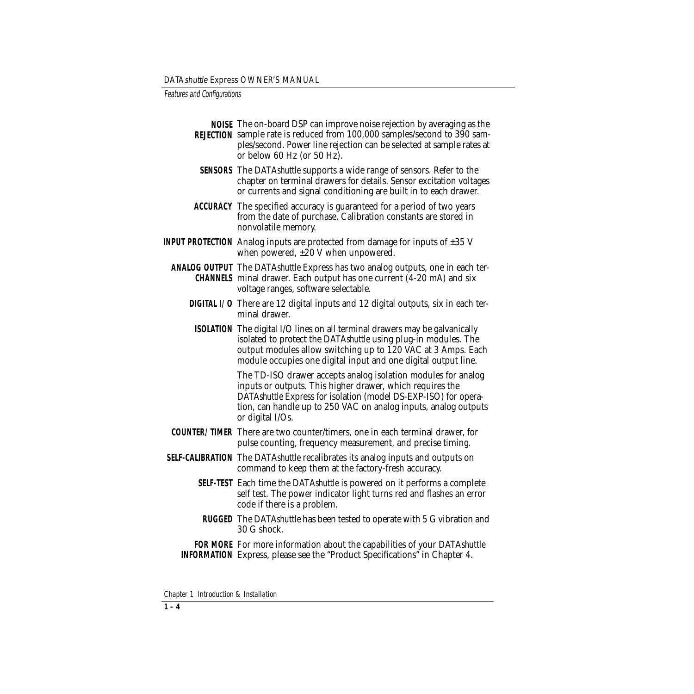Features and Configurations

The on-board DSP can improve noise rejection by averaging as the **NOISE**

- sample rate is reduced from 100,000 samples/second to 390 sam-**REJECTION** ples/second. Power line rejection can be selected at sample rates at or below 60 Hz (or 50 Hz).
- **SENSORS** The DATA*shuttle* supports a wide range of sensors. Refer to the chapter on terminal drawers for details. Sensor excitation voltages or currents and signal conditioning are built in to each drawer.
- **ACCURACY** The specified accuracy is guaranteed for a period of two years from the date of purchase. Calibration constants are stored in nonvolatile memory.
- **INPUT PROTECTION** Analog inputs are protected from damage for inputs of  $\pm 35$  V when powered,  $\pm 20$  V when unpowered.
	- The DATA*shuttle* Express has two analog outputs, one in each ter-**ANALOG OUTPUT CHANNELS** minal drawer. Each output has one current (4-20 mA) and six voltage ranges, software selectable.
		- **DIGITAL I/O** There are 12 digital inputs and 12 digital outputs, six in each terminal drawer.
		- **ISOLATION** The digital I/O lines on all terminal drawers may be galvanically isolated to protect the DATA*shuttle* using plug-in modules. The output modules allow switching up to 120 VAC at 3 Amps. Each module occupies one digital input and one digital output line.

The TD-ISO drawer accepts analog isolation modules for analog inputs or outputs. This higher drawer, which requires the DATA*shuttle* Express for isolation (model DS-EXP-ISO) for operation, can handle up to 250 VAC on analog inputs, analog outputs or digital I/Os.

- **COUNTER/TIMER** There are two counter/timers, one in each terminal drawer, for pulse counting, frequency measurement, and precise timing.
- **SELF-CALIBRATION** The DATA*shuttle* recalibrates its analog inputs and outputs on command to keep them at the factory-fresh accuracy.
	- **SELF-TEST** Each time the DATA*shuttle* is powered on it performs a complete self test. The power indicator light turns red and flashes an error code if there is a problem.
	- The DATA*shuttle* has been tested to operate with 5 G vibration and **RUGGED** 30 G shock.

#### For more information about the capabilities of your DATA*shuttle*  **FOR MORE INFORMATION** Express, please see the "Product Specifications" in Chapter 4.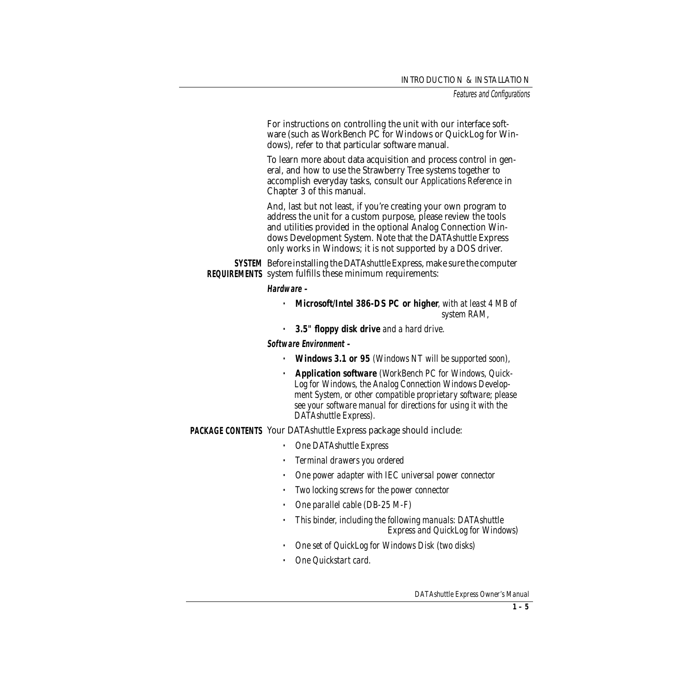For instructions on controlling the unit with our interface software (such as WorkBench PC for Windows or QuickLog for Windows), refer to that particular software manual.

To learn more about data acquisition and process control in general, and how to use the Strawberry Tree systems together to accomplish everyday tasks, consult our *Applications Reference* in Chapter 3 of this manual.

And, last but not least, if you're creating your own program to address the unit for a custom purpose, please review the tools and utilities provided in the optional Analog Connection Windows Development System. Note that the DATA*shuttle* Express only works in Windows; it is not supported by a DOS driver.

Before installing the DATA*shuttle* Express, make sure the computer **SYSTEM REQUIREMENTS** system fulfills these minimum requirements:

#### **Hardware –**

- *· Microsoft/Intel 386-DS PC or higher, with at least 4 MB of system RAM,*
- *· 3.5" floppy disk drive and a hard drive.*

#### **Software Environment –**

- *· Windows 3.1 or 95 (Windows NT will be supported soon),*
- *· Application software (WorkBench PC for Windows, Quick-Log for Windows, the Analog Connection Windows Development System, or other compatible proprietary software; please see your software manual for directions for using it with the DATAshuttle Express).*

**PACKAGE CONTENTS** Your DATAshuttle Express package should include:

- *· One DATAshuttle Express*
- *· Terminal drawers you ordered*
- *· One power adapter with IEC universal power connector*
- *· Two locking screws for the power connector*
- *· One parallel cable (DB-25 M-F)*
- *· This binder, including the following manuals: DATAshuttle Express and QuickLog for Windows)*
- *· One set of QuickLog for Windows Disk (two disks)*
- *· One Quickstart card.*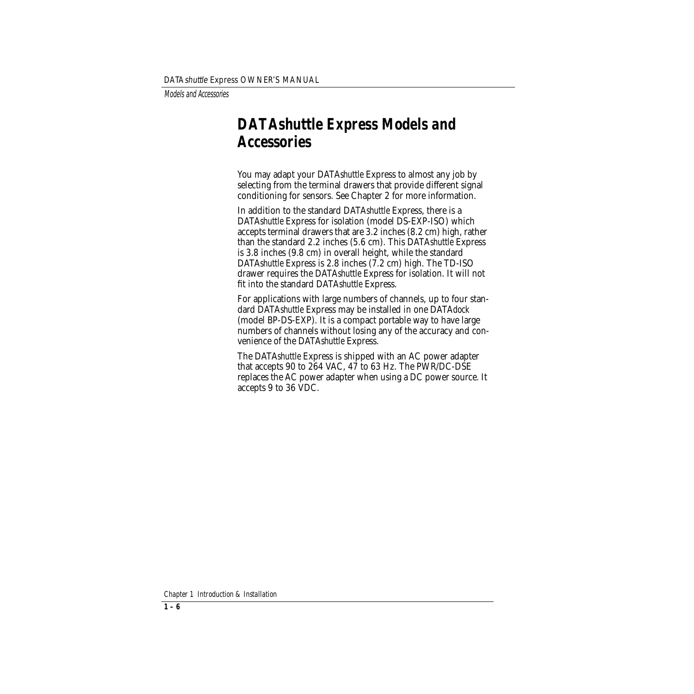Models and Accessories

## *DATAshuttle Express Models and Accessories*

You may adapt your DATA*shuttle* Express to almost any job by selecting from the terminal drawers that provide different signal conditioning for sensors. See Chapter 2 for more information.

In addition to the standard DATA*shuttle* Express, there is a DATA*shuttle* Express for isolation (model DS-EXP-ISO) which accepts terminal drawers that are 3.2 inches (8.2 cm) high, rather than the standard 2.2 inches (5.6 cm). This DATA*shuttle* Express is 3.8 inches (9.8 cm) in overall height, while the standard DATA*shuttle* Express is 2.8 inches (7.2 cm) high. The TD-ISO drawer requires the DATA*shuttle* Express for isolation. It will not fit into the standard DATA*shuttle* Express.

For applications with large numbers of channels, up to four standard DATA*shuttle* Express may be installed in one DATA*dock* (model BP-DS-EXP). It is a compact portable way to have large numbers of channels without losing any of the accuracy and convenience of the DATA*shuttle* Express.

The DATA*shuttle* Express is shipped with an AC power adapter that accepts 90 to 264 VAC, 47 to 63 Hz. The PWR/DC-DSE replaces the AC power adapter when using a DC power source. It accepts 9 to 36 VDC.

*Chapter 1 Introduction & Installation*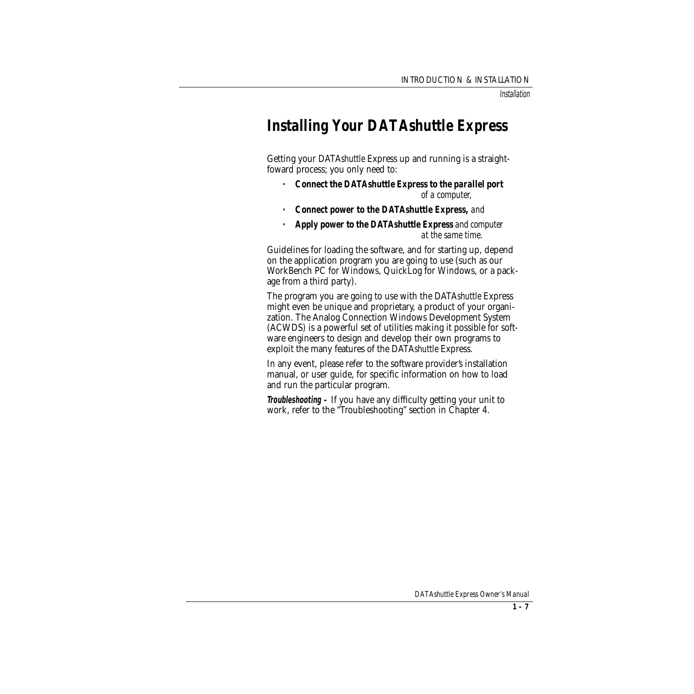**Installation** 

### *Installing Your DATAshuttle Express*

Getting your DATA*shuttle* Express up and running is a straightfoward process; you only need to:

- *· Connect the DATAshuttle Express to the parallel port of a computer,*
- *· Connect power to the DATAshuttle Express, and*
- *· Apply power to the DATAshuttle Express and computer at the same time.*

Guidelines for loading the software, and for starting up, depend on the application program you are going to use (such as our WorkBench PC for Windows, QuickLog for Windows, or a package from a third party).

The program you are going to use with the DATA*shuttle* Express might even be unique and proprietary, a product of your organization. The Analog Connection Windows Development System (ACWDS) is a powerful set of utilities making it possible for software engineers to design and develop their own programs to exploit the many features of the DATA*shuttle* Express.

In any event, please refer to the software provider's installation manual, or user guide, for specific information on how to load and run the particular program.

**Troubleshooting –** If you have any difficulty getting your unit to work, refer to the "Troubleshooting" section in Chapter 4.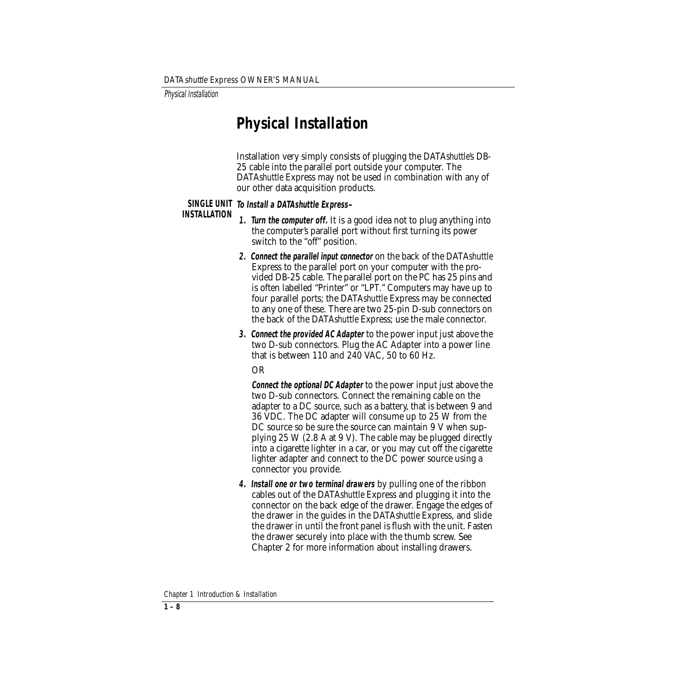Physical Installation

## *Physical Installation*

Installation very simply consists of plugging the DATA*shuttle'*s DB-25 cable into the parallel port outside your computer. The DATA*shuttle* Express may not be used in combination with any of our other data acquisition products.

#### **To Install a DATAshuttle Express– SINGLE UNIT INSTALLATION**

- **1. Turn the computer off.** It is a good idea not to plug anything into the computer's parallel port without first turning its power switch to the "off" position.
- **2. Connect the parallel input connector** on the back of the DATA*shuttle*  Express to the parallel port on your computer with the provided DB-25 cable. The parallel port on the PC has 25 pins and is often labelled "Printer" or "LPT." Computers may have up to four parallel ports; the DATA*shuttle* Express may be connected to any one of these. There are two 25-pin D-sub connectors on the back of the DATA*shuttle* Express; use the male connector.
- **3. Connect the provided AC Adapter** to the power input just above the two D-sub connectors. Plug the AC Adapter into a power line that is between 110 and 240 VAC, 50 to 60 Hz.

OR

**Connect the optional DC Adapter** to the power input just above the two D-sub connectors. Connect the remaining cable on the adapter to a DC source, such as a battery, that is between 9 and 36 VDC. The DC adapter will consume up to 25 W from the DC source so be sure the source can maintain 9 V when supplying 25 W (2.8 A at 9 V). The cable may be plugged directly into a cigarette lighter in a car, or you may cut off the cigarette lighter adapter and connect to the DC power source using a connector you provide.

**4. Install one or two terminal drawers** by pulling one of the ribbon cables out of the DATA*shuttle* Express and plugging it into the connector on the back edge of the drawer. Engage the edges of the drawer in the guides in the DATA*shuttle* Express, and slide the drawer in until the front panel is flush with the unit. Fasten the drawer securely into place with the thumb screw. See Chapter 2 for more information about installing drawers.

*Chapter 1 Introduction & Installation*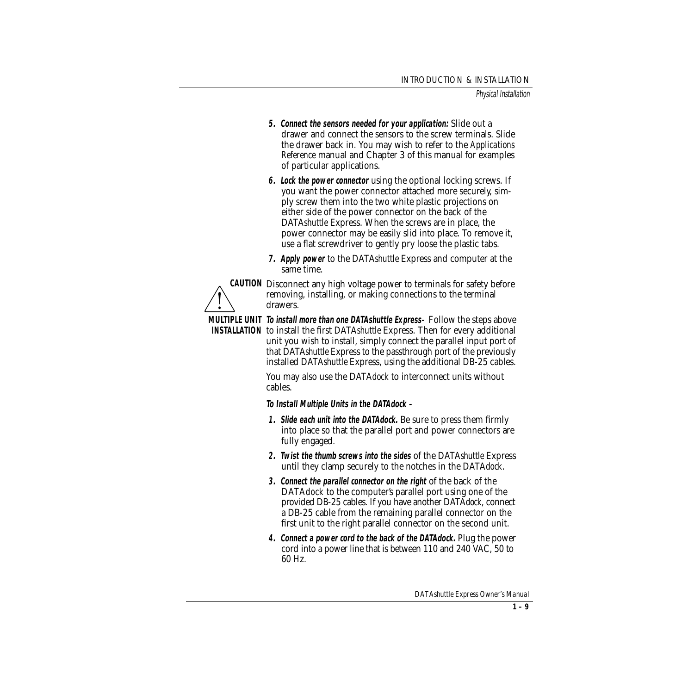- **5. Connect the sensors needed for your application:** Slide out a drawer and connect the sensors to the screw terminals. Slide the drawer back in. You may wish to refer to the *Applications Reference* manual and Chapter 3 of this manual for examples of particular applications.
- **6. Lock the power connector** using the optional locking screws. If you want the power connector attached more securely, simply screw them into the two white plastic projections on either side of the power connector on the back of the DATA*shuttle* Express. When the screws are in place, the power connector may be easily slid into place. To remove it, use a flat screwdriver to gently pry loose the plastic tabs.
- **7. Apply power** to the DATA*shuttle* Express and computer at the same time.



**CAUTION** Disconnect any high voltage power to terminals for safety before removing, installing, or making connections to the terminal drawers.

**To install more than one DATAshuttle Express–** Follow the steps above **MULTIPLE UNIT INSTALLATION** to install the first DATA*shuttle* Express. Then for every additional unit you wish to install, simply connect the parallel input port of that DATA*shuttle* Express to the passthrough port of the previously installed DATA*shuttle* Express, using the additional DB-25 cables.

> You may also use the DATA*dock* to interconnect units without cables.

#### **To Install Multiple Units in the DATAdock –**

- **1. Slide each unit into the DATAdock.** Be sure to press them firmly into place so that the parallel port and power connectors are fully engaged.
- **2. Twist the thumb screws into the sides** of the DATA*shuttle* Express until they clamp securely to the notches in the DATA*dock*.
- **3. Connect the parallel connector on the right** of the back of the DATA*dock* to the computer's parallel port using one of the provided DB-25 cables. If you have another DATA*dock*, connect a DB-25 cable from the remaining parallel connector on the first unit to the right parallel connector on the second unit.
- **4. Connect a power cord to the back of the DATAdock.** Plug the power cord into a power line that is between 110 and 240 VAC, 50 to 60 Hz.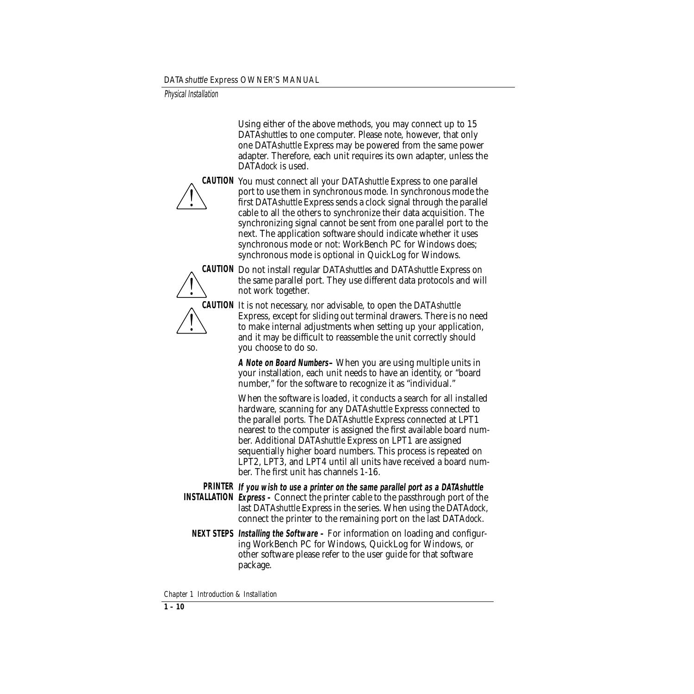Physical Installation

Using either of the above methods, you may connect up to 15 DATA*shuttles* to one computer. Please note, however, that only one DATA*shuttle* Express may be powered from the same power adapter. Therefore, each unit requires its own adapter, unless the DATA*dock* is used.



**CAUTION** You must connect all your DATAshuttle Express to one parallel port to use them in synchronous mode. In synchronous mode the first DATA*shuttle* Express sends a clock signal through the parallel cable to all the others to synchronize their data acquisition. The synchronizing signal cannot be sent from one parallel port to the next. The application software should indicate whether it uses synchronous mode or not: WorkBench PC for Windows does; synchronous mode is optional in QuickLog for Windows.

Do not install regular DATA*shuttles* and DATA*shuttle* Express on **CAUTION** the same parallel port. They use different data protocols and will not work together.

**CAUTION** It is not necessary, nor advisable, to open the DATAshuttle Express, except for sliding out terminal drawers. There is no need to make internal adjustments when setting up your application, and it may be difficult to reassemble the unit correctly should you choose to do so.

> **A Note on Board Numbers–** When you are using multiple units in your installation, each unit needs to have an identity, or "board number," for the software to recognize it as "individual."

When the software is loaded, it conducts a search for all installed hardware, scanning for any DATA*shuttle* Expresss connected to the parallel ports. The DATA*shuttle* Express connected at LPT1 nearest to the computer is assigned the first available board number. Additional DATA*shuttle* Express on LPT1 are assigned sequentially higher board numbers. This process is repeated on LPT2, LPT3, and LPT4 until all units have received a board number. The first unit has channels 1-16.

**If you wish to use a printer on the same parallel port as a DATAshuttle PRINTER INSTALLATION Express -** Connect the printer cable to the passthrough port of the last DATA*shuttle* Express in the series. When using the DATA*dock*, connect the printer to the remaining port on the last DATA*dock*.

**Installing the Software –** For information on loading and configur-**NEXT STEPS** ing WorkBench PC for Windows, QuickLog for Windows, or other software please refer to the user guide for that software package.

*Chapter 1 Introduction & Installation*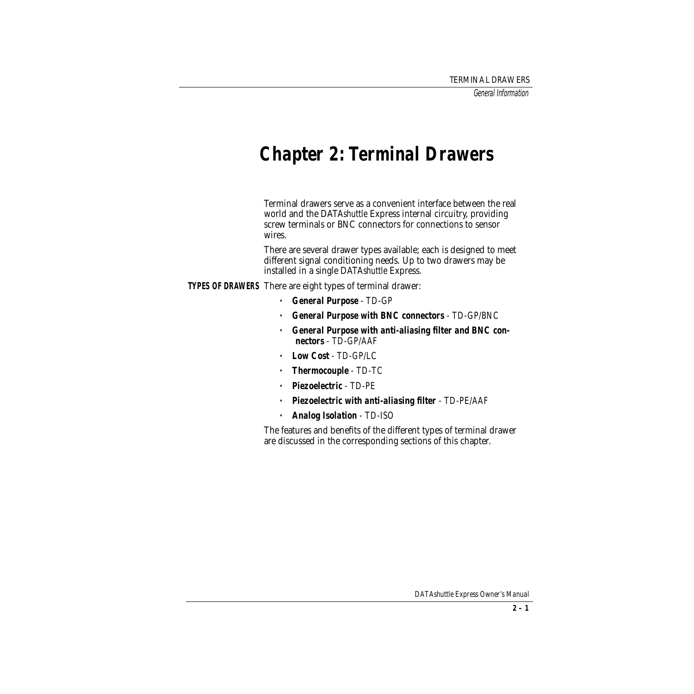# *Chapter 2: Terminal Drawers*

Terminal drawers serve as a convenient interface between the real world and the DATA*shuttle* Express internal circuitry, providing screw terminals or BNC connectors for connections to sensor wires

There are several drawer types available; each is designed to meet different signal conditioning needs. Up to two drawers may be installed in a single DATA*shuttle* Express.

**TYPES OF DRAWERS** There are eight types of terminal drawer:

- *· General Purpose TD-GP*
- *· General Purpose with BNC connectors TD-GP/BNC*
- General Purpose with anti-aliasing filter and BNC con*nectors - TD-GP/AAF*
- *· Low Cost TD-GP/LC*
- *· Thermocouple TD-TC*
- *· Piezoelectric TD-PE*
- *· Piezoelectric with anti-aliasing filter TD-PE/AAF*
- *· Analog Isolation TD-ISO*

The features and benefits of the different types of terminal drawer are discussed in the corresponding sections of this chapter.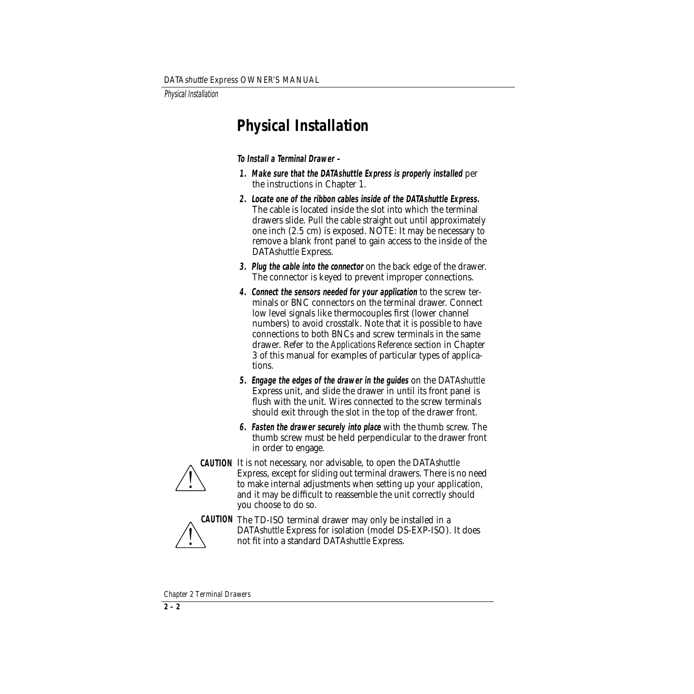Physical Installation

## *Physical Installation*

#### **To Install a Terminal Drawer –**

- **1. Make sure that the DATAshuttle Express is properly installed** per the instructions in Chapter 1.
- **2. Locate one of the ribbon cables inside of the DATAshuttle Express.** The cable is located inside the slot into which the terminal drawers slide. Pull the cable straight out until approximately one inch (2.5 cm) is exposed. NOTE: It may be necessary to remove a blank front panel to gain access to the inside of the DATA*shuttle* Express.
- **3. Plug the cable into the connector** on the back edge of the drawer. The connector is keyed to prevent improper connections.
- **4. Connect the sensors needed for your application** to the screw terminals or BNC connectors on the terminal drawer. Connect low level signals like thermocouples first (lower channel numbers) to avoid crosstalk. Note that it is possible to have connections to both BNCs and screw terminals in the same drawer. Refer to the *Applications Reference* section in Chapter 3 of this manual for examples of particular types of applications.
- **5. Engage the edges of the drawer in the guides** on the DATA*shuttle* Express unit, and slide the drawer in until its front panel is flush with the unit. Wires connected to the screw terminals should exit through the slot in the top of the drawer front.
- **6. Fasten the drawer securely into place** with the thumb screw. The thumb screw must be held perpendicular to the drawer front in order to engage.

**CAUTION** It is not necessary, nor advisable, to open the DATA*shuttle* Express, except for sliding out terminal drawers. There is no need to make internal adjustments when setting up your application, and it may be difficult to reassemble the unit correctly should you choose to do so.

**CAUTION** The TD-ISO terminal drawer may only be installed in a DATA*shuttle* Express for isolation (model DS-EXP-ISO). It does not fit into a standard DATA*shuttle* Express.

#### *Chapter 2 Terminal Drawers*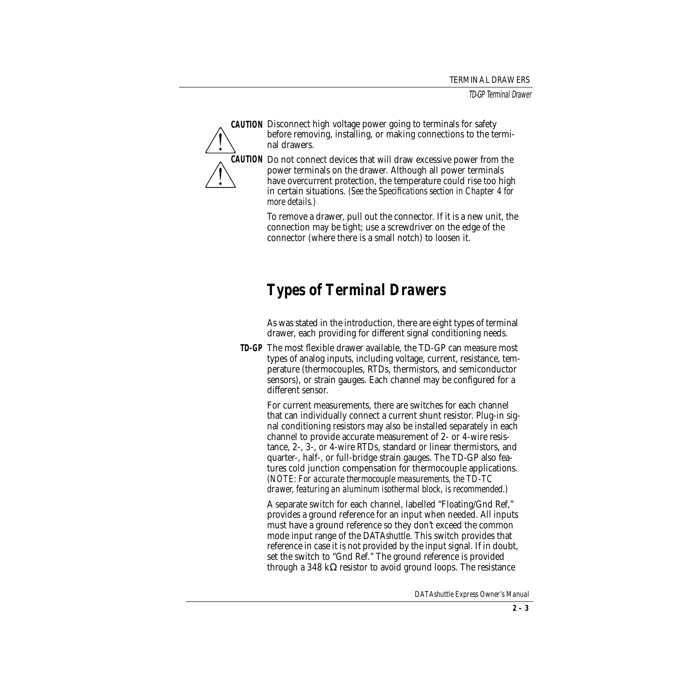

**CAUTION** Disconnect high voltage power going to terminals for safety before removing, installing, or making connections to the terminal drawers.

**CAUTION** Do not connect devices that will draw excessive power from the power terminals on the drawer. Although all power terminals have overcurrent protection, the temperature could rise too high in certain situations. *(See the Specifications section in Chapter 4 for more details.)*

> To remove a drawer, pull out the connector. If it is a new unit, the connection may be tight; use a screwdriver on the edge of the connector (where there is a small notch) to loosen it.

## *Types of Terminal Drawers*

As was stated in the introduction, there are eight types of terminal drawer, each providing for different signal conditioning needs.

The most flexible drawer available, the TD-GP can measure most **TD-GP** types of analog inputs, including voltage, current, resistance, temperature (thermocouples, RTDs, thermistors, and semiconductor sensors), or strain gauges. Each channel may be configured for a different sensor.

For current measurements, there are switches for each channel that can individually connect a current shunt resistor. Plug-in signal conditioning resistors may also be installed separately in each channel to provide accurate measurement of 2- or 4-wire resistance, 2-, 3-, or 4-wire RTDs, standard or linear thermistors, and quarter-, half-, or full-bridge strain gauges. The TD-GP also features cold junction compensation for thermocouple applications. *(NOTE: For accurate thermocouple measurements, the TD-TC drawer, featuring an aluminum isothermal block, is recommended.)*

A separate switch for each channel, labelled "Floating/Gnd Ref," provides a ground reference for an input when needed. All inputs must have a ground reference so they don't exceed the common mode input range of the DATA*shuttle*. This switch provides that reference in case it is not provided by the input signal. If in doubt, set the switch to "Gnd Ref." The ground reference is provided through a 348 kΩ resistor to avoid ground loops. The resistance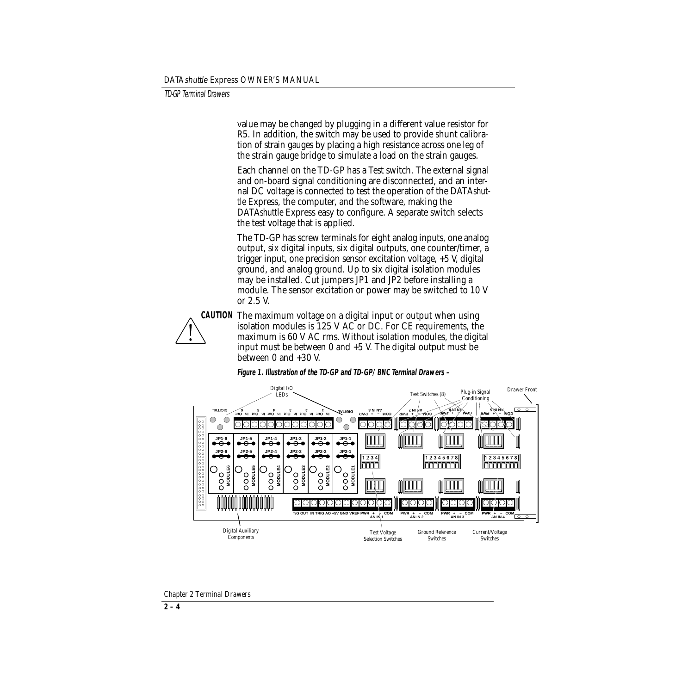TD-GP Terminal Drawers

value may be changed by plugging in a different value resistor for R5. In addition, the switch may be used to provide shunt calibration of strain gauges by placing a high resistance across one leg of the strain gauge bridge to simulate a load on the strain gauges.

Each channel on the TD-GP has a Test switch. The external signal and on-board signal conditioning are disconnected, and an internal DC voltage is connected to test the operation of the DATA*shuttle* Express, the computer, and the software, making the DATA*shuttle* Express easy to configure. A separate switch selects the test voltage that is applied.

The TD-GP has screw terminals for eight analog inputs, one analog output, six digital inputs, six digital outputs, one counter/timer, a trigger input, one precision sensor excitation voltage, +5 V, digital ground, and analog ground. Up to six digital isolation modules may be installed. Cut jumpers JP1 and JP2 before installing a module. The sensor excitation or power may be switched to 10 V or 2.5 V.

**CAUTION** The maximum voltage on a digital input or output when using isolation modules is 125 V AC or DC. For CE requirements, the maximum is 60 V AC rms. Without isolation modules, the digital input must be between 0 and +5 V. The digital output must be between 0 and +30 V.



**Figure 1. Illustration of the TD-GP and TD-GP/BNC Terminal Drawers –**

#### *Chapter 2 Terminal Drawers*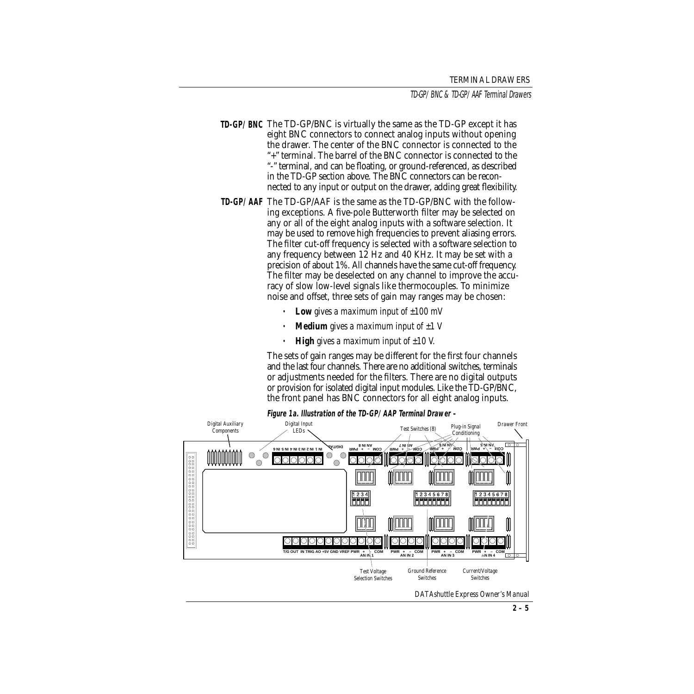TD-GP/BNC & TD-GP/AAF Terminal Drawers

- The TD-GP/BNC is virtually the same as the TD-GP except it has **TD-GP/BNC** eight BNC connectors to connect analog inputs without opening the drawer. The center of the BNC connector is connected to the "+" terminal. The barrel of the BNC connector is connected to the "-" terminal, and can be floating, or ground-referenced, as described in the TD-GP section above. The BNC connectors can be reconnected to any input or output on the drawer, adding great flexibility.
- The TD-GP/AAF is the same as the TD-GP/BNC with the follow-**TD-GP/AAF** ing exceptions. A five-pole Butterworth filter may be selected on any or all of the eight analog inputs with a software selection. It may be used to remove high frequencies to prevent aliasing errors. The filter cut-off frequency is selected with a software selection to any frequency between 12 Hz and 40 KHz. It may be set with a precision of about 1%. All channels have the same cut-off frequency. The filter may be deselected on any channel to improve the accuracy of slow low-level signals like thermocouples. To minimize noise and offset, three sets of gain may ranges may be chosen:
	- *Low* gives a maximum input of  $\pm 100$  mV
	- *· Medium gives a maximum input of ±1 V*
	- *· High gives a maximum input of ±10 V.*

The sets of gain ranges may be different for the first four channels and the last four channels. There are no additional switches, terminals or adjustments needed for the filters. There are no digital outputs or provision for isolated digital input modules. Like the TD-GP/BNC, the front panel has BNC connectors for all eight analog inputs.



**Figure 1a. Illustration of the TD-GP/AAP Terminal Drawer –**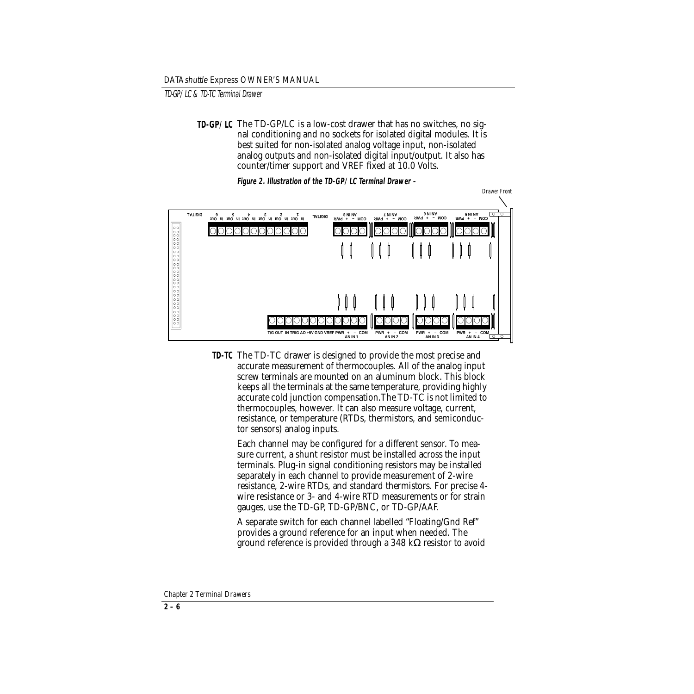#### TD-GP/LC & TD-TC Terminal Drawer

The TD-GP/LC is a low-cost drawer that has no switches, no sig-**TD-GP/LC** nal conditioning and no sockets for isolated digital modules. It is best suited for non-isolated analog voltage input, non-isolated analog outputs and non-isolated digital input/output. It also has counter/timer support and VREF fixed at 10.0 Volts.



**Figure 2. Illustration of the TD-GP/LC Terminal Drawer –**

The TD-TC drawer is designed to provide the most precise and **TD-TC** accurate measurement of thermocouples. All of the analog input screw terminals are mounted on an aluminum block. This block keeps all the terminals at the same temperature, providing highly accurate cold junction compensation.The TD-TC is not limited to thermocouples, however. It can also measure voltage, current, resistance, or temperature (RTDs, thermistors, and semiconductor sensors) analog inputs.

Each channel may be configured for a different sensor. To measure current, a shunt resistor must be installed across the input terminals. Plug-in signal conditioning resistors may be installed separately in each channel to provide measurement of 2-wire resistance, 2-wire RTDs, and standard thermistors. For precise 4 wire resistance or 3- and 4-wire RTD measurements or for strain gauges, use the TD-GP, TD-GP/BNC, or TD-GP/AAF.

A separate switch for each channel labelled "Floating/Gnd Ref" provides a ground reference for an input when needed. The ground reference is provided through a 348 k $\Omega$  resistor to avoid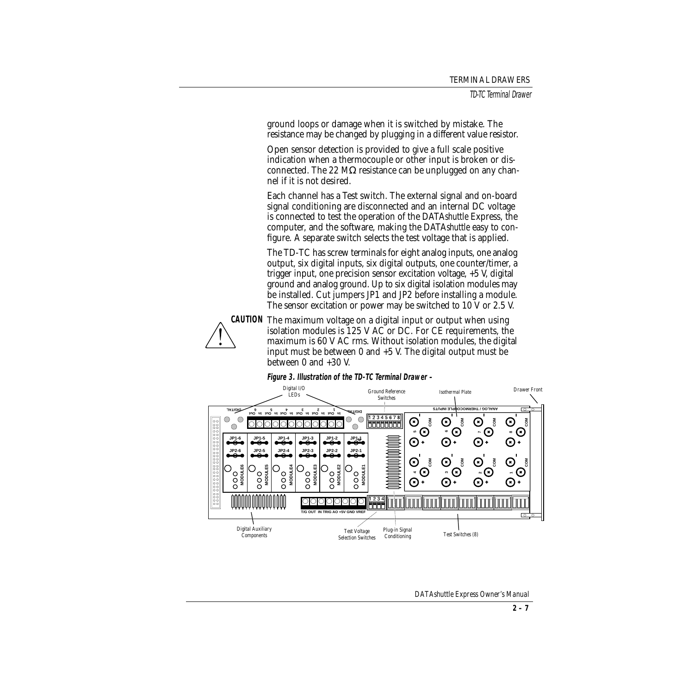ground loops or damage when it is switched by mistake. The resistance may be changed by plugging in a different value resistor.

Open sensor detection is provided to give a full scale positive indication when a thermocouple or other input is broken or disconnected. The 22 MΩ resistance can be unplugged on any channel if it is not desired.

Each channel has a Test switch. The external signal and on-board signal conditioning are disconnected and an internal DC voltage is connected to test the operation of the DATA*shuttle* Express, the computer, and the software, making the DATA*shuttle* easy to configure. A separate switch selects the test voltage that is applied.

The TD-TC has screw terminals for eight analog inputs, one analog output, six digital inputs, six digital outputs, one counter/timer, a trigger input, one precision sensor excitation voltage, +5 V, digital ground and analog ground. Up to six digital isolation modules may be installed. Cut jumpers JP1 and JP2 before installing a module. The sensor excitation or power may be switched to 10 V or 2.5 V.



**CAUTION** The maximum voltage on a digital input or output when using isolation modules is 125 V AC or DC. For CE requirements, the maximum is 60 V AC rms. Without isolation modules, the digital input must be between 0 and +5 V. The digital output must be between 0 and +30 V.



#### **Figure 3. Illustration of the TD-TC Terminal Drawer –**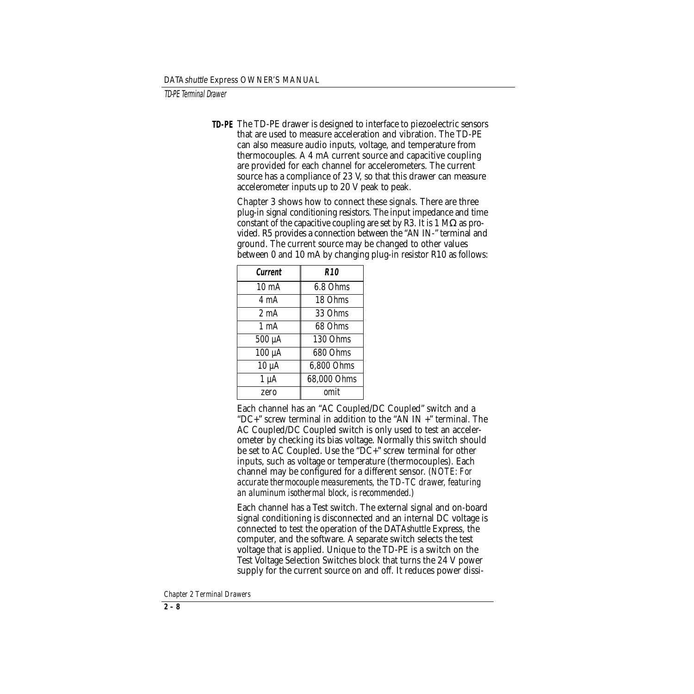TD-PE Terminal Drawer

The TD-PE drawer is designed to interface to piezoelectric sensors **TD-PE** that are used to measure acceleration and vibration. The TD-PE can also measure audio inputs, voltage, and temperature from thermocouples. A 4 mA current source and capacitive coupling are provided for each channel for accelerometers. The current source has a compliance of 23 V, so that this drawer can measure accelerometer inputs up to 20 V peak to peak.

Chapter 3 shows how to connect these signals. There are three plug-in signal conditioning resistors. The input impedance and time constant of the capacitive coupling are set by R3. It is 1  $\text{M}\Omega$  as provided. R5 provides a connection between the "AN IN-" terminal and ground. The current source may be changed to other values between 0 and 10 mA by changing plug-in resistor R10 as follows:

| <b>Current</b> | <b>R10</b>  |
|----------------|-------------|
| 10 mA          | $6.8$ Ohms  |
| 4 m A          | 18 Ohms     |
| $2 \text{ mA}$ | 33 Ohms     |
| $1 \text{ mA}$ | 68 Ohms     |
| $500 \mu A$    | 130 Ohms    |
| $100 \mu A$    | 680 Ohms    |
| $10 \mu A$     | 6,800 Ohms  |
| $1 \mu A$      | 68,000 Ohms |
| zero           | omit        |

Each channel has an "AC Coupled/DC Coupled" switch and a "DC+" screw terminal in addition to the "AN IN +" terminal. The AC Coupled/DC Coupled switch is only used to test an accelerometer by checking its bias voltage. Normally this switch should be set to AC Coupled. Use the "DC+" screw terminal for other inputs, such as voltage or temperature (thermocouples). Each channel may be configured for a different sensor. *(NOTE: For accurate thermocouple measurements, the TD-TC drawer, featuring an aluminum isothermal block, is recommended.)*

Each channel has a Test switch. The external signal and on-board signal conditioning is disconnected and an internal DC voltage is connected to test the operation of the DATA*shuttle* Express, the computer, and the software. A separate switch selects the test voltage that is applied. Unique to the TD-PE is a switch on the Test Voltage Selection Switches block that turns the 24 V power supply for the current source on and off. It reduces power dissi-

*Chapter 2 Terminal Drawers*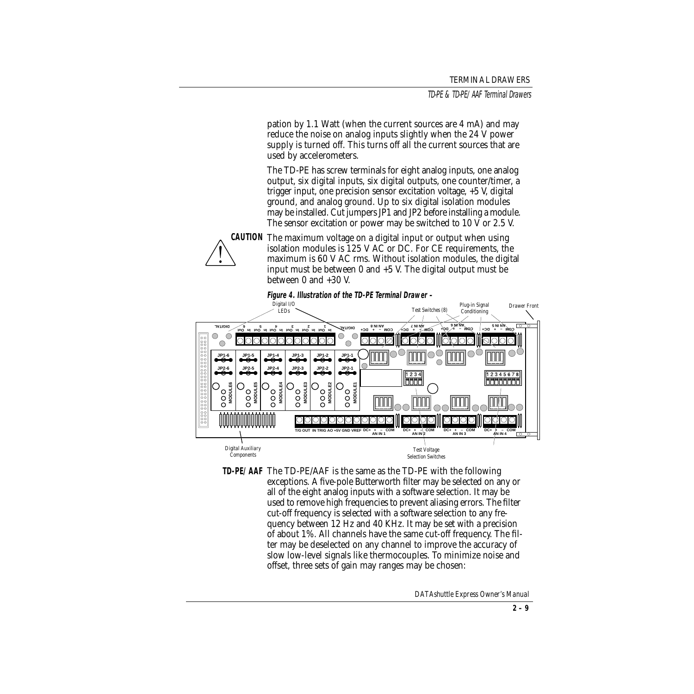TD-PE & TD-PE/AAF Terminal Drawers

pation by 1.1 Watt (when the current sources are 4 mA) and may reduce the noise on analog inputs slightly when the 24 V power supply is turned off. This turns off all the current sources that are used by accelerometers.

The TD-PE has screw terminals for eight analog inputs, one analog output, six digital inputs, six digital outputs, one counter/timer, a trigger input, one precision sensor excitation voltage, +5 V, digital ground, and analog ground. Up to six digital isolation modules may be installed. Cut jumpers JP1 and JP2 before installing a module. The sensor excitation or power may be switched to 10 V or 2.5 V.

**CAUTION** The maximum voltage on a digital input or output when using isolation modules is 125 V AC or DC. For CE requirements, the maximum is 60 V AC rms. Without isolation modules, the digital input must be between 0 and +5 V. The digital output must be between 0 and +30 V.



**TD-PE/AAF** The TD-PE/AAF is the same as the TD-PE with the following exceptions. A five-pole Butterworth filter may be selected on any or all of the eight analog inputs with a software selection. It may be used to remove high frequencies to prevent aliasing errors. The filter cut-off frequency is selected with a software selection to any frequency between 12 Hz and 40 KHz. It may be set with a precision of about 1%. All channels have the same cut-off frequency. The filter may be deselected on any channel to improve the accuracy of slow low-level signals like thermocouples. To minimize noise and offset, three sets of gain may ranges may be chosen: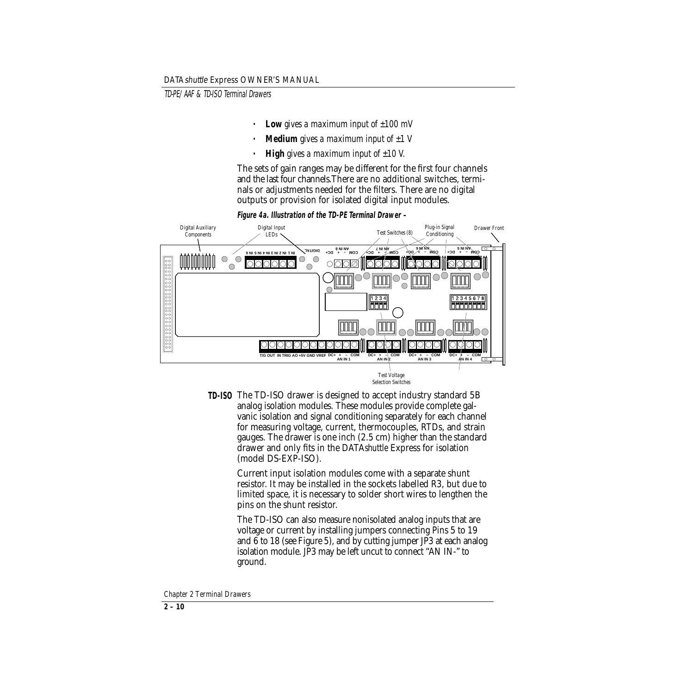TD-PE/AAF & TD-ISO Terminal Drawers

- *Low gives a maximum input of*  $\pm 100$  *mV*
- *· Medium gives a maximum input of ±1 V*
- *High gives a maximum input of*  $\pm 10$  *V.*

The sets of gain ranges may be different for the first four channels and the last four channels.There are no additional switches, terminals or adjustments needed for the filters. There are no digital outputs or provision for isolated digital input modules.

**Figure 4a. Illustration of the TD-PE Terminal Drawer –**



The TD-ISO drawer is designed to accept industry standard 5B **TD-ISO** analog isolation modules. These modules provide complete galvanic isolation and signal conditioning separately for each channel for measuring voltage, current, thermocouples, RTDs, and strain gauges. The drawer is one inch (2.5 cm) higher than the standard drawer and only fits in the DATA*shuttle* Express for isolation (model DS-EXP-ISO).

Current input isolation modules come with a separate shunt resistor. It may be installed in the sockets labelled R3, but due to limited space, it is necessary to solder short wires to lengthen the pins on the shunt resistor.

The TD-ISO can also measure nonisolated analog inputs that are voltage or current by installing jumpers connecting Pins 5 to 19 and 6 to 18 (see Figure 5), and by cutting jumper JP3 at each analog isolation module. JP3 may be left uncut to connect "AN IN-" to ground.

*Chapter 2 Terminal Drawers*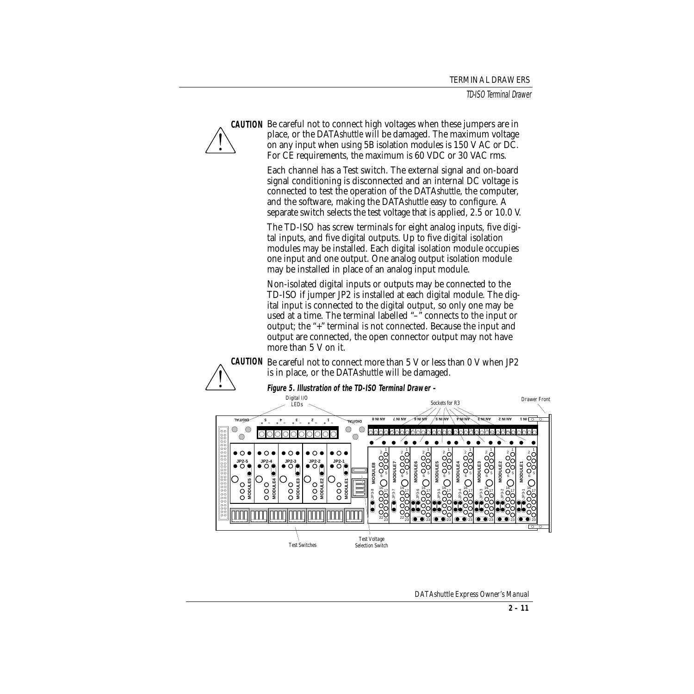

Be careful not to connect high voltages when these jumpers are in **CAUTION** place, or the DATA*shuttle* will be damaged. The maximum voltage on any input when using 5B isolation modules is 150 V AC or DC. For CE requirements, the maximum is 60 VDC or 30 VAC rms.

> Each channel has a Test switch. The external signal and on-board signal conditioning is disconnected and an internal DC voltage is connected to test the operation of the DATA*shuttle*, the computer, and the software, making the DATA*shuttle* easy to configure. A separate switch selects the test voltage that is applied, 2.5 or 10.0 V.

> The TD-ISO has screw terminals for eight analog inputs, five digital inputs, and five digital outputs. Up to five digital isolation modules may be installed. Each digital isolation module occupies one input and one output. One analog output isolation module may be installed in place of an analog input module.

> Non-isolated digital inputs or outputs may be connected to the TD-ISO if jumper JP2 is installed at each digital module. The digital input is connected to the digital output, so only one may be used at a time. The terminal labelled "–" connects to the input or output; the "+" terminal is not connected. Because the input and output are connected, the open connector output may not have more than 5 V on it.



Be careful not to connect more than 5 V or less than 0 V when JP2 **CAUTION** is in place, or the DATA*shuttle* will be damaged.

**Figure 5. Illustration of the TD-ISO Terminal Drawer –**

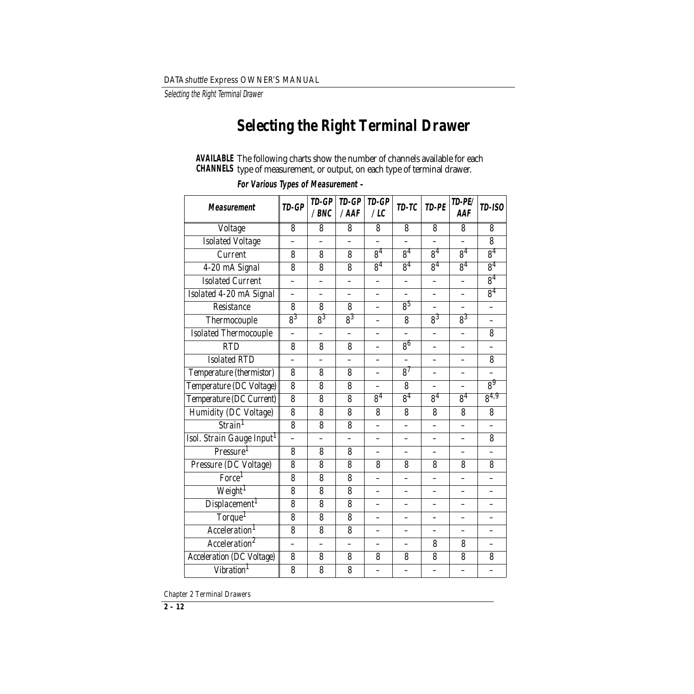Selecting the Right Terminal Drawer

## *Selecting the Right Terminal Drawer*

**AVAILABLE** The following charts show the number of channels available for each **CHANNELS** type of measurement, or output, on each type of terminal drawer.

| <b>Measurement</b>                    | <b>TD-GP</b>   | TD-GP<br>/BNC    | TD-GP<br>/AAF | <b>TD-GP</b><br>$\angle$ LC | TD-TC                    | <b>TD-PE</b>     | TD-PE/<br>AAF | TD-ISO           |
|---------------------------------------|----------------|------------------|---------------|-----------------------------|--------------------------|------------------|---------------|------------------|
| Voltage                               | 8              | 8                | 8             | 8                           | 8                        | 8                | 8             | 8                |
| Isolated Voltage                      |                |                  |               |                             |                          |                  |               | 8                |
| Current                               | 8              | 8                | 8             | 8 <sup>4</sup>              | 8 <sup>4</sup>           | $\overline{8^4}$ | $8^4$         | $8^4$            |
| 4-20 mA Signal                        | 8              | 8                | 8             | $\overline{\delta^4}$       | $\overline{s^4}$         | $8^4$            | $8^4$         | $\overline{s^4}$ |
| <b>Isolated Current</b>               |                |                  |               |                             |                          |                  |               | $8^4$            |
| Isolated 4-20 mA Signal               |                |                  |               |                             |                          |                  |               | $\overline{s^4}$ |
| Resistance                            | 8              | 8                | 8             |                             | $8^5$                    |                  |               |                  |
| Thermocouple                          | $8^3$          | $\overline{s^3}$ | $8^3$         |                             | 8                        | $8^3$            | $8^3$         |                  |
| <b>Isolated Thermocouple</b>          |                |                  |               |                             |                          |                  |               | 8                |
| <b>RTD</b>                            | 8              | 8                | 8             |                             | $\overline{8^6}$         |                  |               |                  |
| <b>Isolated RTD</b>                   |                |                  |               |                             | $\equiv$                 |                  |               | 8                |
| Temperature (thermistor)              | 8              | 8                | 8             |                             | $\overline{s}^7$         |                  |               |                  |
| Temperature (DC Voltage)              | 8              | 8                | 8             |                             | 8                        |                  |               | $8^9$            |
| Temperature (DC Current)              | 8              | 8                | 8             | 8 <sup>4</sup>              | $\overline{s^4}$         | $8^4$            | $8^4$         | $8^{4,9}$        |
| Humidity (DC Voltage)                 | 8              | 8                | 8             | 8                           | 8                        | 8                | 8             | 8                |
| Strain <sup>1</sup>                   | 8              | 8                | 8             |                             |                          |                  |               |                  |
| Isol. Strain Gauge Input <sup>1</sup> |                |                  |               |                             |                          |                  |               | 8                |
| Pressure <sup>1</sup>                 | 8              | 8                | 8             |                             |                          |                  |               |                  |
| Pressure (DC Voltage)                 | 8              | 8                | 8             | 8                           | 8                        | 8                | 8             | 8                |
| Force <sup>1</sup>                    | 8              | 8                | 8             |                             |                          |                  |               |                  |
| Weight <sup>1</sup>                   | 8              | 8                | 8             |                             | $\overline{\phantom{0}}$ |                  |               |                  |
| Displacement <sup>1</sup>             | 8              | 8                | 8             |                             |                          |                  |               |                  |
| Torque <sup>1</sup>                   | 8              | 8                | 8             |                             |                          |                  |               |                  |
| Acceleration <sup>1</sup>             | 8              | 8                | 8             |                             |                          |                  |               |                  |
| Acceleration <sup>2</sup>             |                |                  |               |                             |                          | 8                | 8             |                  |
| Acceleration (DC Voltage)             | 8              | 8                | 8             | 8                           | 8                        | 8                | 8             | 8                |
| Vibration <sup>1</sup>                | $\overline{s}$ | 8                | 8             |                             |                          |                  |               |                  |

**For Various Types of Measurement –**

*Chapter 2 Terminal Drawers*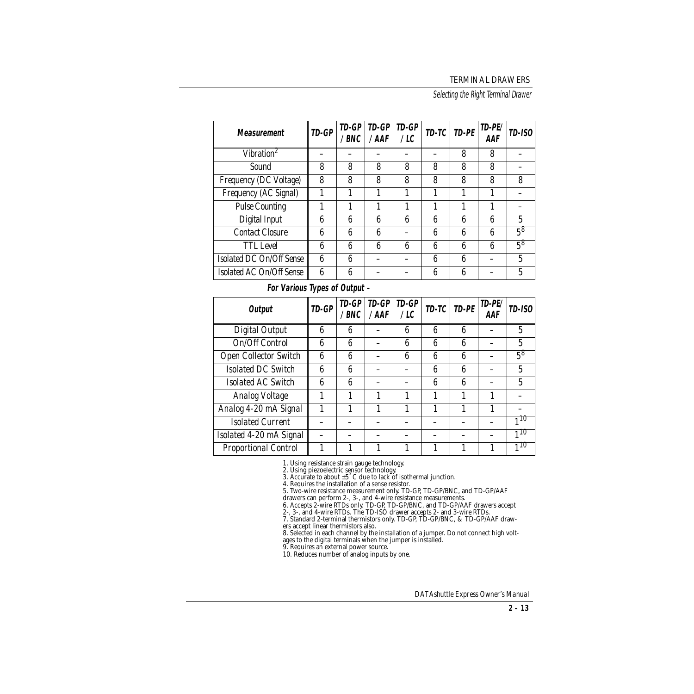Selecting the Right Terminal Drawer

| <b>Measurement</b>       | <b>TD-GP</b> | TD-GP<br>/BNC | TD-GP<br>/AAF | <b>TD-GP</b><br>$\mu$ c |   | $TD-TC$ $TD-PE$ | TD-PE/<br>AAF | TD-ISO |
|--------------------------|--------------|---------------|---------------|-------------------------|---|-----------------|---------------|--------|
| Vibration <sup>2</sup>   |              |               |               |                         |   | 8               | 8             |        |
| Sound                    | 8            | 8             | 8             | 8                       | 8 | 8               | 8             |        |
| Frequency (DC Voltage)   | 8            | 8             | 8             | 8                       | 8 | 8               | 8             | 8      |
| Frequency (AC Signal)    |              |               |               |                         | 1 |                 |               |        |
| <b>Pulse Counting</b>    |              |               |               | 1                       | 1 |                 |               |        |
| Digital Input            | 6            | 6             | 6             | ĥ                       | 6 | 6               | ĥ             | 5      |
| <b>Contact Closure</b>   | 6            | 6             | 6             |                         | 6 | 6               | ĥ             | 58     |
| <b>TTL</b> Level         | 6            | 6             | 6             | ĥ                       | 6 | 6               | ĥ             | $5^8$  |
| Isolated DC On/Off Sense | 6            | 6             |               |                         | 6 | 6               |               | 5      |
| Isolated AC On/Off Sense | 6            | 6             |               |                         | 6 | 6               |               | 5      |

**For Various Types of Output –**

| <b>Output</b>           | <b>TD-GP</b> | <b>TD-GP</b><br>/BNC | $TD-GP$<br>/AAF | <b>TD-GP</b><br>$\pi$ | TD-TC | TD-PE | TD-PE/<br>AAF | TD-ISO |
|-------------------------|--------------|----------------------|-----------------|-----------------------|-------|-------|---------------|--------|
| Digital Output          | 6            | 6                    |                 | 6                     | 6     | 6     |               | 5      |
| On/Off Control          | 6            | 6                    |                 | 6                     | 6     | 6     |               | 5      |
| Open Collector Switch   | <sub>6</sub> | 6                    |                 | 6                     | 6     | 6     |               | 58     |
| Isolated DC Switch      | 6            | 6                    |                 |                       | 6     | 6     |               | 5      |
| Isolated AC Switch      | 6            | <sub>6</sub>         |                 |                       | 6     | 6     |               | 5      |
| Analog Voltage          |              | 1                    | 1               |                       |       |       |               |        |
| Analog 4-20 mA Signal   |              |                      | 1               |                       | 1     |       |               |        |
| <b>Isolated Current</b> |              |                      |                 |                       |       |       |               | 110    |
| Isolated 4-20 mA Signal |              |                      |                 |                       |       |       |               | 110    |
| Proportional Control    |              |                      |                 |                       |       |       |               | 110    |

1. Using resistance strain gauge technology.

2. Using piezoelectric sensor technology.

3. Accurate to about  $\pm 5^{\circ}$  C due to lack of isothermal junction.

4. Requires the installation of a sense resistor.

5. Two-wire resistance measurement only. TD-GP, TD-GP/BNC, and TD-GP/AAF

drawers can perform 2-, 3-, and 4-wire resistance measurements.

6. Accepts 2-wire RTDs only. TD-GP, TD-GP/BNC, and TD-GP/AAF drawers accept

2-, 3-, and 4-wire RTDs. The TD-ISO drawer accepts 2- and 3-wire RTDs.

7. Standard 2-terminal thermistors only. TD-GP, TD-GP/BNC, & TD-GP/AAF drawers accept linear thermistors also.

8. Selected in each channel by the installation of a jumper. Do not connect high voltages to the digital terminals when the jumper is installed.

9. Requires an external power source.

10. Reduces number of analog inputs by one.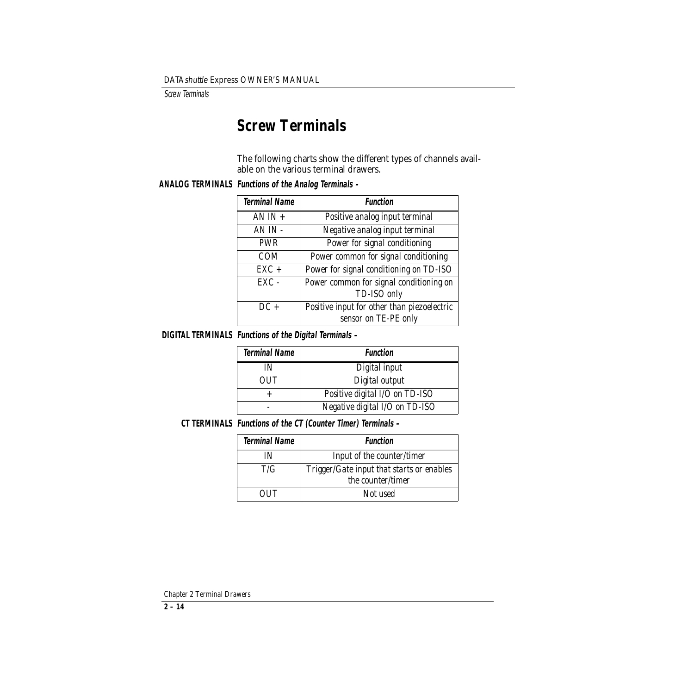Screw Terminals

### *Screw Terminals*

The following charts show the different types of channels available on the various terminal drawers.

ANALOG TERMINALS Functions of the Analog Terminals -

| <b>Terminal Name</b> | <b>Function</b>                                                     |  |  |  |  |  |
|----------------------|---------------------------------------------------------------------|--|--|--|--|--|
| $AN IN +$            | Positive analog input terminal                                      |  |  |  |  |  |
| $ANIN -$             | Negative analog input terminal                                      |  |  |  |  |  |
| <b>PWR</b>           | Power for signal conditioning                                       |  |  |  |  |  |
| <b>COM</b>           | Power common for signal conditioning                                |  |  |  |  |  |
| $EXC +$              | Power for signal conditioning on TD-ISO                             |  |  |  |  |  |
| EXC -                | Power common for signal conditioning on<br>TD-ISO only              |  |  |  |  |  |
| $DC +$               | Positive input for other than piezoelectric<br>sensor on TE-PE only |  |  |  |  |  |

**Functions of the Digital Terminals – DIGITAL TERMINALS**

| <b>Terminal Name</b> | <b>Function</b>                |
|----------------------|--------------------------------|
|                      | Digital input                  |
| OUT                  | Digital output                 |
|                      | Positive digital I/O on TD-ISO |
|                      | Negative digital I/O on TD-ISO |

**Functions of the CT (Counter Timer) Terminals – CT TERMINALS**

| <b>Terminal Name</b> | <b>Function</b>                           |
|----------------------|-------------------------------------------|
|                      | Input of the counter/timer                |
| T/G                  | Trigger/Gate input that starts or enables |
|                      | the counter/timer                         |
| $\gamma$ i i $T$     | Not used                                  |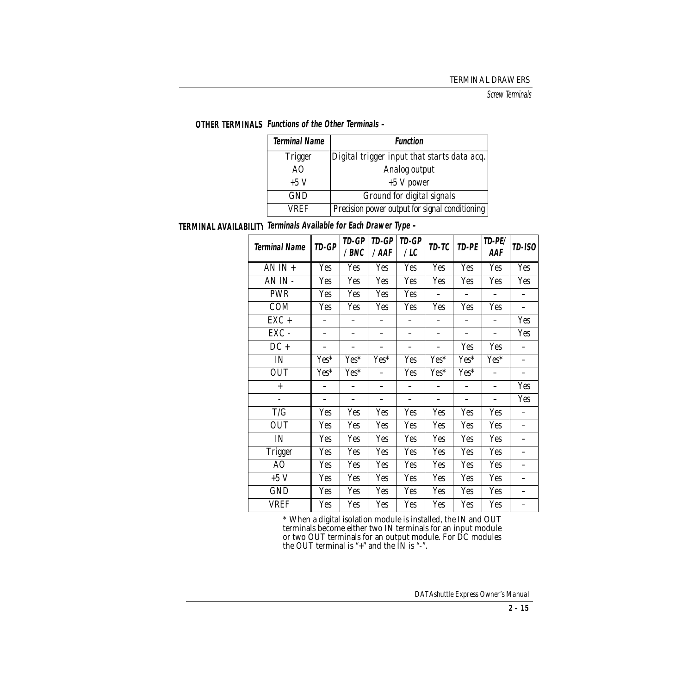#### Screw Terminals

| <b>Terminal Name</b> | <b>Function</b>                                |
|----------------------|------------------------------------------------|
| <b>Trigger</b>       | Digital trigger input that starts data acq.    |
| A ( )                | Analog output                                  |
| $+5$ V               | $+5$ V power                                   |
| GND                  | Ground for digital signals                     |
| VRFF                 | Precision power output for signal conditioning |

#### **Functions of the Other Terminals – OTHER TERMINALS**

**Terminals Available for Each Drawer Type – TERMINAL AVAILABILITY**

| <b>Terminal Name</b> | <b>TD-GP</b> | <b>TD-GP</b><br>/BNC | <b>TD-GP</b><br>/AAF | <b>TD-GP</b><br>/LC | TD-TC | <b>TD-PE</b> | TD-PE/<br>AAF | TD-ISO |
|----------------------|--------------|----------------------|----------------------|---------------------|-------|--------------|---------------|--------|
| $ANIN +$             | Yes          | Yes                  | Yes                  | Yes                 | Yes   | Yes          | Yes           | Yes    |
| $ANIN$ -             | Yes          | Yes                  | Yes                  | Yes                 | Yes   | Yes          | Yes           | Yes    |
| <b>PWR</b>           | Yes          | Yes                  | Yes                  | Yes                 |       |              |               |        |
| <b>COM</b>           | Yes          | Yes                  | Yes                  | Yes                 | Yes   | Yes          | Yes           |        |
| $EXC +$              |              |                      |                      |                     |       |              |               | Yes    |
| EXC -                |              |                      |                      |                     |       |              |               | Yes    |
| $DC +$               |              |                      |                      |                     |       | Yes          | Yes           |        |
| IN                   | Yes*         | Yes*                 | Yes*                 | Yes                 | Yes*  | Yes*         | Yes*          |        |
| <b>OUT</b>           | Yes*         | Yes*                 |                      | Yes                 | Yes*  | Yes*         |               |        |
| $^{+}$               |              |                      |                      |                     |       |              |               | Yes    |
|                      |              |                      |                      |                     |       |              |               | Yes    |
| T/G                  | Yes          | Yes                  | Yes                  | Yes                 | Yes   | Yes          | Yes           |        |
| <b>OUT</b>           | Yes          | Yes                  | Yes                  | Yes                 | Yes   | Yes          | Yes           |        |
| IN                   | Yes          | Yes                  | Yes                  | Yes                 | Yes   | Yes          | Yes           |        |
| <b>Trigger</b>       | Yes          | Yes                  | Yes                  | Yes                 | Yes   | Yes          | Yes           |        |
| AО                   | Yes          | Yes                  | Yes                  | Yes                 | Yes   | Yes          | Yes           |        |
| $+5V$                | Yes          | Yes                  | Yes                  | Yes                 | Yes   | Yes          | Yes           |        |
| <b>GND</b>           | Yes          | Yes                  | Yes                  | Yes                 | Yes   | Yes          | Yes           |        |
| <b>VREF</b>          | Yes          | Yes                  | Yes                  | Yes                 | Yes   | Yes          | Yes           |        |

 $^\ast$  When a digital isolation module is installed, the IN and OUT terminals become either two IN terminals for an input module or two OUT terminals for an output module. For DC modules the OUT terminal is "+" and the IN is "-".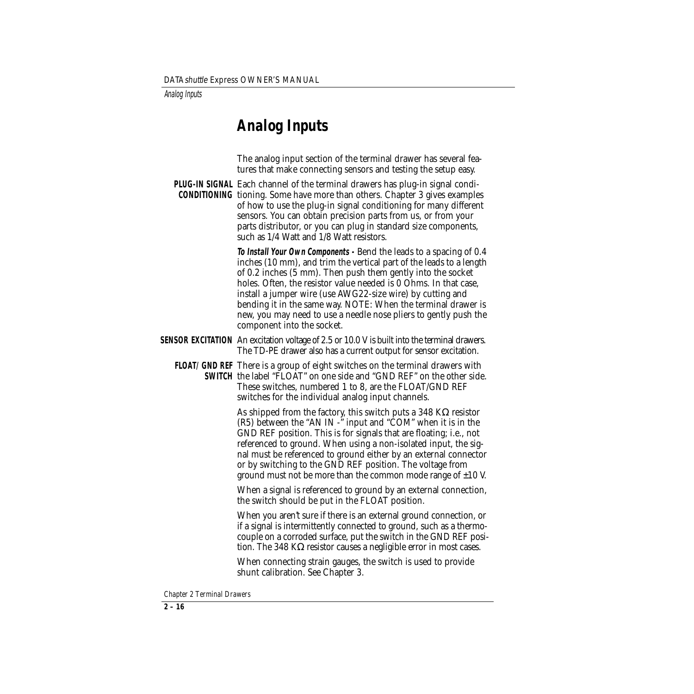Analog Inputs

### *Analog Inputs*

The analog input section of the terminal drawer has several features that make connecting sensors and testing the setup easy.

**PLUG-IN SIGNAL** Each channel of the terminal drawers has plug-in signal condi-**CONDITIONING** tioning. Some have more than others. Chapter 3 gives examples of how to use the plug-in signal conditioning for many different sensors. You can obtain precision parts from us, or from your parts distributor, or you can plug in standard size components, such as 1/4 Watt and 1/8 Watt resistors.

> **To Install Your Own Components -** Bend the leads to a spacing of 0.4 inches (10 mm), and trim the vertical part of the leads to a length of 0.2 inches (5 mm). Then push them gently into the socket holes. Often, the resistor value needed is 0 Ohms. In that case, install a jumper wire (use AWG22-size wire) by cutting and bending it in the same way. NOTE: When the terminal drawer is new, you may need to use a needle nose pliers to gently push the component into the socket.

- **SENSOR EXCITATION** An excitation voltage of 2.5 or 10.0 V is built into the terminal drawers. The TD-PE drawer also has a current output for sensor excitation.
	- **FLOAT/GND REF** There is a group of eight switches on the terminal drawers with **SWITCH** the label "FLOAT" on one side and "GND REF" on the other side. These switches, numbered 1 to 8, are the FLOAT/GND REF switches for the individual analog input channels.

As shipped from the factory, this switch puts a 348 K $\Omega$  resistor (R5) between the "AN IN -" input and "COM" when it is in the GND REF position. This is for signals that are floating; i.e., not referenced to ground. When using a non-isolated input, the signal must be referenced to ground either by an external connector or by switching to the GND REF position. The voltage from ground must not be more than the common mode range of  $\pm 10$  V.

When a signal is referenced to ground by an external connection, the switch should be put in the FLOAT position.

When you aren't sure if there is an external ground connection, or if a signal is intermittently connected to ground, such as a thermocouple on a corroded surface, put the switch in the GND REF position. The 348 K $\Omega$  resistor causes a negligible error in most cases.

When connecting strain gauges, the switch is used to provide shunt calibration. See Chapter 3.

*Chapter 2 Terminal Drawers*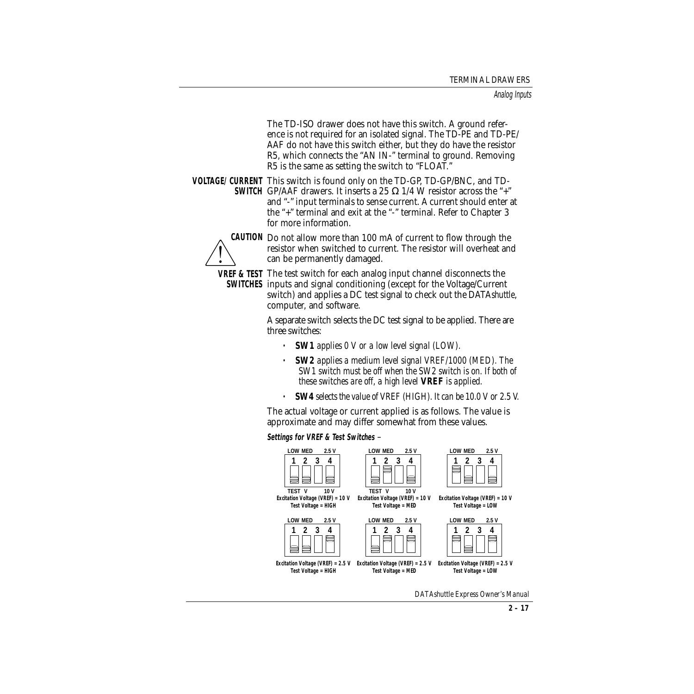Analog Inputs

The TD-ISO drawer does not have this switch. A ground reference is not required for an isolated signal. The TD-PE and TD-PE/ AAF do not have this switch either, but they do have the resistor R5, which connects the "AN IN-" terminal to ground. Removing R5 is the same as setting the switch to "FLOAT."

**VOLTAGE/CURRENT** This switch is found only on the TD-GP, TD-GP/BNC, and TD-**SWITCH** GP/AAF drawers. It inserts a 25  $\Omega$  1/4 W resistor across the "+" and "-" input terminals to sense current. A current should enter at the "+" terminal and exit at the "-" terminal. Refer to Chapter 3 for more information.



**CAUTION** Do not allow more than 100 mA of current to flow through the resistor when switched to current. The resistor will overheat and can be permanently damaged.

**VREF & TEST** The test switch for each analog input channel disconnects the **SWITCHES** inputs and signal conditioning (except for the Voltage/Current switch) and applies a DC test signal to check out the DATA*shuttle*, computer, and software.

> A separate switch selects the DC test signal to be applied. There are three switches:

- *· SW1 applies 0 V or a low level signal (LOW).*
- *· SW2 applies a medium level signal VREF/1000 (MED). The SW1 switch must be off when the SW2 switch is on. If both of these switches are off, a high level VREF is applied.*
- *· SW4 selects the value of VREF (HIGH). It can be 10.0 V or 2.5 V.*

The actual voltage or current applied is as follows. The value is approximate and may differ somewhat from these values.

#### **Settings for VREF & Test Switches** –



**Excitation Voltage (VREF) = 10 V Test Voltage = HIGH**



**Test Voltage = HIGH**



**Excitation Voltage (VREF) = 10 V Test Voltage = MED**

| <b>LOW MED</b> | 2.5V |
|----------------|------|
|                |      |
|                |      |
|                |      |
|                |      |

**Test Voltage = MED**

**1234 LOW MED 2.5 V**



| <b>LOW MED</b> | 2.5V |
|----------------|------|
|                |      |
|                |      |
|                |      |
|                |      |
|                |      |

**Excitation Voltage (VREF) = 2.5 V Excitation Voltage (VREF) = 2.5 V Excitation Voltage (VREF) = 2.5 V Test Voltage = LOW**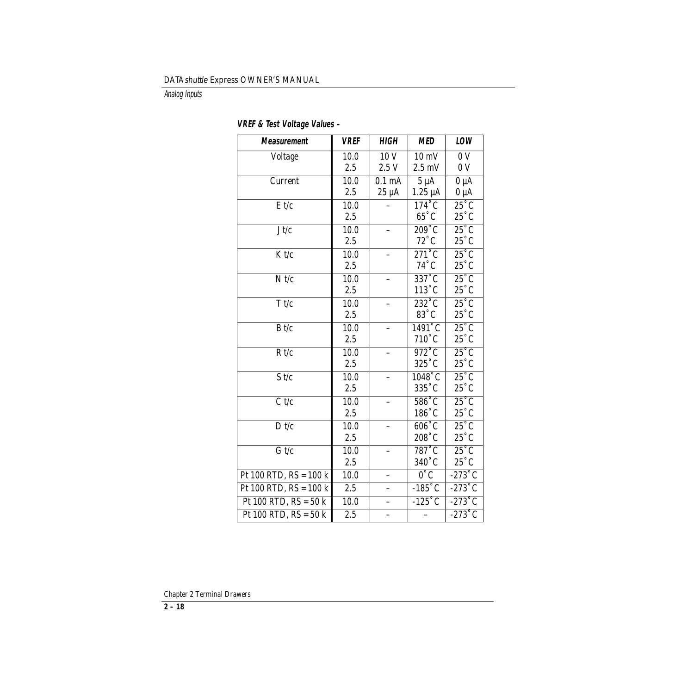Analog Inputs

**VREF & Test Voltage Values –**

| <b>Measurement</b>       | <b>VREF</b> | <b>HIGH</b>      | <b>MED</b>               | LOW                     |
|--------------------------|-------------|------------------|--------------------------|-------------------------|
| Voltage                  | 10.0        | 10V              | $\overline{10}$ mV       | $\overline{0}V$         |
|                          | 2.5         | 2.5V             | $2.5 \text{ mV}$         | 0 <sub>V</sub>          |
| Current                  | 10.0        | $0.1 \text{ mA}$ | $5 \mu A$                | $0 \mu A$               |
|                          | 2.5         | $25 \mu A$       | $1.25 \mu A$             | $0 \mu A$               |
| E t/c                    | 10.0        |                  | 174°C                    | $25^{\circ}$ C          |
|                          | 2.5         |                  | 65°C                     | $25^{\circ}$ C          |
| J t/c                    | 10.0        |                  | $209^\circ C$            | $25^{\circ}$ C          |
|                          | 2.5         |                  | $72^\circ C$             | $25^{\circ}$ C          |
| K t/c                    | 10.0        |                  | $271^\circ \overline{C}$ | $25^{\circ}$ C          |
|                          | 2.5         |                  | $74^\circ C$             | $25^{\circ}$ C          |
| N t/c                    | 10.0        |                  | $337^\circ C$            | $25^\circ C$            |
|                          | 2.5         |                  | $113^\circ C$            | $25^{\circ}$ C          |
| T t/c                    | 10.0        |                  | $232^\circ C$            | $25^\circ \overline{C}$ |
|                          | 2.5         |                  | 83°C                     | $25^{\circ}$ C          |
| B t/c                    | 10.0        |                  | $1491^\circ C$           | $25^\circ \overline{C}$ |
|                          | 2.5         |                  | $710^\circ C$            | $25^{\circ}$ C          |
| R t/c                    | 10.0        |                  | $972^\circ C$            | $25\degree C$           |
|                          | 2.5         |                  | $325^\circ C$            | $25^\circ C$            |
| S t/c                    | 10.0        |                  | $\overline{1048}$ °C     | $25^\circ C$            |
|                          | 2.5         |                  | $335^\circ C$            | $25^{\circ}$ C          |
| $C$ t/c                  | 10.0        |                  | 586°C                    | $25^{\circ}$ C          |
|                          | 2.5         |                  | 186°C                    | $25^{\circ}$ C          |
| $D$ t/c                  | 10.0        |                  | 606°C                    | $25^{\circ}$ C          |
|                          | 2.5         |                  | 208°C                    | $25^{\circ}$ C          |
| G t/c                    | 10.0        |                  | 787°C                    | $25^\circ C$            |
|                          | 2.5         |                  | 340°C                    | $25^{\circ}$ C          |
| Pt 100 RTD, $RS = 100 k$ | 10.0        |                  | $0^{\circ}$ C            | $-273^\circ C$          |
| Pt 100 RTD, $RS = 100 k$ | 2.5         |                  | $-185^\circ C$           | $-273^\circ C$          |
| Pt 100 RTD, $RS = 50 k$  | 10.0        |                  | $-125$ °C                | $-273^\circ C$          |
| Pt 100 RTD, $RS = 50 k$  | 2.5         |                  |                          | $-273^\circ C$          |

*Chapter 2 Terminal Drawers*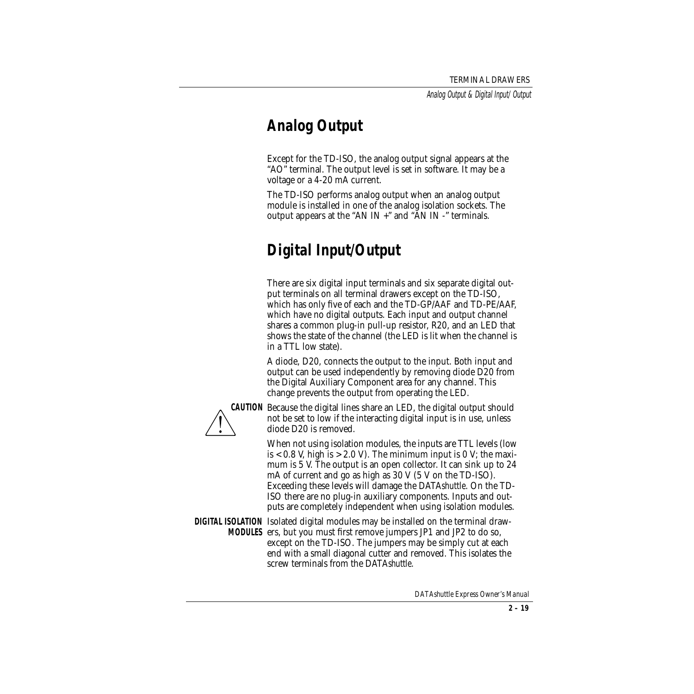Analog Output & Digital Input/Output

## *Analog Output*

Except for the TD-ISO, the analog output signal appears at the "AO" terminal. The output level is set in software. It may be a voltage or a 4-20 mA current.

The TD-ISO performs analog output when an analog output module is installed in one of the analog isolation sockets. The output appears at the "AN IN  $+$ " and "AN IN  $-$ " terminals.

# *Digital Input/Output*

There are six digital input terminals and six separate digital output terminals on all terminal drawers except on the TD-ISO, which has only five of each and the TD-GP/AAF and TD-PE/AAF, which have no digital outputs. Each input and output channel shares a common plug-in pull-up resistor, R20, and an LED that shows the state of the channel (the LED is lit when the channel is in a TTL low state).

A diode, D20, connects the output to the input. Both input and output can be used independently by removing diode D20 from the Digital Auxiliary Component area for any channel. This change prevents the output from operating the LED.



**CAUTION** Because the digital lines share an LED, the digital output should not be set to low if the interacting digital input is in use, unless diode D20 is removed.

> When not using isolation modules, the inputs are TTL levels (low is  $< 0.8$  V, high is  $> 2.0$  V). The minimum input is 0 V; the maximum is 5 V. The output is an open collector. It can sink up to 24 mA of current and go as high as 30 V (5 V on the TD-ISO). Exceeding these levels will damage the DATA*shuttle*. On the TD-ISO there are no plug-in auxiliary components. Inputs and outputs are completely independent when using isolation modules.

**DIGITAL ISOLATION** Isolated digital modules may be installed on the terminal draw-**MODULES** ers, but you must first remove jumpers JP1 and JP2 to do so, except on the TD-ISO. The jumpers may be simply cut at each end with a small diagonal cutter and removed. This isolates the screw terminals from the DATA*shuttle*.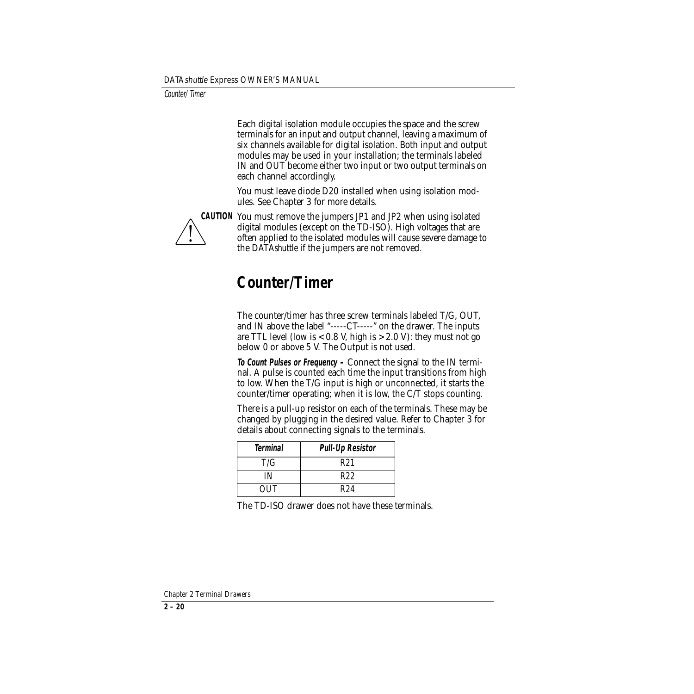Counter/Timer

Each digital isolation module occupies the space and the screw terminals for an input and output channel, leaving a maximum of six channels available for digital isolation. Both input and output modules may be used in your installation; the terminals labeled IN and OUT become either two input or two output terminals on each channel accordingly.

You must leave diode D20 installed when using isolation modules. See Chapter 3 for more details.

**CAUTION** You must remove the jumpers JP1 and JP2 when using isolated digital modules (except on the TD-ISO). High voltages that are often applied to the isolated modules will cause severe damage to the DATA*shuttle* if the jumpers are not removed.

## *Counter/Timer*

The counter/timer has three screw terminals labeled T/G, OUT, and IN above the label "-----CT-----" on the drawer. The inputs are TTL level (low is  $< 0.8$  V, high is  $> 2.0$  V): they must not go below 0 or above 5 V. The Output is not used.

**To Count Pulses or Frequency –** Connect the signal to the IN terminal. A pulse is counted each time the input transitions from high to low. When the T/G input is high or unconnected, it starts the counter/timer operating; when it is low, the C/T stops counting.

There is a pull-up resistor on each of the terminals. These may be changed by plugging in the desired value. Refer to Chapter 3 for details about connecting signals to the terminals.

| <b>Terminal</b> | <b>Pull-Up Resistor</b> |
|-----------------|-------------------------|
| T/G             | R21                     |
| ΙN              | R22                     |
| OUT             | R24                     |

The TD-ISO drawer does not have these terminals.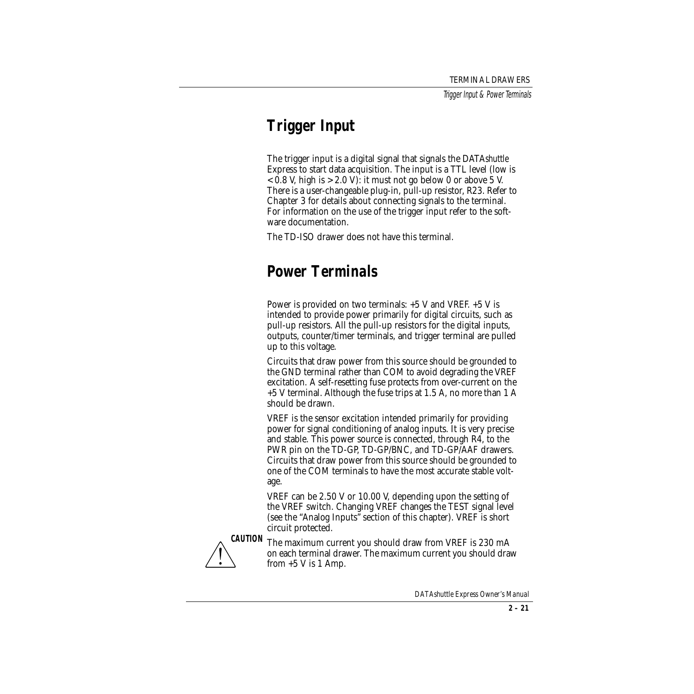Trigger Input & Power Terminals

# *Trigger Input*

The trigger input is a digital signal that signals the DATA*shuttle* Express to start data acquisition. The input is a TTL level (low is  $<$  0.8 V, high is  $>$  2.0 V): it must not go below 0 or above 5 V. There is a user-changeable plug-in, pull-up resistor, R23. Refer to Chapter 3 for details about connecting signals to the terminal. For information on the use of the trigger input refer to the software documentation.

The TD-ISO drawer does not have this terminal.

## *Power Terminals*

Power is provided on two terminals:  $+5$  V and VREF.  $+5$  V is intended to provide power primarily for digital circuits, such as pull-up resistors. All the pull-up resistors for the digital inputs, outputs, counter/timer terminals, and trigger terminal are pulled up to this voltage.

Circuits that draw power from this source should be grounded to the GND terminal rather than COM to avoid degrading the VREF excitation. A self-resetting fuse protects from over-current on the +5 V terminal. Although the fuse trips at 1.5 A, no more than 1 A should be drawn.

VREF is the sensor excitation intended primarily for providing power for signal conditioning of analog inputs. It is very precise and stable. This power source is connected, through R4, to the PWR pin on the TD-GP, TD-GP/BNC, and TD-GP/AAF drawers. Circuits that draw power from this source should be grounded to one of the COM terminals to have the most accurate stable voltage.

VREF can be 2.50 V or 10.00 V, depending upon the setting of the VREF switch. Changing VREF changes the TEST signal level (see the "Analog Inputs" section of this chapter). VREF is short circuit protected.



The maximum current you should draw from VREF is 230 mA on each terminal drawer. The maximum current you should draw from  $+5$  V is 1 Amp.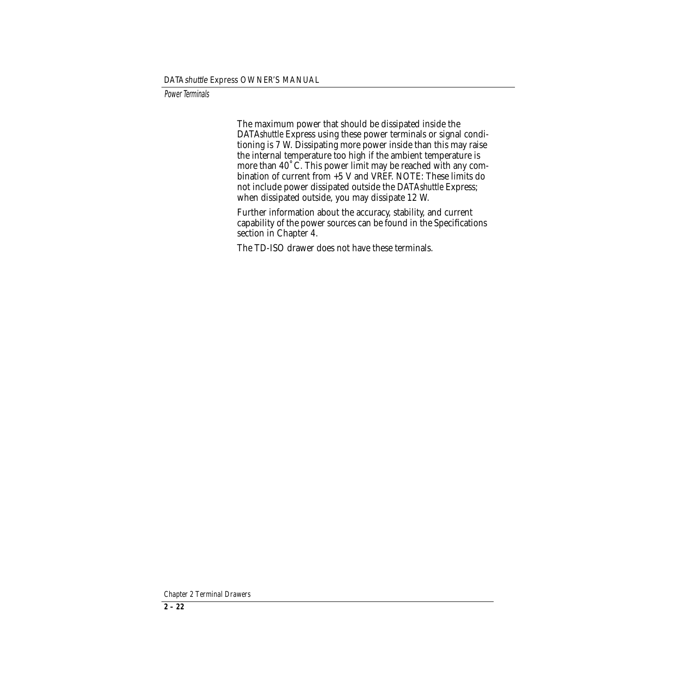Power Terminals

The maximum power that should be dissipated inside the DATA*shuttle* Express using these power terminals or signal conditioning is 7 W. Dissipating more power inside than this may raise the internal temperature too high if the ambient temperature is more than 40˚ C. This power limit may be reached with any combination of current from +5 V and VREF. NOTE: These limits do not include power dissipated outside the DATA*shuttle* Express; when dissipated outside, you may dissipate 12 W.

Further information about the accuracy, stability, and current capability of the power sources can be found in the Specifications section in Chapter 4.

The TD-ISO drawer does not have these terminals.

*Chapter 2 Terminal Drawers*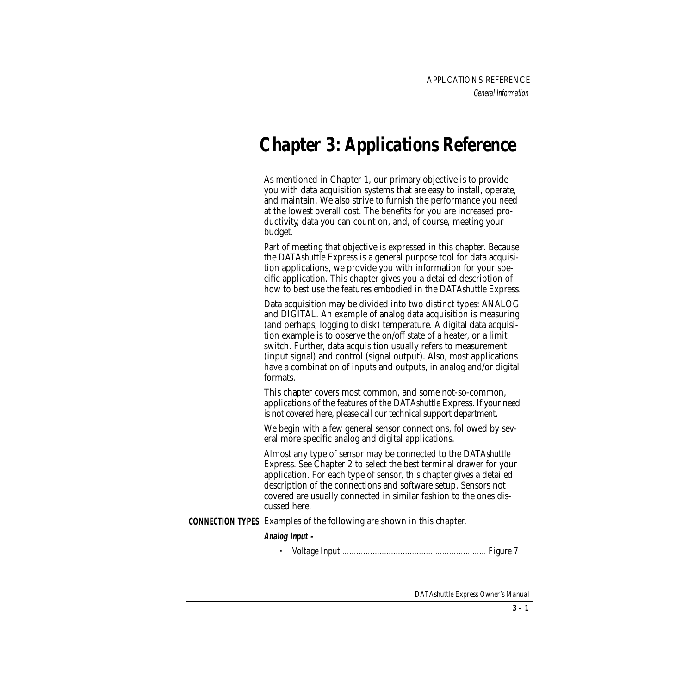# *Chapter 3: Applications Reference*

As mentioned in Chapter 1, our primary objective is to provide you with data acquisition systems that are easy to install, operate, and maintain. We also strive to furnish the performance you need at the lowest overall cost. The benefits for you are increased productivity, data you can count on, and, of course, meeting your budget.

Part of meeting that objective is expressed in this chapter. Because the DATA*shuttle* Express is a general purpose tool for data acquisition applications, we provide you with information for your specific application. This chapter gives you a detailed description of how to best use the features embodied in the DATA*shuttle* Express.

Data acquisition may be divided into two distinct types: ANALOG and DIGITAL. An example of analog data acquisition is measuring (and perhaps, logging to disk) temperature. A digital data acquisition example is to observe the on/off state of a heater, or a limit switch. Further, data acquisition usually refers to measurement (input signal) and control (signal output). Also, most applications have a combination of inputs and outputs, in analog and/or digital formats.

This chapter covers most common, and some not-so-common, applications of the features of the DATA*shuttle* Express. If your need is not covered here, please call our technical support department.

We begin with a few general sensor connections, followed by several more specific analog and digital applications.

Almost any type of sensor may be connected to the DATA*shuttle* Express. See Chapter 2 to select the best terminal drawer for your application. For each type of sensor, this chapter gives a detailed description of the connections and software setup. Sensors not covered are usually connected in similar fashion to the ones discussed here.

**CONNECTION TYPES** Examples of the following are shown in this chapter.

### **Analog Input –**

*· Voltage Input .............................................................. Figure 7*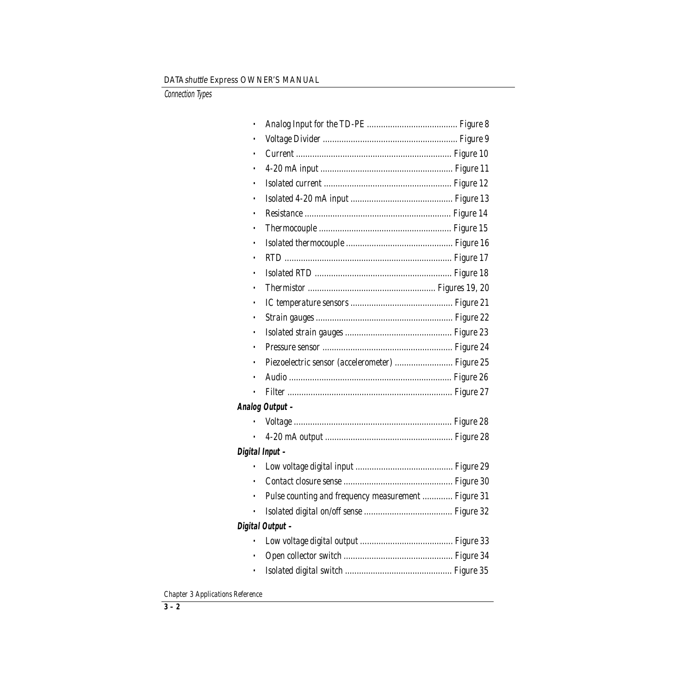### Connection Types

|                 | Piezoelectric sensor (accelerometer)  Figure 25     |  |
|-----------------|-----------------------------------------------------|--|
|                 |                                                     |  |
| $\cdot$         |                                                     |  |
|                 | Analog Output -                                     |  |
| $\cdot$         |                                                     |  |
| $\cdot$         |                                                     |  |
| Digital Input - |                                                     |  |
|                 |                                                     |  |
|                 |                                                     |  |
|                 | Pulse counting and frequency measurement  Figure 31 |  |
|                 |                                                     |  |
|                 | Digital Output -                                    |  |
|                 |                                                     |  |
|                 |                                                     |  |
|                 |                                                     |  |

*Chapter 3 Applications Reference*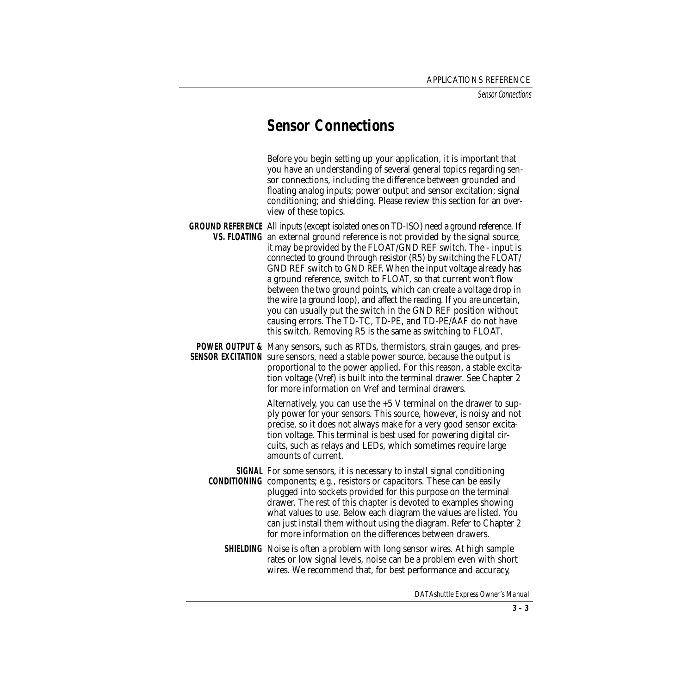Sensor Connections

## *Sensor Connections*

| Before you begin setting up your application, it is important that<br>you have an understanding of several general topics regarding sen-<br>sor connections, including the difference between grounded and<br>floating analog inputs; power output and sensor excitation; signal<br>conditioning; and shielding. Please review this section for an over-<br>view of these topics.                                                                                                                                                                                                                                                                                                                                                                                                                             |
|---------------------------------------------------------------------------------------------------------------------------------------------------------------------------------------------------------------------------------------------------------------------------------------------------------------------------------------------------------------------------------------------------------------------------------------------------------------------------------------------------------------------------------------------------------------------------------------------------------------------------------------------------------------------------------------------------------------------------------------------------------------------------------------------------------------|
| <b>GROUND REFERENCE</b> All inputs (except isolated ones on TD-ISO) need a ground reference. If<br>VS. FLOATING an external ground reference is not provided by the signal source,<br>it may be provided by the FLOAT/GND REF switch. The - input is<br>connected to ground through resistor (R5) by switching the FLOAT/<br>GND REF switch to GND REF. When the input voltage already has<br>a ground reference, switch to FLOAT, so that current won't flow<br>between the two ground points, which can create a voltage drop in<br>the wire (a ground loop), and affect the reading. If you are uncertain,<br>you can usually put the switch in the GND REF position without<br>causing errors. The TD-TC, TD-PE, and TD-PE/AAF do not have<br>this switch. Removing R5 is the same as switching to FLOAT. |
| <b>POWER OUTPUT &amp;</b> Many sensors, such as RTDs, thermistors, strain gauges, and pres-<br><b>SENSOR EXCITATION</b> sure sensors, need a stable power source, because the output is<br>proportional to the power applied. For this reason, a stable excita-<br>tion voltage (Vref) is built into the terminal drawer. See Chapter 2<br>for more information on Vref and terminal drawers.                                                                                                                                                                                                                                                                                                                                                                                                                 |
| Alternatively, you can use the +5 V terminal on the drawer to sup-<br>ply power for your sensors. This source, however, is noisy and not<br>precise, so it does not always make for a very good sensor excita-<br>tion voltage. This terminal is best used for powering digital cir-<br>cuits, such as relays and LEDs, which sometimes require large<br>amounts of current.                                                                                                                                                                                                                                                                                                                                                                                                                                  |
| <b>SIGNAL</b> For some sensors, it is necessary to install signal conditioning<br><b>CONDITIONING</b> components; e.g., resistors or capacitors. These can be easily<br>plugged into sockets provided for this purpose on the terminal<br>drawer. The rest of this chapter is devoted to examples showing<br>what values to use. Below each diagram the values are listed. You<br>can just install them without using the diagram. Refer to Chapter 2<br>for more information on the differences between drawers.                                                                                                                                                                                                                                                                                             |
| <b>SHIELDING</b> Noise is often a problem with long sensor wires. At high sample<br>rates or low signal levels, noise can be a problem even with short<br>wires. We recommend that, for best performance and accuracy,                                                                                                                                                                                                                                                                                                                                                                                                                                                                                                                                                                                        |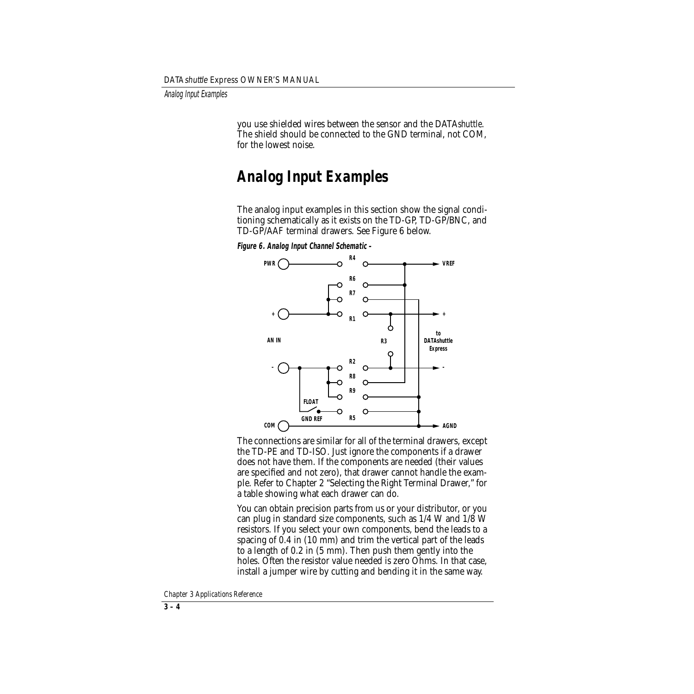you use shielded wires between the sensor and the DATA*shuttle*. The shield should be connected to the GND terminal, not COM, for the lowest noise.

## *Analog Input Examples*

The analog input examples in this section show the signal conditioning schematically as it exists on the TD-GP, TD-GP/BNC, and TD-GP/AAF terminal drawers. See Figure 6 below.

**Figure 6. Analog Input Channel Schematic –**



The connections are similar for all of the terminal drawers, except the TD-PE and TD-ISO. Just ignore the components if a drawer does not have them. If the components are needed (their values are specified and not zero), that drawer cannot handle the example. Refer to Chapter 2 "Selecting the Right Terminal Drawer," for a table showing what each drawer can do.

You can obtain precision parts from us or your distributor, or you can plug in standard size components, such as 1/4 W and 1/8 W resistors. If you select your own components, bend the leads to a spacing of 0.4 in (10 mm) and trim the vertical part of the leads to a length of 0.2 in (5 mm). Then push them gently into the holes. Often the resistor value needed is zero Ohms. In that case, install a jumper wire by cutting and bending it in the same way.

*Chapter 3 Applications Reference*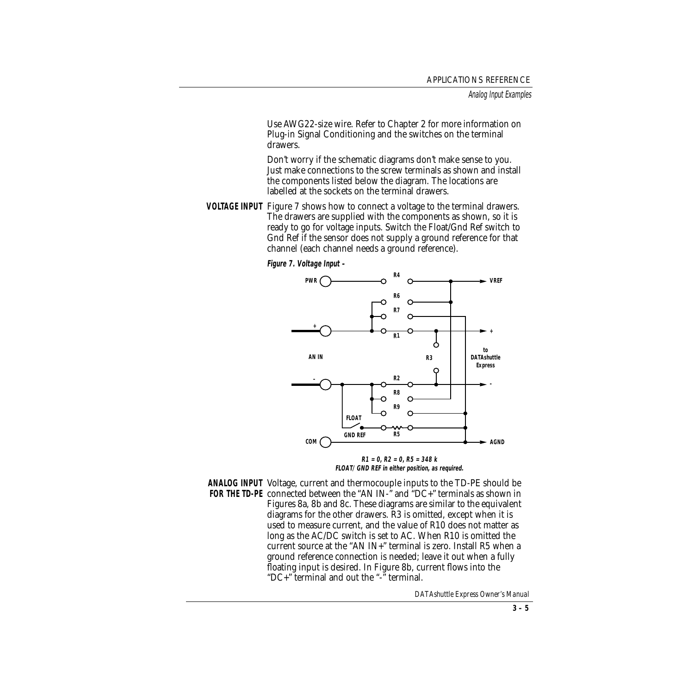Use AWG22-size wire. Refer to Chapter 2 for more information on Plug-in Signal Conditioning and the switches on the terminal drawers.

Don't worry if the schematic diagrams don't make sense to you. Just make connections to the screw terminals as shown and install the components listed below the diagram. The locations are labelled at the sockets on the terminal drawers.

**VOLTAGE INPUT** Figure 7 shows how to connect a voltage to the terminal drawers. The drawers are supplied with the components as shown, so it is ready to go for voltage inputs. Switch the Float/Gnd Ref switch to Gnd Ref if the sensor does not supply a ground reference for that channel (each channel needs a ground reference).



**Figure 7. Voltage Input –**

**R1 = 0, R2 = 0, R5 = 348 k FLOAT/GND REF in either position, as required.**

**ANALOG INPUT** Voltage, current and thermocouple inputs to the TD-PE should be **FOR THE TD-PE** connected between the "AN IN-" and "DC+" terminals as shown in Figures 8a, 8b and 8c. These diagrams are similar to the equivalent diagrams for the other drawers. R3 is omitted, except when it is used to measure current, and the value of R10 does not matter as long as the AC/DC switch is set to AC. When R10 is omitted the current source at the "AN IN+" terminal is zero. Install R5 when a ground reference connection is needed; leave it out when a fully floating input is desired. In Figure 8b, current flows into the "DC+" terminal and out the "-" terminal.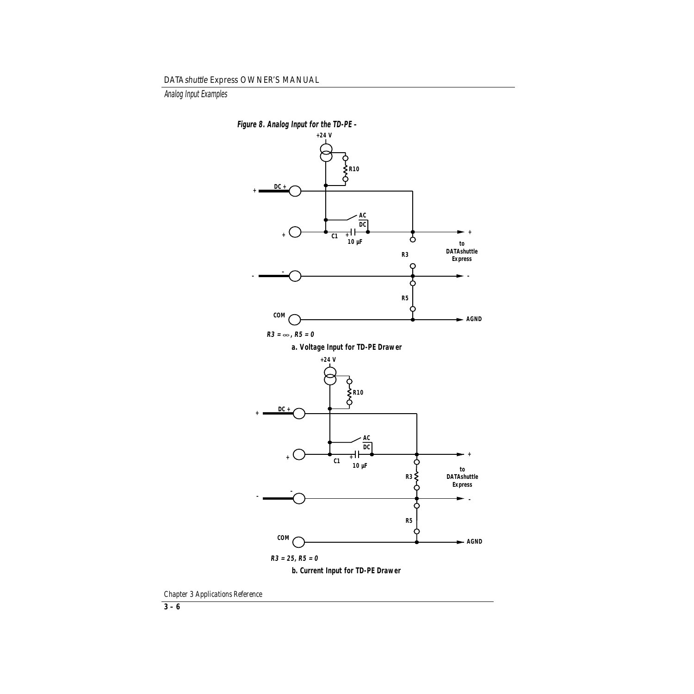

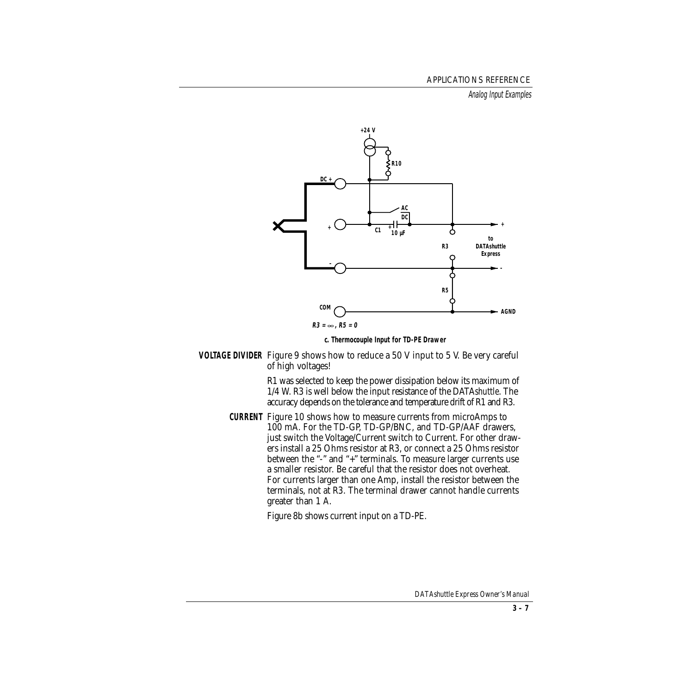

**c. Thermocouple Input for TD-PE Drawer**

**VOLTAGE DIVIDER** Figure 9 shows how to reduce a 50 V input to 5 V. Be very careful of high voltages!

> R1 was selected to keep the power dissipation below its maximum of 1/4 W. R3 is well below the input resistance of the DATA*shuttle*. The accuracy depends on the tolerance and temperature drift of R1 and R3.

**CURRENT** Figure 10 shows how to measure currents from microAmps to 100 mA. For the TD-GP, TD-GP/BNC, and TD-GP/AAF drawers, just switch the Voltage/Current switch to Current. For other drawers install a 25 Ohms resistor at R3, or connect a 25 Ohms resistor between the "-" and "+" terminals. To measure larger currents use a smaller resistor. Be careful that the resistor does not overheat. For currents larger than one Amp, install the resistor between the terminals, not at R3. The terminal drawer cannot handle currents greater than 1 A.

Figure 8b shows current input on a TD-PE.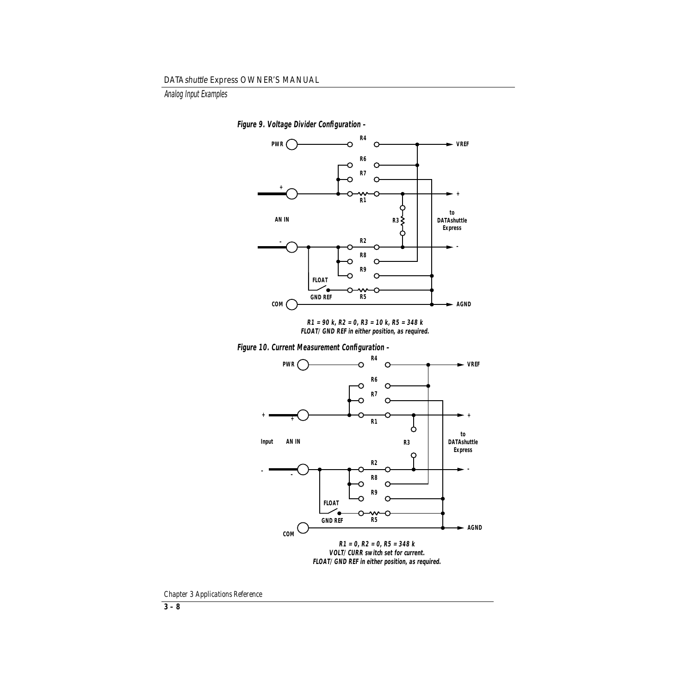

**Figure 9. Voltage Divider Configuration –**

**R1 = 90 k, R2 = 0, R3 = 10 k, R5 = 348 k FLOAT/GND REF in either position, as required.**

**Figure 10. Current Measurement Configuration –**



**FLOAT/GND REF in either position, as required.**

*Chapter 3 Applications Reference*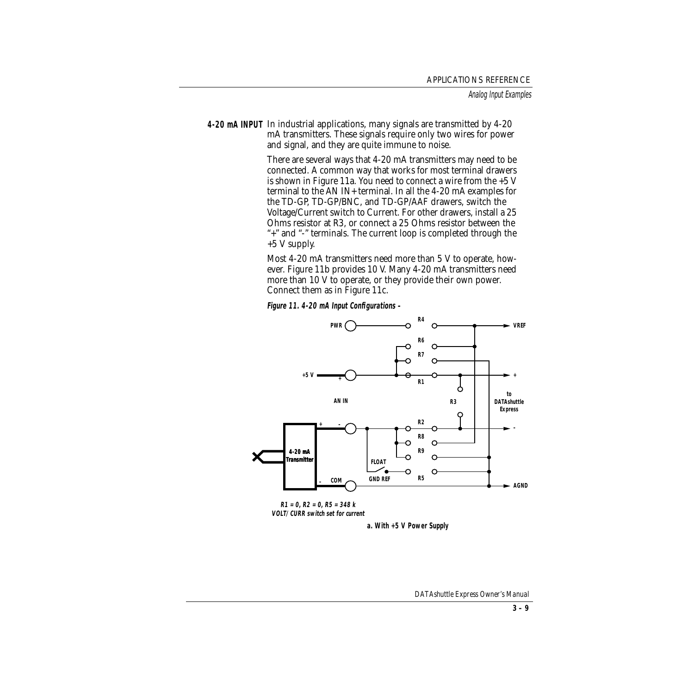**4-20 mA INPUT** In industrial applications, many signals are transmitted by 4-20 mA transmitters. These signals require only two wires for power and signal, and they are quite immune to noise.

> There are several ways that 4-20 mA transmitters may need to be connected. A common way that works for most terminal drawers is shown in Figure 11a. You need to connect a wire from the +5 V terminal to the AN IN+ terminal. In all the 4-20 mA examples for the TD-GP, TD-GP/BNC, and TD-GP/AAF drawers, switch the Voltage/Current switch to Current. For other drawers, install a 25 Ohms resistor at R3, or connect a 25 Ohms resistor between the "+" and "-" terminals. The current loop is completed through the +5 V supply.

> Most 4-20 mA transmitters need more than 5 V to operate, however. Figure 11b provides 10 V. Many 4-20 mA transmitters need more than 10 V to operate, or they provide their own power. Connect them as in Figure 11c.





**R1 = 0, R2 = 0, R5 = 348 k VOLT/CURR switch set for current**

**a. With +5 V Power Supply**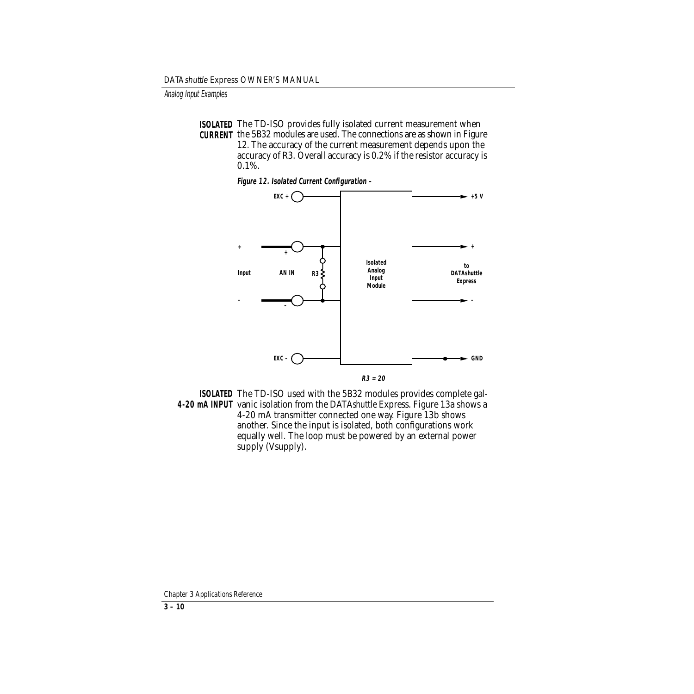**ISOLATED** The TD-ISO provides fully isolated current measurement when **CURRENT** the 5B32 modules are used. The connections are as shown in Figure 12. The accuracy of the current measurement depends upon the accuracy of R3. Overall accuracy is 0.2% if the resistor accuracy is 0.1%.



**Figure 12. Isolated Current Configuration –**

**ISOLATED** The TD-ISO used with the 5B32 modules provides complete gal-**4-20 mA INPUT** vanic isolation from the DATA*shuttle* Express. Figure 13a shows a 4-20 mA transmitter connected one way. Figure 13b shows another. Since the input is isolated, both configurations work equally well. The loop must be powered by an external power supply (Vsupply).

*Chapter 3 Applications Reference*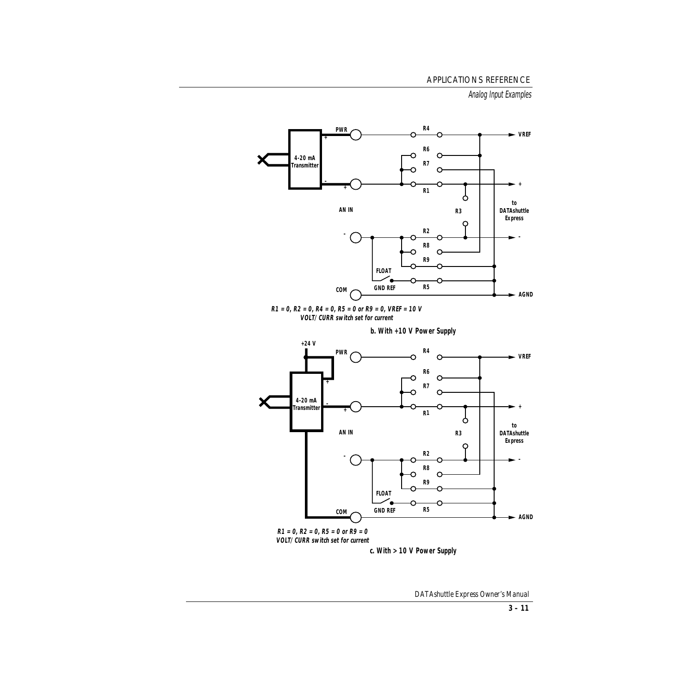

**VOLT/CURR switch set for current**

**b. With +10 V Power Supply**



**VOLT/CURR switch set for current**

**c. With > 10 V Power Supply**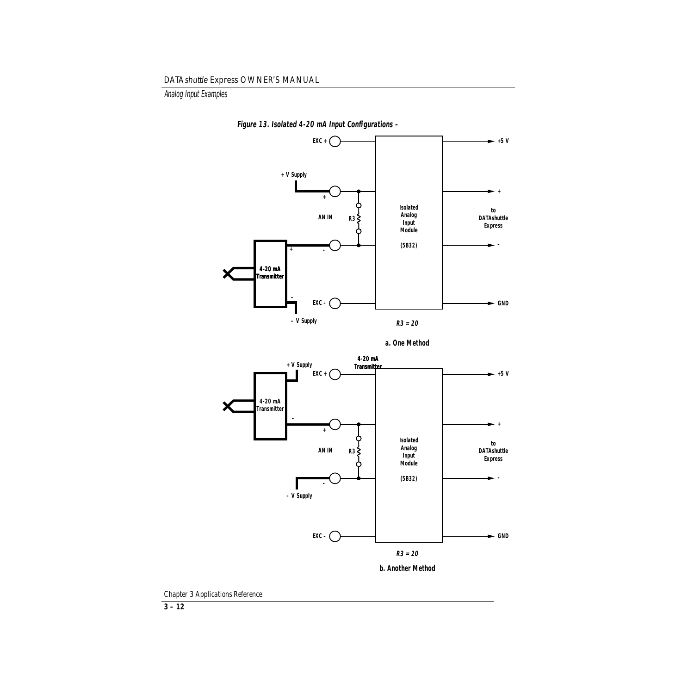

**Figure 13. Isolated 4-20 mA Input Configurations –**

**a. One Method**



**b. Another Method**

*Chapter 3 Applications Reference*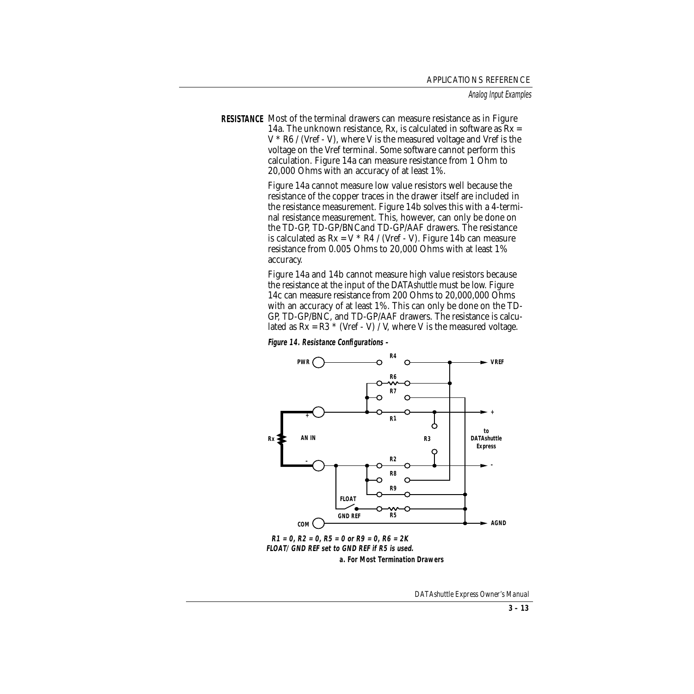**RESISTANCE** Most of the terminal drawers can measure resistance as in Figure 14a. The unknown resistance, Rx, is calculated in software as  $Rx =$  $V * R6$  / (Vref - V), where V is the measured voltage and Vref is the voltage on the Vref terminal. Some software cannot perform this calculation. Figure 14a can measure resistance from 1 Ohm to 20,000 Ohms with an accuracy of at least 1%.

> Figure 14a cannot measure low value resistors well because the resistance of the copper traces in the drawer itself are included in the resistance measurement. Figure 14b solves this with a 4-terminal resistance measurement. This, however, can only be done on the TD-GP, TD-GP/BNCand TD-GP/AAF drawers. The resistance is calculated as  $Rx = V * R4 / (Vref - V)$ . Figure 14b can measure resistance from 0.005 Ohms to 20,000 Ohms with at least 1% accuracy.

> Figure 14a and 14b cannot measure high value resistors because the resistance at the input of the DATA*shuttle* must be low. Figure 14c can measure resistance from 200 Ohms to 20,000,000 Ohms with an accuracy of at least 1%. This can only be done on the TD-GP, TD-GP/BNC, and TD-GP/AAF drawers. The resistance is calculated as  $Rx = R3$  \* (Vref - V) / V, where V is the measured voltage.





**a. For Most Termination Drawers**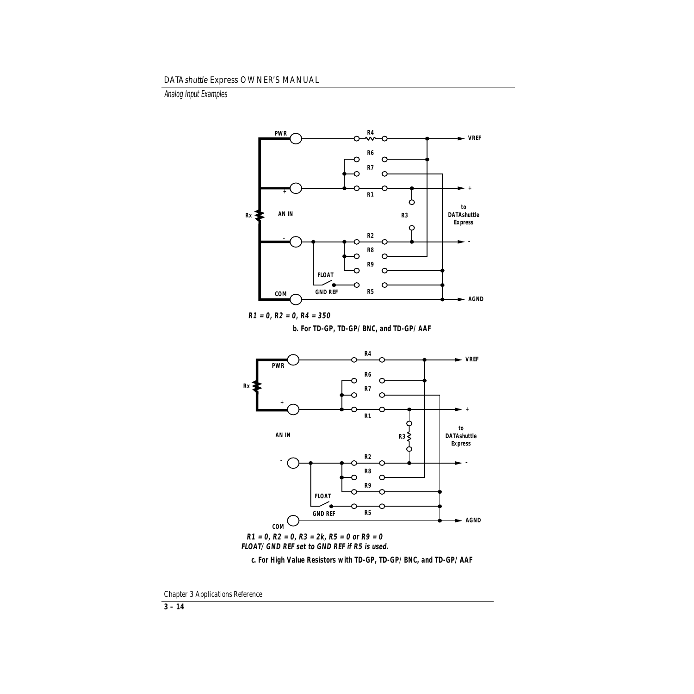

**R1 = 0, R2 = 0, R4 = 350**

**b. For TD-GP, TD-GP/BNC, and TD-GP/AAF**





**c. For High Value Resistors with TD-GP, TD-GP/BNC, and TD-GP/AAF**

*Chapter 3 Applications Reference*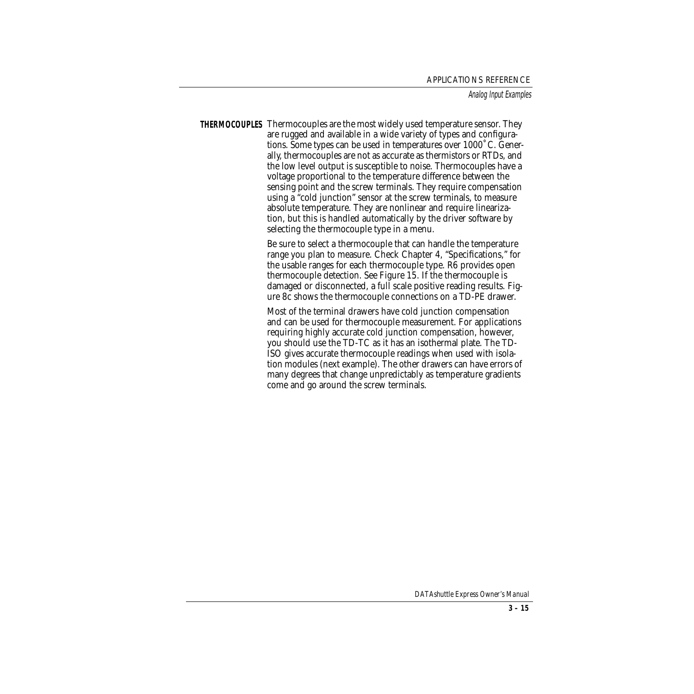**THERMOCOUPLES** Thermocouples are the most widely used temperature sensor. They are rugged and available in a wide variety of types and configurations. Some types can be used in temperatures over 1000˚ C. Generally, thermocouples are not as accurate as thermistors or RTDs, and the low level output is susceptible to noise. Thermocouples have a voltage proportional to the temperature difference between the sensing point and the screw terminals. They require compensation using a "cold junction" sensor at the screw terminals, to measure absolute temperature. They are nonlinear and require linearization, but this is handled automatically by the driver software by selecting the thermocouple type in a menu.

> Be sure to select a thermocouple that can handle the temperature range you plan to measure. Check Chapter 4, "Specifications," for the usable ranges for each thermocouple type. R6 provides open thermocouple detection. See Figure 15. If the thermocouple is damaged or disconnected, a full scale positive reading results. Figure 8c shows the thermocouple connections on a TD-PE drawer.

> Most of the terminal drawers have cold junction compensation and can be used for thermocouple measurement. For applications requiring highly accurate cold junction compensation, however, you should use the TD-TC as it has an isothermal plate. The TD-ISO gives accurate thermocouple readings when used with isolation modules (next example). The other drawers can have errors of many degrees that change unpredictably as temperature gradients come and go around the screw terminals.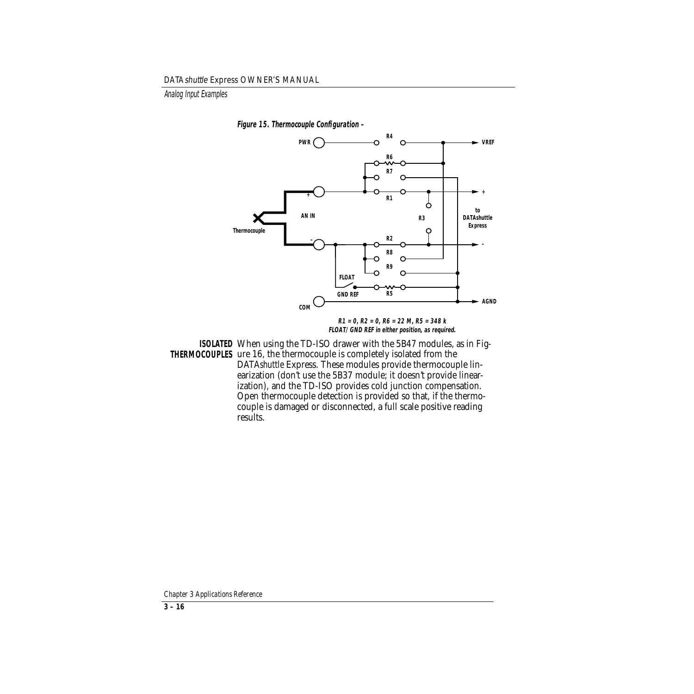

**Figure 15. Thermocouple Configuration –**

**R1 = 0, R2 = 0, R6 = 22 M, R5 = 348 k FLOAT/GND REF in either position, as required.**

**ISOLATED** When using the TD-ISO drawer with the 5B47 modules, as in Fig-**THERMOCOUPLES** ure 16, the thermocouple is completely isolated from the DATA*shuttle* Express. These modules provide thermocouple linearization (don't use the 5B37 module; it doesn't provide linearization), and the TD-ISO provides cold junction compensation. Open thermocouple detection is provided so that, if the thermocouple is damaged or disconnected, a full scale positive reading results.

*Chapter 3 Applications Reference*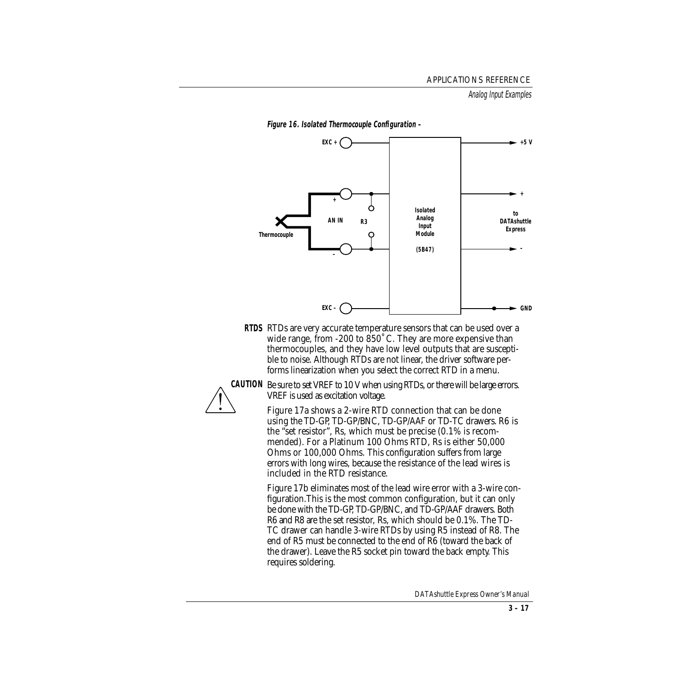

**Figure 16. Isolated Thermocouple Configuration –**

RTDs are very accurate temperature sensors that can be used over a **RTDS** wide range, from -200 to 850˚ C. They are more expensive than thermocouples, and they have low level outputs that are susceptible to noise. Although RTDs are not linear, the driver software performs linearization when you select the correct RTD in a menu.



**CAUTION** Be sure to set VREF to 10 V when using RTDs, or there will be large errors. VREF is used as excitation voltage.

> Figure 17a shows a 2-wire RTD connection that can be done using the TD-GP, TD-GP/BNC, TD-GP/AAF or TD-TC drawers. R6 is the "set resistor", Rs, which must be precise (0.1% is recommended). For a Platinum 100 Ohms RTD, Rs is either 50,000 Ohms or 100,000 Ohms. This configuration suffers from large errors with long wires, because the resistance of the lead wires is included in the RTD resistance.

Figure 17b eliminates most of the lead wire error with a 3-wire configuration.This is the most common configuration, but it can only be done with the TD-GP, TD-GP/BNC, and TD-GP/AAF drawers. Both R6 and R8 are the set resistor, Rs, which should be 0.1%. The TD-TC drawer can handle 3-wire RTDs by using R5 instead of R8. The end of R5 must be connected to the end of R6 (toward the back of the drawer). Leave the R5 socket pin toward the back empty. This requires soldering.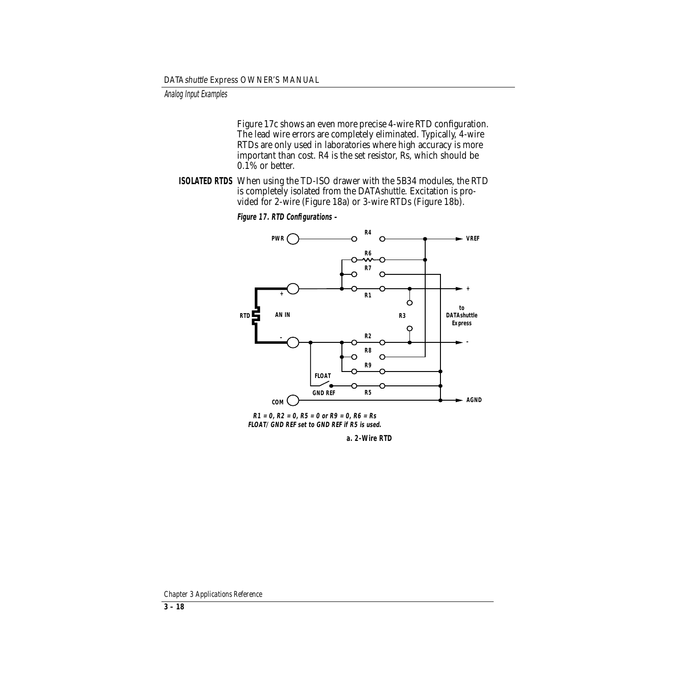Figure 17c shows an even more precise 4-wire RTD configuration. The lead wire errors are completely eliminated. Typically, 4-wire RTDs are only used in laboratories where high accuracy is more important than cost. R4 is the set resistor, Rs, which should be 0.1% or better.

**ISOLATED RTDS** When using the TD-ISO drawer with the 5B34 modules, the RTD is completely isolated from the DATA*shuttle*. Excitation is provided for 2-wire (Figure 18a) or 3-wire RTDs (Figure 18b).

> **R4 PWR VREF R6 R7 + + R1** ← **to AN IN RTD R3 DATAshuttle Express** C **– R2 – R8 R9 FLOAT GND REF R5**  $\overrightarrow{COM}$   $\longrightarrow$  AGND

**Figure 17. RTD Configurations –**

**R1 = 0, R2 = 0, R5 = 0 or R9 = 0, R6 = Rs FLOAT/GND REF set to GND REF if R5 is used.**

**a. 2-Wire RTD**

*Chapter 3 Applications Reference*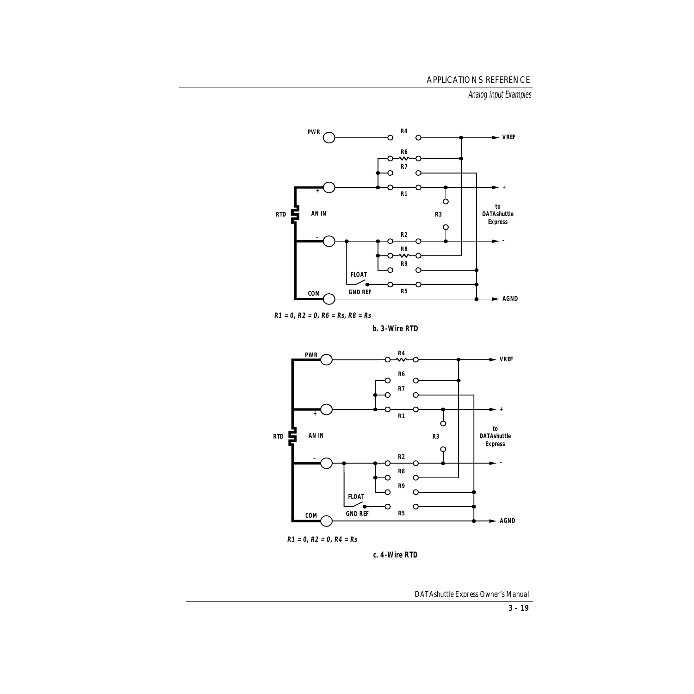

**R1 = 0, R2 = 0, R6 = Rs, R8 = Rs**

**b. 3-Wire RTD**



**R1 = 0, R2 = 0, R4 = Rs**

**c. 4-Wire RTD**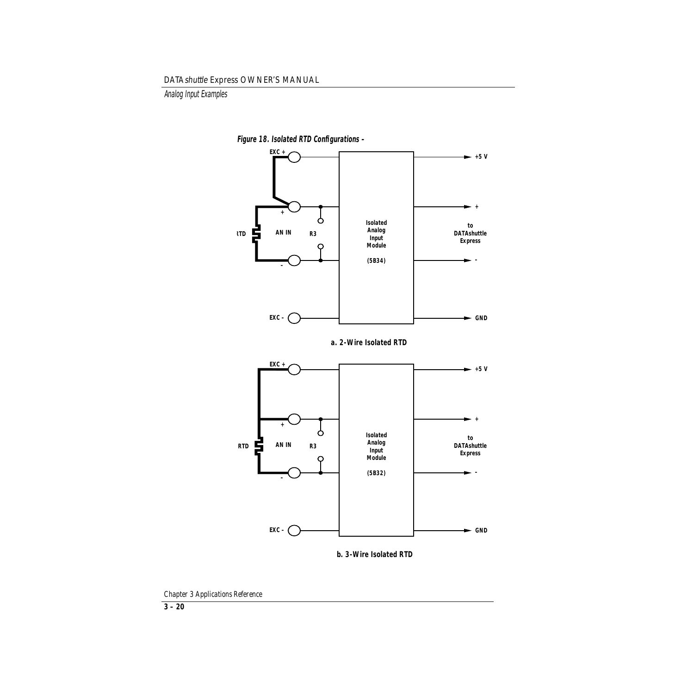

**Figure 18. Isolated RTD Configurations –**



#### *Chapter 3 Applications Reference*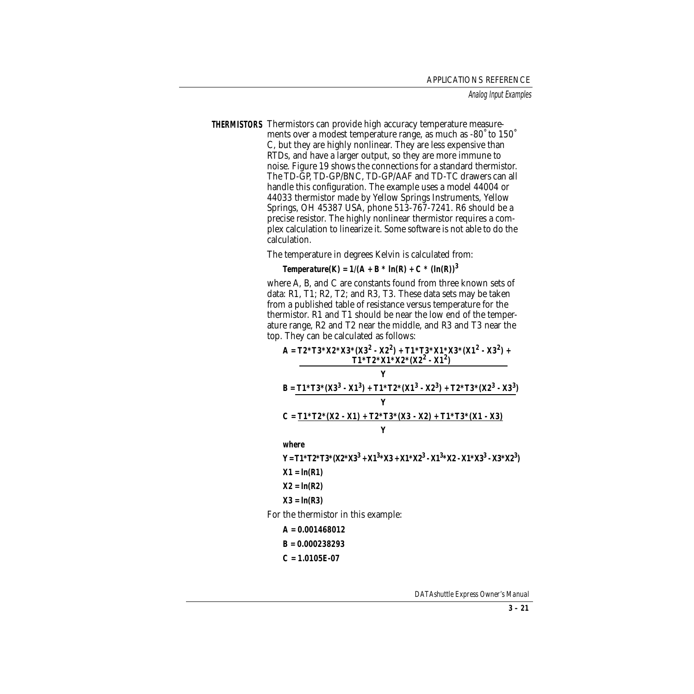**THERMISTORS** Thermistors can provide high accuracy temperature measurements over a modest temperature range, as much as -80˚ to 150˚ C, but they are highly nonlinear. They are less expensive than RTDs, and have a larger output, so they are more immune to noise. Figure 19 shows the connections for a standard thermistor. The TD-GP, TD-GP/BNC, TD-GP/AAF and TD-TC drawers can all handle this configuration. The example uses a model 44004 or 44033 thermistor made by Yellow Springs Instruments, Yellow Springs, OH 45387 USA, phone 513-767-7241. R6 should be a precise resistor. The highly nonlinear thermistor requires a complex calculation to linearize it. Some software is not able to do the calculation.

The temperature in degrees Kelvin is calculated from:

### *Temperature(K) =*  $1/(A + B * ln(R) + C * (ln(R))^3)$

where A, B, and C are constants found from three known sets of data: R1, T1; R2, T2; and R3, T3. These data sets may be taken from a published table of resistance versus temperature for the thermistor. R1 and T1 should be near the low end of the temperature range, R2 and T2 near the middle, and R3 and T3 near the top. They can be calculated as follows:

- *B = 0.000238293*
- *C = 1.0105E-07*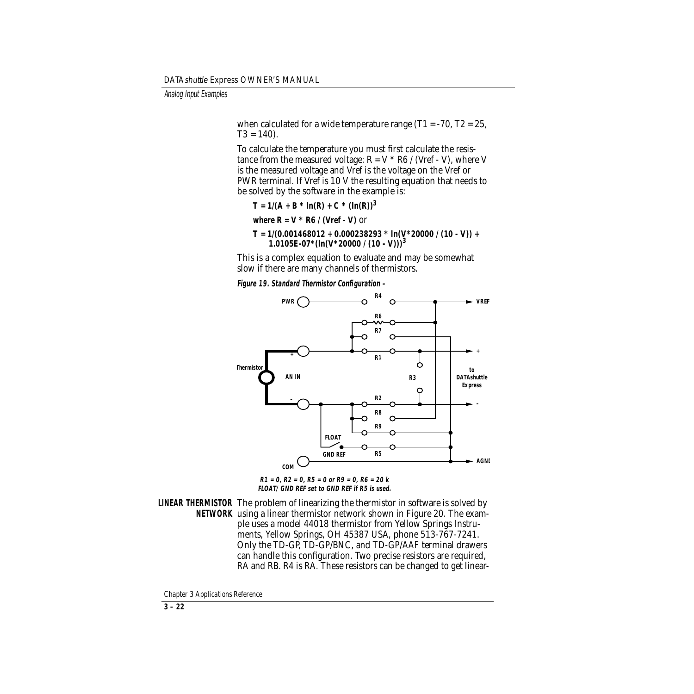when calculated for a wide temperature range  $(T1 = -70, T2 = 25, T3 = 25)$  $T3 = 140$ .

To calculate the temperature you must first calculate the resistance from the measured voltage:  $R = V * R6 / (Vref - V)$ , where V is the measured voltage and Vref is the voltage on the Vref or PWR terminal. If Vref is 10 V the resulting equation that needs to be solved by the software in the example is:

$$
T = 1/(A + B * ln(R) + C * (ln(R))^{3}
$$

*where R = V \* R6 / (Vref - V)* or

### $T = 1/(0.001468012 + 0.000238293 * ln(V*20000 / (10 - V)) +$ *1.0105E-07\*(ln(V\*20000 / (10 - V)))3*

This is a complex equation to evaluate and may be somewhat slow if there are many channels of thermistors.

**Figure 19. Standard Thermistor Configuration –**



**R1 = 0, R2 = 0, R5 = 0 or R9 = 0, R6 = 20 k FLOAT/GND REF set to GND REF if R5 is used.**

**LINEAR THERMISTOR** The problem of linearizing the thermistor in software is solved by **NETWORK** using a linear thermistor network shown in Figure 20. The example uses a model 44018 thermistor from Yellow Springs Instruments, Yellow Springs, OH 45387 USA, phone 513-767-7241. Only the TD-GP, TD-GP/BNC, and TD-GP/AAF terminal drawers can handle this configuration. Two precise resistors are required, RA and RB. R4 is RA. These resistors can be changed to get linear-

*Chapter 3 Applications Reference*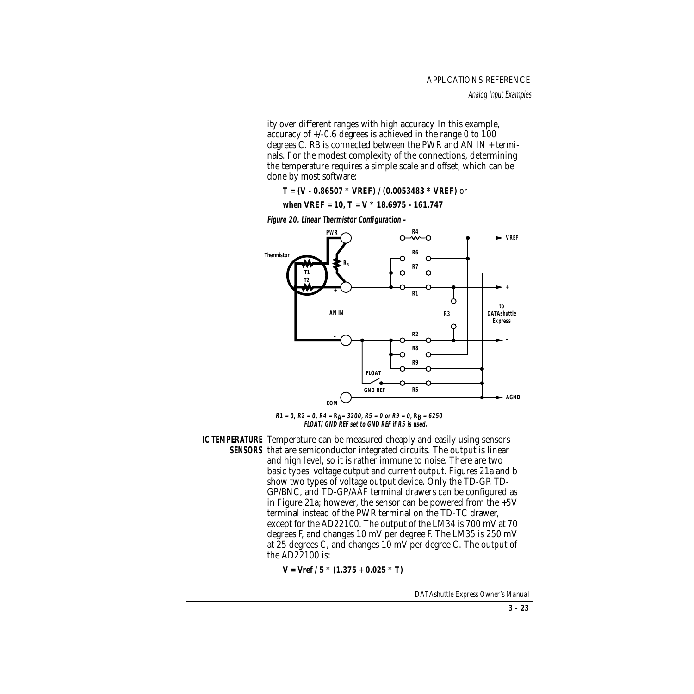ity over different ranges with high accuracy. In this example, accuracy of +/-0.6 degrees is achieved in the range 0 to 100 degrees C. RB is connected between the PWR and AN IN + terminals. For the modest complexity of the connections, determining the temperature requires a simple scale and offset, which can be done by most software:

*T = (V - 0.86507 \* VREF) / (0.0053483 \* VREF)* or

*when VREF = 10, T = V \* 18.6975 - 161.747*



**Figure 20. Linear Thermistor Configuration –**

 $R1 = 0$ ,  $R2 = 0$ ,  $R4 = R_A = 3200$ ,  $R5 = 0$  or  $R9 = 0$ ,  $R_B = 6250$ **FLOAT/GND REF set to GND REF if R5 is used.**

**IC TEMPERATURE** Temperature can be measured cheaply and easily using sensors **SENSORS** that are semiconductor integrated circuits. The output is linear and high level, so it is rather immune to noise. There are two basic types: voltage output and current output. Figures 21a and b show two types of voltage output device. Only the TD-GP, TD-GP/BNC, and TD-GP/AAF terminal drawers can be configured as in Figure 21a; however, the sensor can be powered from the +5V terminal instead of the PWR terminal on the TD-TC drawer, except for the AD22100. The output of the LM34 is 700 mV at 70 degrees F, and changes 10 mV per degree F. The LM35 is 250 mV at 25 degrees C, and changes 10 mV per degree C. The output of the AD22100 is:

*V = Vref / 5 \* (1.375 + 0.025 \* T)*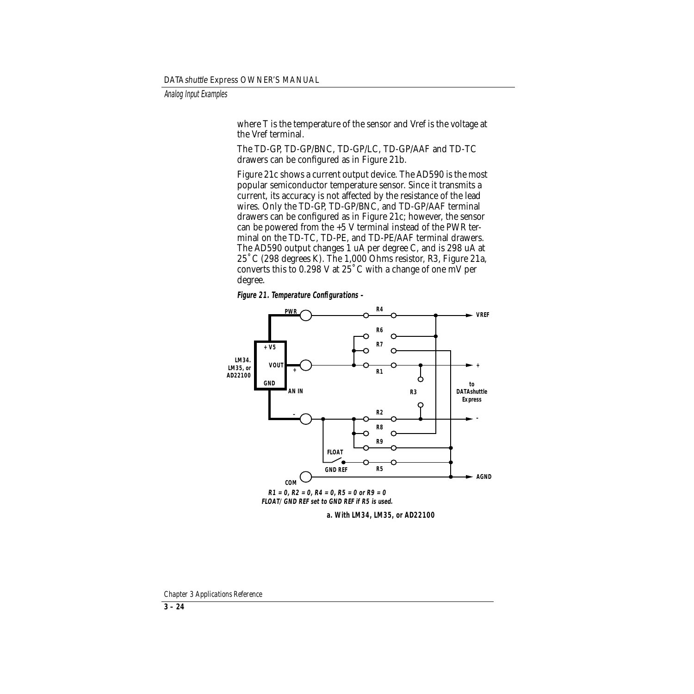where T is the temperature of the sensor and Vref is the voltage at the Vref terminal.

The TD-GP, TD-GP/BNC, TD-GP/LC, TD-GP/AAF and TD-TC drawers can be configured as in Figure 21b.

Figure 21c shows a current output device. The AD590 is the most popular semiconductor temperature sensor. Since it transmits a current, its accuracy is not affected by the resistance of the lead wires. Only the TD-GP, TD-GP/BNC, and TD-GP/AAF terminal drawers can be configured as in Figure 21c; however, the sensor can be powered from the +5 V terminal instead of the PWR terminal on the TD-TC, TD-PE, and TD-PE/AAF terminal drawers. The AD590 output changes 1 uA per degree C, and is 298 uA at 25˚ C (298 degrees K). The 1,000 Ohms resistor, R3, Figure 21a, converts this to 0.298 V at 25˚ C with a change of one mV per degree.

**Figure 21. Temperature Configurations –**



**a. With LM34, LM35, or AD22100**

#### *Chapter 3 Applications Reference*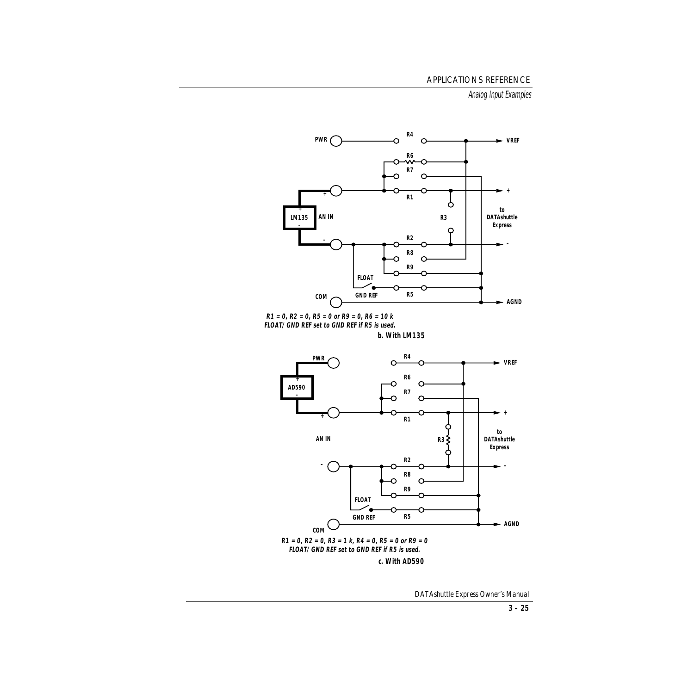



**b. With LM135**

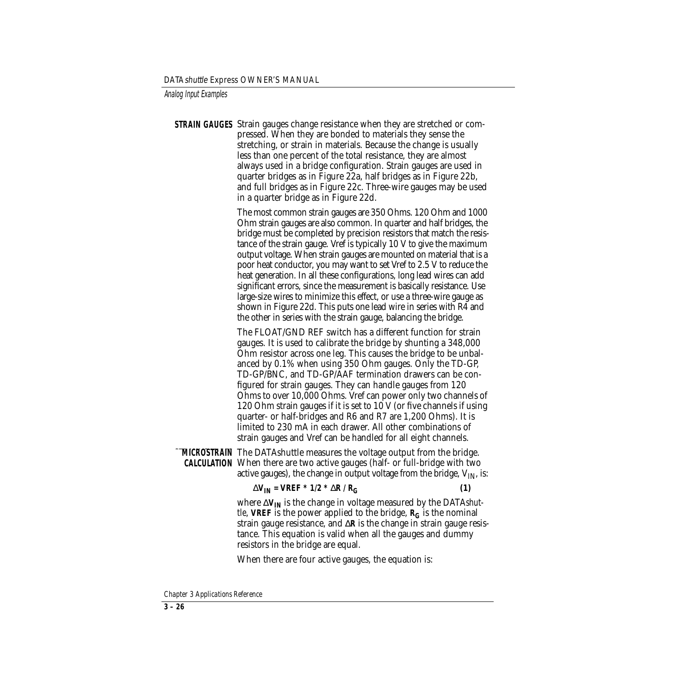Strain gauges change resistance when they are stretched or com-**STRAIN GAUGES** pressed. When they are bonded to materials they sense the stretching, or strain in materials. Because the change is usually less than one percent of the total resistance, they are almost always used in a bridge configuration. Strain gauges are used in quarter bridges as in Figure 22a, half bridges as in Figure 22b, and full bridges as in Figure 22c. Three-wire gauges may be used in a quarter bridge as in Figure 22d.

> The most common strain gauges are 350 Ohms. 120 Ohm and 1000 Ohm strain gauges are also common. In quarter and half bridges, the bridge must be completed by precision resistors that match the resistance of the strain gauge. Vref is typically 10 V to give the maximum output voltage. When strain gauges are mounted on material that is a poor heat conductor, you may want to set Vref to 2.5 V to reduce the heat generation. In all these configurations, long lead wires can add significant errors, since the measurement is basically resistance. Use large-size wires to minimize this effect, or use a three-wire gauge as shown in Figure 22d. This puts one lead wire in series with R4 and the other in series with the strain gauge, balancing the bridge.

> The FLOAT/GND REF switch has a different function for strain gauges. It is used to calibrate the bridge by shunting a 348,000 Ohm resistor across one leg. This causes the bridge to be unbalanced by 0.1% when using 350 Ohm gauges. Only the TD-GP, TD-GP/BNC, and TD-GP/AAF termination drawers can be configured for strain gauges. They can handle gauges from 120 Ohms to over 10,000 Ohms. Vref can power only two channels of 120 Ohm strain gauges if it is set to 10 V (or five channels if using quarter- or half-bridges and R6 and R7 are 1,200 Ohms). It is limited to 230 mA in each drawer. All other combinations of strain gauges and Vref can be handled for all eight channels.

**THE DATAS INCOST AIN** The DATA shuttle measures the voltage output from the bridge. **CALCULATION** When there are two active gauges (half- or full-bridge with two active gauges), the change in output voltage from the bridge,  $V_{IN}$ , is:

 $\Delta V_{IN} = VREF * 1/2 * \Delta R / R_C$  (1)

where ∆*VIN* is the change in voltage measured by the DATA*shuttle*, **VREF** is the power applied to the bridge,  $R<sub>G</sub>$  is the nominal strain gauge resistance, and ∆*R* is the change in strain gauge resistance. This equation is valid when all the gauges and dummy resistors in the bridge are equal.

When there are four active gauges, the equation is:

*Chapter 3 Applications Reference*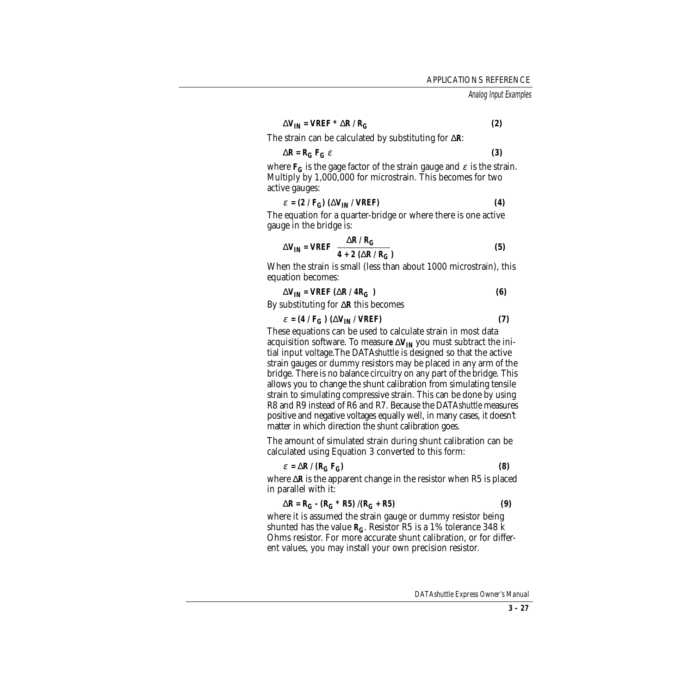$$
\Delta V_{IN} = VREF \times \Delta R / R_G \tag{2}
$$

The strain can be calculated by substituting for ∆*R*:

$$
\Delta R = R_G F_G \varepsilon \tag{3}
$$

where  $F_C$  is the gage factor of the strain gauge and  $\varepsilon$  is the strain. Multiply by 1,000,000 for microstrain. This becomes for two active gauges:

$$
\varepsilon = (2/F_G) (\Delta V_{IN} / VREF)
$$
 (4)

The equation for a quarter-bridge or where there is one active gauge in the bridge is:

$$
\Delta V_{IN} = VREF \frac{\Delta R / R_G}{4 + 2 (\Delta R / R_G)}
$$
\n(5)

When the strain is small (less than about 1000 microstrain), this equation becomes:

$$
\Delta V_{IN} = VREF (\Delta R / 4R_G)
$$
 (6)

By substituting for ∆*R* this becomes

$$
\varepsilon = (4/F_G) (\Delta V_{IN} / VREF)
$$
 (7)

These equations can be used to calculate strain in most data acquisition software. To measur*e* ∆*VIN* you must subtract the initial input voltage.The DATA*shuttle* is designed so that the active strain gauges or dummy resistors may be placed in any arm of the bridge. There is no balance circuitry on any part of the bridge. This allows you to change the shunt calibration from simulating tensile strain to simulating compressive strain. This can be done by using R8 and R9 instead of R6 and R7. Because the DATA*shuttle* measures positive and negative voltages equally well, in many cases, it doesn't matter in which direction the shunt calibration goes.

The amount of simulated strain during shunt calibration can be calculated using Equation 3 converted to this form:

$$
\varepsilon = \Delta R / (R_G F_G) \tag{8}
$$

where ∆*R* is the apparent change in the resistor when R5 is placed in parallel with it:

$$
\Delta R = R_G - (R_G * R5) / (R_G + R5)
$$
 (9)

where it is assumed the strain gauge or dummy resistor being shunted has the value  $R_C$ . Resistor R5 is a 1% tolerance 348 k Ohms resistor. For more accurate shunt calibration, or for different values, you may install your own precision resistor.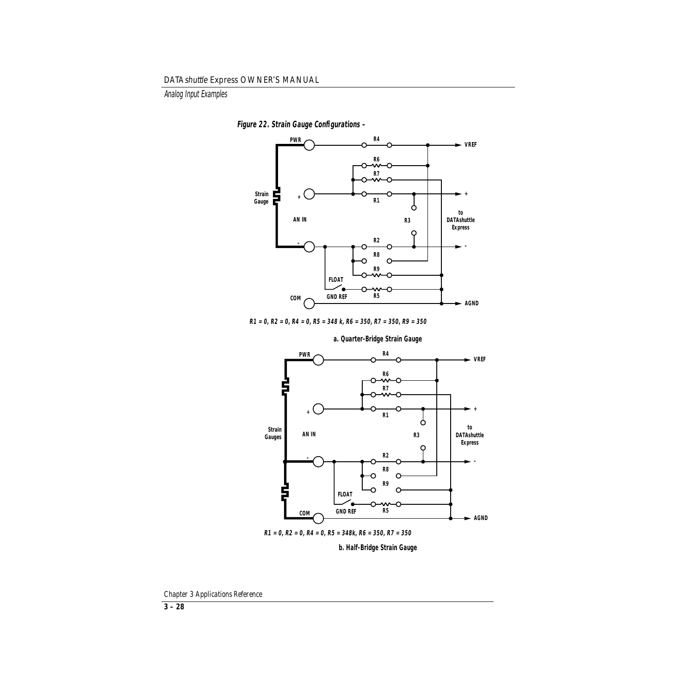

**FLOAT GND REF**

**R1 = 0, R2 = 0, R4 = 0, R5 = 348 k, R6 = 350, R7 = 350, R9 = 350** 

**+**

**AGND**

**Figure 22. Strain Gauge Configurations –**

**COM**



**R9**

**R5**

w

**R1 = 0, R2 = 0, R4 = 0, R5 = 348k, R6 = 350, R7 = 350**

**b. Half-Bridge Strain Gauge**

#### *Chapter 3 Applications Reference*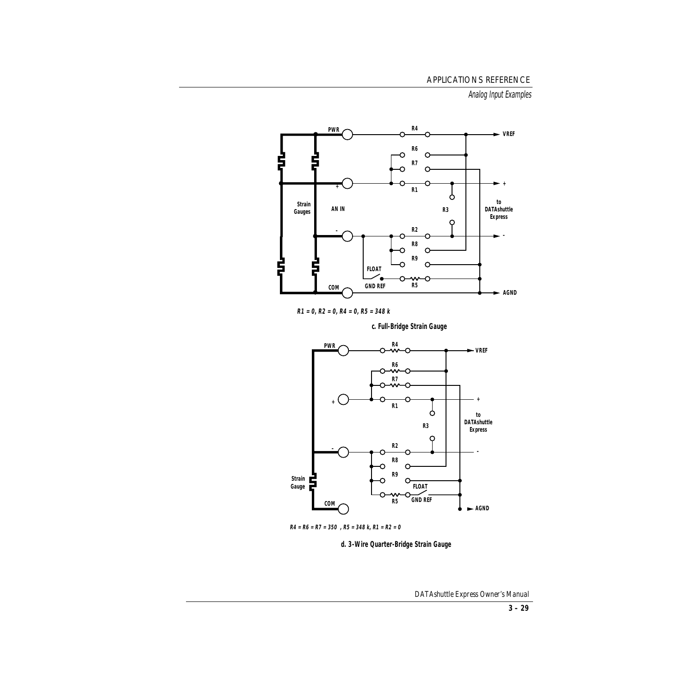

**R1 = 0, R2 = 0, R4 = 0, R5 = 348 k**

**c. Full-Bridge Strain Gauge**



**R4 = R6 = R7 = 350 , R5 = 348 k, R1 = R2 = 0**

**d. 3-Wire Quarter-Bridge Strain Gauge**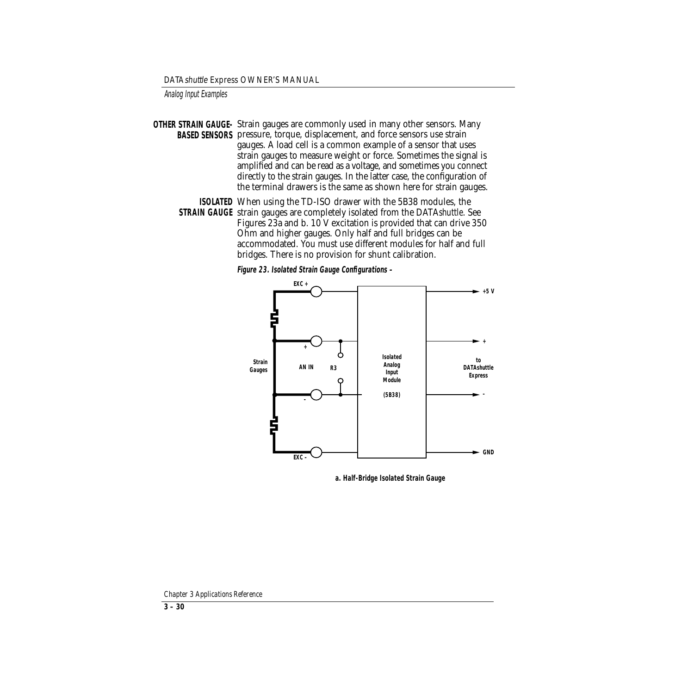**OTHER STRAIN GAUGE-** Strain gauges are commonly used in many other sensors. Many **BASED SENSORS** pressure, torque, displacement, and force sensors use strain gauges. A load cell is a common example of a sensor that uses strain gauges to measure weight or force. Sometimes the signal is amplified and can be read as a voltage, and sometimes you connect directly to the strain gauges. In the latter case, the configuration of the terminal drawers is the same as shown here for strain gauges.

**ISOLATED** When using the TD-ISO drawer with the 5B38 modules, the **STRAIN GAUGE** strain gauges are completely isolated from the DATA*shuttle*. See Figures 23a and b. 10 V excitation is provided that can drive 350 Ohm and higher gauges. Only half and full bridges can be accommodated. You must use different modules for half and full bridges. There is no provision for shunt calibration.



**Figure 23. Isolated Strain Gauge Configurations –**

**a. Half-Bridge Isolated Strain Gauge**

*Chapter 3 Applications Reference*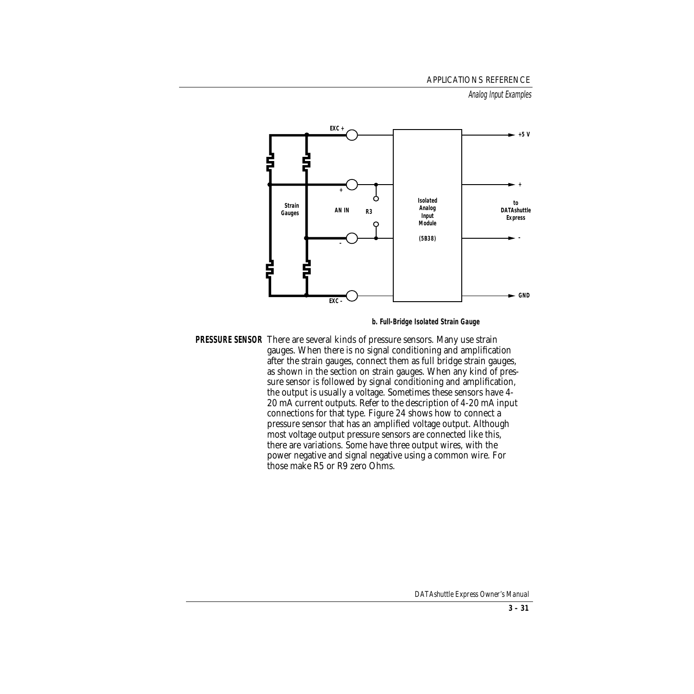

#### **b. Full-Bridge Isolated Strain Gauge**

**PRESSURE SENSOR** There are several kinds of pressure sensors. Many use strain gauges. When there is no signal conditioning and amplification after the strain gauges, connect them as full bridge strain gauges, as shown in the section on strain gauges. When any kind of pressure sensor is followed by signal conditioning and amplification, the output is usually a voltage. Sometimes these sensors have 4- 20 mA current outputs. Refer to the description of 4-20 mA input connections for that type. Figure 24 shows how to connect a pressure sensor that has an amplified voltage output. Although most voltage output pressure sensors are connected like this, there are variations. Some have three output wires, with the power negative and signal negative using a common wire. For those make R5 or R9 zero Ohms.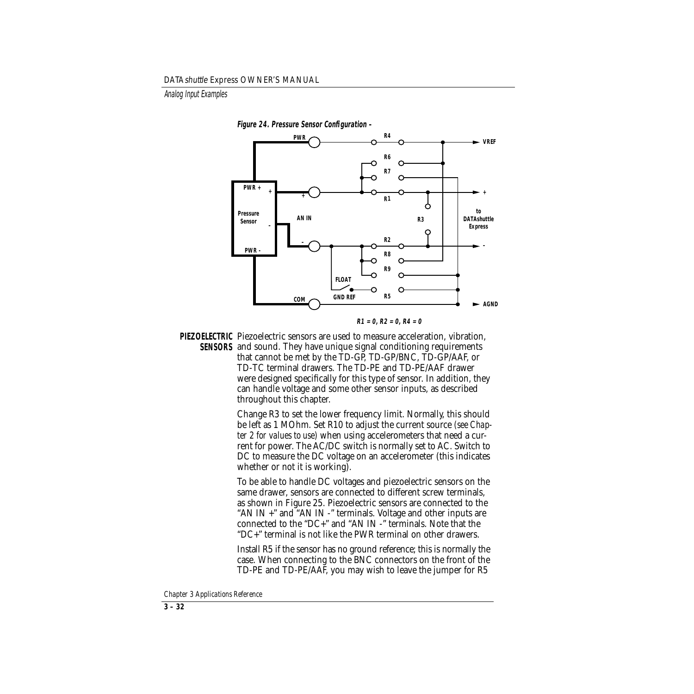

**Figure 24. Pressure Sensor Configuration –**



Piezoelectric sensors are used to measure acceleration, vibration, **PIEZOELECTRIC SENSORS** and sound. They have unique signal conditioning requirements that cannot be met by the TD-GP, TD-GP/BNC, TD-GP/AAF, or TD-TC terminal drawers. The TD-PE and TD-PE/AAF drawer were designed specifically for this type of sensor. In addition, they can handle voltage and some other sensor inputs, as described throughout this chapter.

> Change R3 to set the lower frequency limit. Normally, this should be left as 1 MOhm. Set R10 to adjust the current source *(see Chapter 2 for values to use)* when using accelerometers that need a current for power. The AC/DC switch is normally set to AC. Switch to DC to measure the DC voltage on an accelerometer (this indicates whether or not it is working).

To be able to handle DC voltages and piezoelectric sensors on the same drawer, sensors are connected to different screw terminals, as shown in Figure 25. Piezoelectric sensors are connected to the "AN IN +" and "AN IN -" terminals. Voltage and other inputs are connected to the "DC+" and "AN IN -" terminals. Note that the "DC+" terminal is not like the PWR terminal on other drawers.

Install R5 if the sensor has no ground reference; this is normally the case. When connecting to the BNC connectors on the front of the TD-PE and TD-PE/AAF, you may wish to leave the jumper for R5

*Chapter 3 Applications Reference*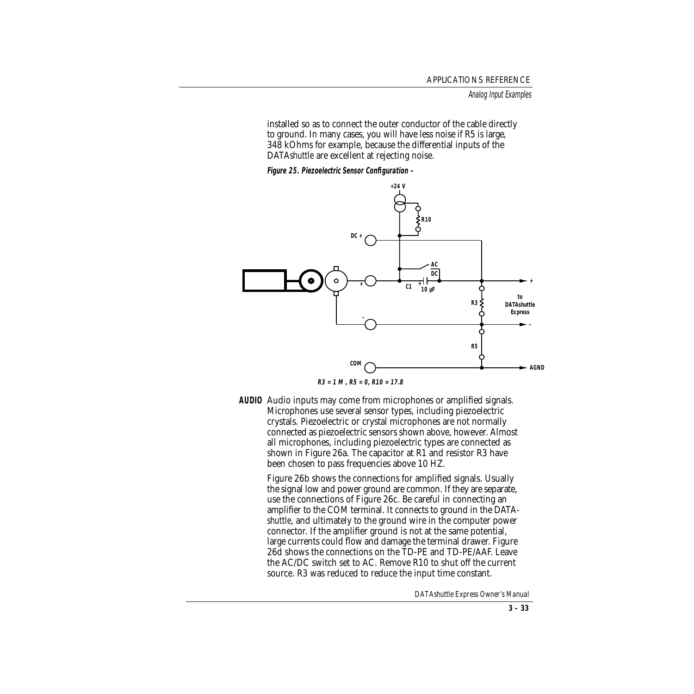Analog Input Examples

installed so as to connect the outer conductor of the cable directly to ground. In many cases, you will have less noise if R5 is large, 348 kOhms for example, because the differential inputs of the DATA*shuttle* are excellent at rejecting noise.

**Figure 25. Piezoelectric Sensor Configuration –**



**R3 = 1 M , R5 = 0, R10 = 17.8** 

Audio inputs may come from microphones or amplified signals. **AUDIO** Microphones use several sensor types, including piezoelectric crystals. Piezoelectric or crystal microphones are not normally connected as piezoelectric sensors shown above, however. Almost all microphones, including piezoelectric types are connected as shown in Figure 26a. The capacitor at R1 and resistor R3 have been chosen to pass frequencies above 10 HZ.

> Figure 26b shows the connections for amplified signals. Usually the signal low and power ground are common. If they are separate, use the connections of Figure 26c. Be careful in connecting an amplifier to the COM terminal. It connects to ground in the DATA*shuttle*, and ultimately to the ground wire in the computer power connector. If the amplifier ground is not at the same potential, large currents could flow and damage the terminal drawer. Figure 26d shows the connections on the TD-PE and TD-PE/AAF. Leave the AC/DC switch set to AC. Remove R10 to shut off the current source. R3 was reduced to reduce the input time constant.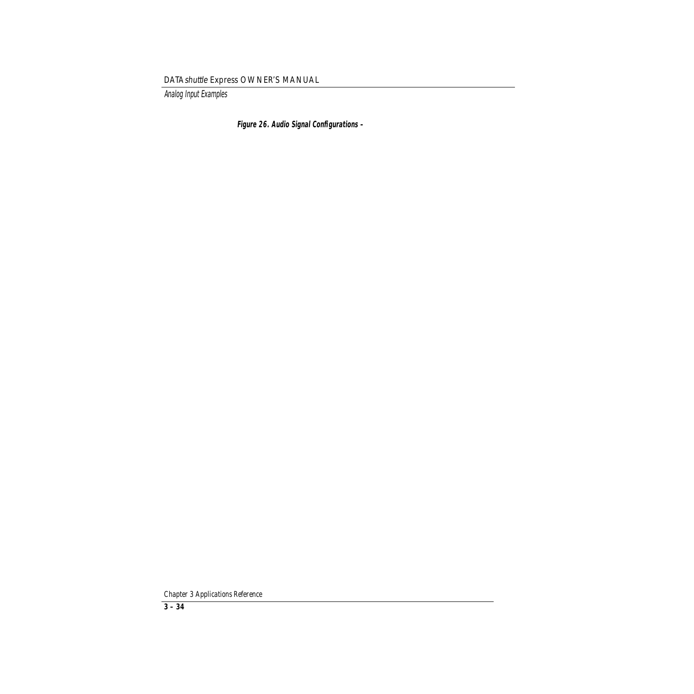**Figure 26. Audio Signal Configurations –**

*Chapter 3 Applications Reference*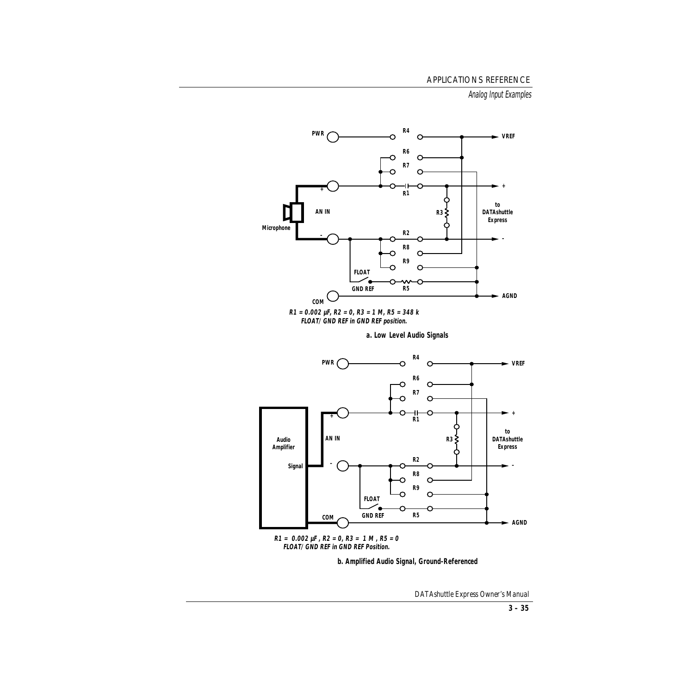

**a. Low Level Audio Signals**





**b. Amplified Audio Signal, Ground-Referenced**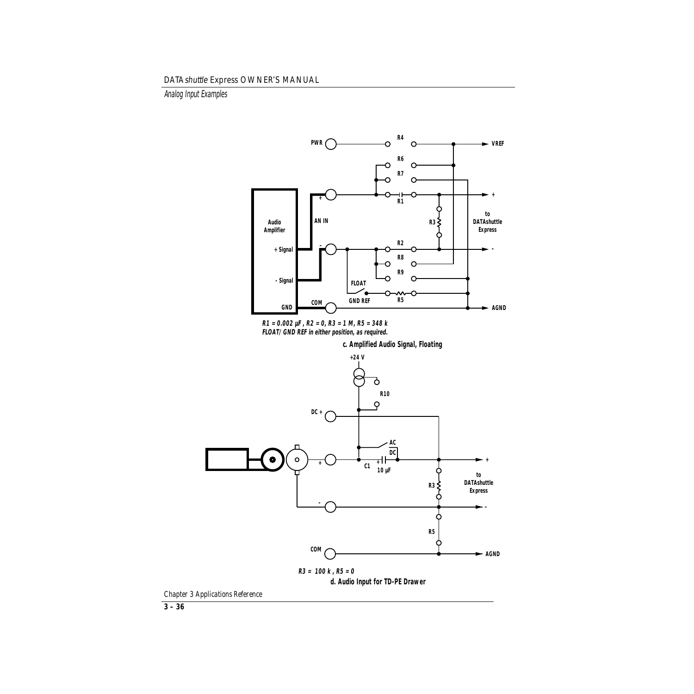



**c. Amplified Audio Signal, Floating**



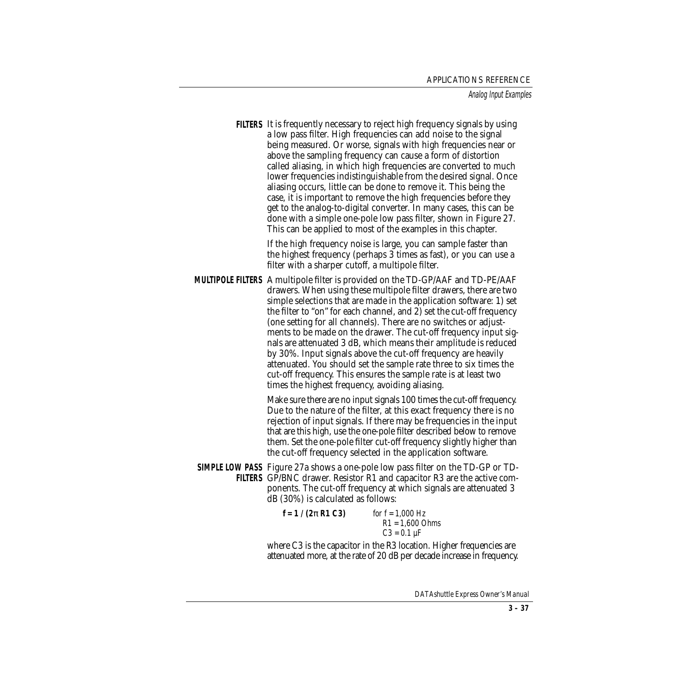**FILTERS** It is frequently necessary to reject high frequency signals by using a low pass filter. High frequencies can add noise to the signal being measured. Or worse, signals with high frequencies near or above the sampling frequency can cause a form of distortion called aliasing, in which high frequencies are converted to much lower frequencies indistinguishable from the desired signal. Once aliasing occurs, little can be done to remove it. This being the case, it is important to remove the high frequencies before they get to the analog-to-digital converter. In many cases, this can be done with a simple one-pole low pass filter, shown in Figure 27. This can be applied to most of the examples in this chapter.

> If the high frequency noise is large, you can sample faster than the highest frequency (perhaps 3 times as fast), or you can use a filter with a sharper cutoff, a multipole filter.

**MULTIPOLE FILTERS** A multipole filter is provided on the TD-GP/AAF and TD-PE/AAF drawers. When using these multipole filter drawers, there are two simple selections that are made in the application software: 1) set the filter to "on" for each channel, and 2) set the cut-off frequency (one setting for all channels). There are no switches or adjustments to be made on the drawer. The cut-off frequency input signals are attenuated 3 dB, which means their amplitude is reduced by 30%. Input signals above the cut-off frequency are heavily attenuated. You should set the sample rate three to six times the cut-off frequency. This ensures the sample rate is at least two times the highest frequency, avoiding aliasing.

> Make sure there are no input signals 100 times the cut-off frequency. Due to the nature of the filter, at this exact frequency there is no rejection of input signals. If there may be frequencies in the input that are this high, use the one-pole filter described below to remove them. Set the one-pole filter cut-off frequency slightly higher than the cut-off frequency selected in the application software.

**SIMPLE LOW PASS** Figure 27a shows a one-pole low pass filter on the TD-GP or TD-GP/BNC drawer. Resistor R1 and capacitor R3 are the active com-**FILTERS** ponents. The cut-off frequency at which signals are attenuated 3 dB (30%) is calculated as follows:

| $f = 1 / (2\pi R1 C3)$ | for $f = 1.000 \text{ Hz}$ |
|------------------------|----------------------------|
|                        | $R1 = 1.600$ Ohms          |
|                        | $C3 = 0.1 \mu F$           |

where C3 is the capacitor in the R3 location. Higher frequencies are attenuated more, at the rate of 20 dB per decade increase in frequency.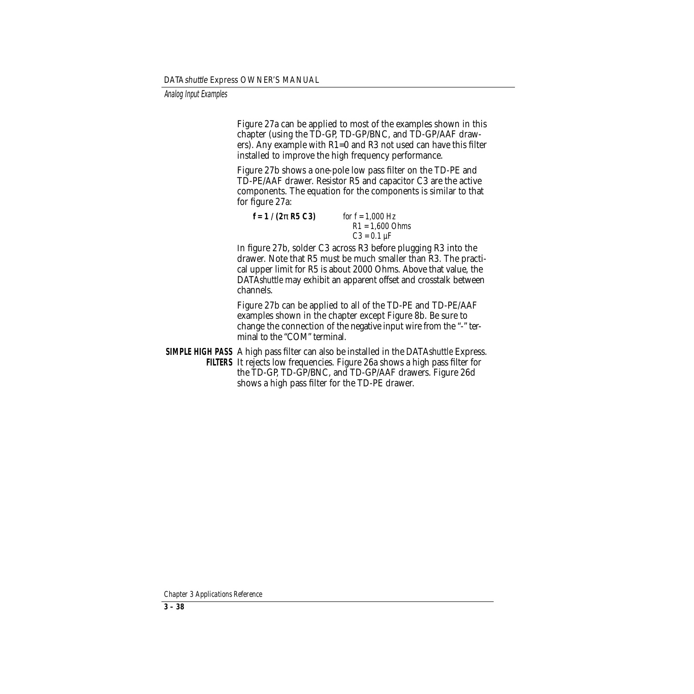Figure 27a can be applied to most of the examples shown in this chapter (using the TD-GP, TD-GP/BNC, and TD-GP/AAF drawers). Any example with R1=0 and R3 not used can have this filter installed to improve the high frequency performance.

Figure 27b shows a one-pole low pass filter on the TD-PE and TD-PE/AAF drawer. Resistor R5 and capacitor C3 are the active components. The equation for the components is similar to that for figure 27a:

 $f = 1 / (2\pi R5 C3)$  *for f = 1,000 Hz R1 = 1,600 Ohms*  $C3 = 0.1 \mu F$ 

In figure 27b, solder C3 across R3 before plugging R3 into the drawer. Note that R5 must be much smaller than R3. The practical upper limit for R5 is about 2000 Ohms. Above that value, the DATA*shuttle* may exhibit an apparent offset and crosstalk between channels.

Figure 27b can be applied to all of the TD-PE and TD-PE/AAF examples shown in the chapter except Figure 8b. Be sure to change the connection of the negative input wire from the "-" terminal to the "COM" terminal.

**SIMPLE HIGH PASS** A high pass filter can also be installed in the DATA*shuttle* Express. **FILTERS** It rejects low frequencies. Figure 26a shows a high pass filter for the TD-GP, TD-GP/BNC, and TD-GP/AAF drawers. Figure 26d shows a high pass filter for the TD-PE drawer.

*Chapter 3 Applications Reference*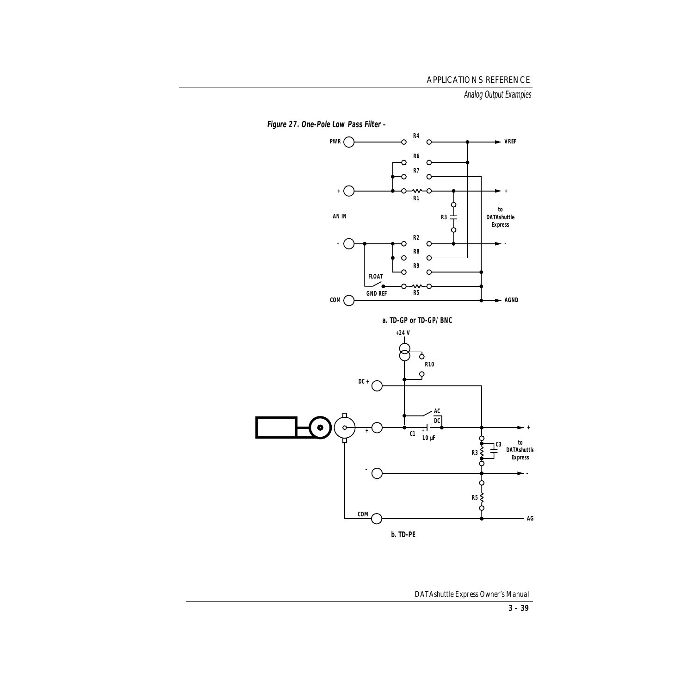Analog Output Examples



**Figure 27. One-Pole Low Pass Filter –**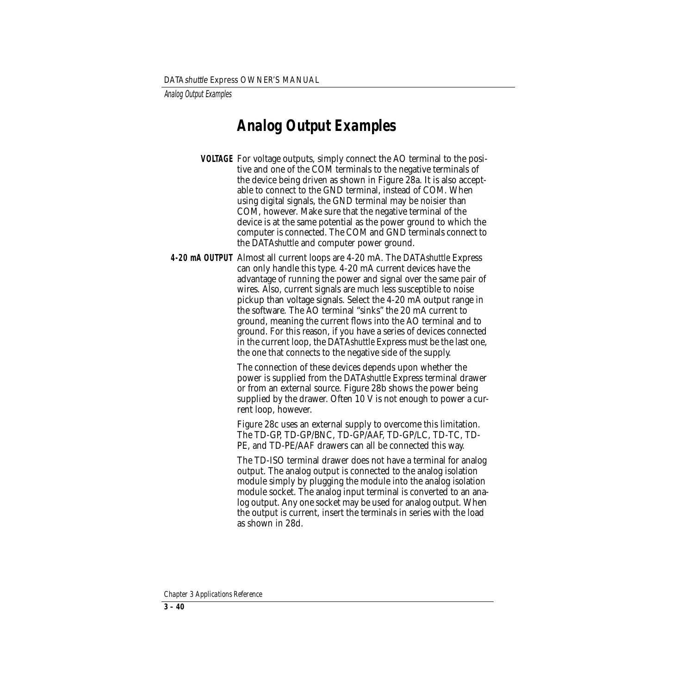Analog Output Examples

# *Analog Output Examples*

- **VOLTAGE** For voltage outputs, simply connect the AO terminal to the positive and one of the COM terminals to the negative terminals of the device being driven as shown in Figure 28a. It is also acceptable to connect to the GND terminal, instead of COM. When using digital signals, the GND terminal may be noisier than COM, however. Make sure that the negative terminal of the device is at the same potential as the power ground to which the computer is connected. The COM and GND terminals connect to the DATA*shuttle* and computer power ground.
- **4-20 mA OUTPUT** Almost all current loops are 4-20 mA. The DATA*shuttle* Express can only handle this type. 4-20 mA current devices have the advantage of running the power and signal over the same pair of wires. Also, current signals are much less susceptible to noise pickup than voltage signals. Select the 4-20 mA output range in the software. The AO terminal "sinks" the 20 mA current to ground, meaning the current flows into the AO terminal and to ground. For this reason, if you have a series of devices connected in the current loop, the DATA*shuttle* Express must be the last one, the one that connects to the negative side of the supply.

The connection of these devices depends upon whether the power is supplied from the DATA*shuttle* Express terminal drawer or from an external source. Figure 28b shows the power being supplied by the drawer. Often 10 V is not enough to power a current loop, however.

Figure 28c uses an external supply to overcome this limitation. The TD-GP, TD-GP/BNC, TD-GP/AAF, TD-GP/LC, TD-TC, TD-PE, and TD-PE/AAF drawers can all be connected this way.

The TD-ISO terminal drawer does not have a terminal for analog output. The analog output is connected to the analog isolation module simply by plugging the module into the analog isolation module socket. The analog input terminal is converted to an analog output. Any one socket may be used for analog output. When the output is current, insert the terminals in series with the load as shown in 28d.

*Chapter 3 Applications Reference*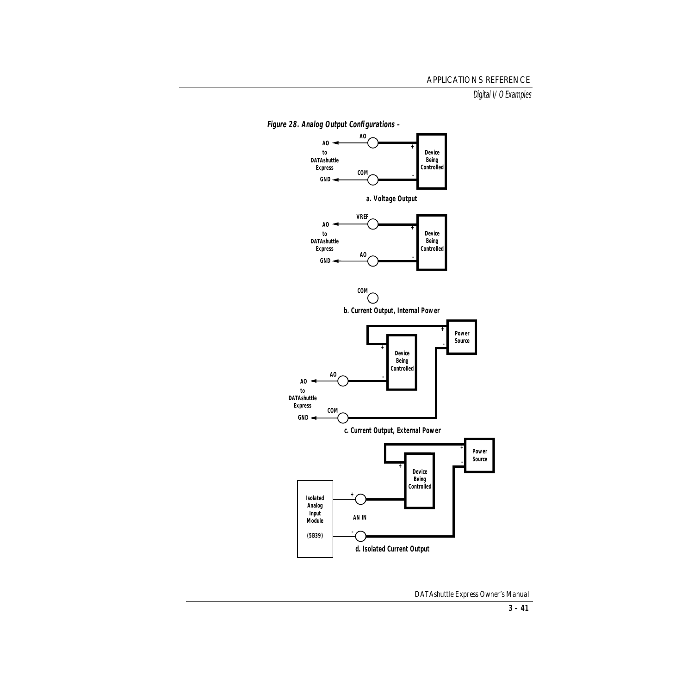

**Figure 28. Analog Output Configurations –**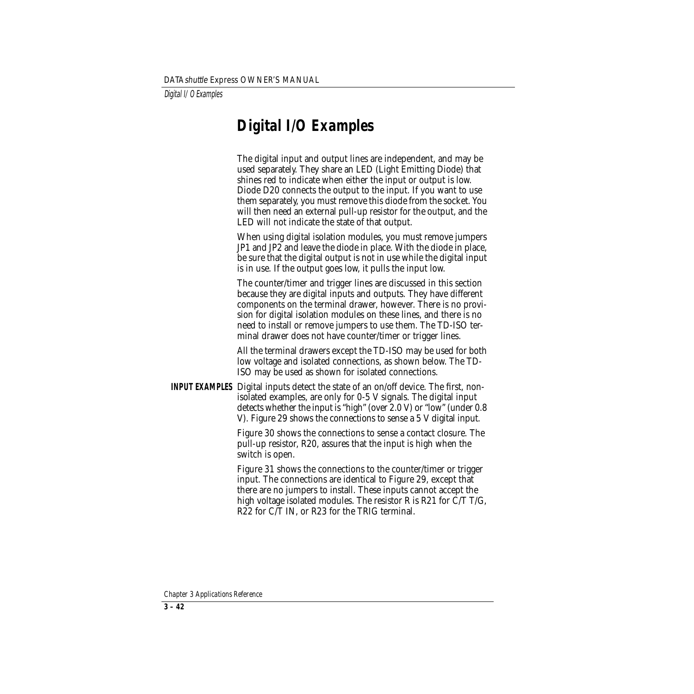# *Digital I/O Examples*

The digital input and output lines are independent, and may be used separately. They share an LED (Light Emitting Diode) that shines red to indicate when either the input or output is low. Diode D20 connects the output to the input. If you want to use them separately, you must remove this diode from the socket. You will then need an external pull-up resistor for the output, and the LED will not indicate the state of that output.

When using digital isolation modules, you must remove jumpers JP1 and JP2 and leave the diode in place. With the diode in place, be sure that the digital output is not in use while the digital input is in use. If the output goes low, it pulls the input low.

The counter/timer and trigger lines are discussed in this section because they are digital inputs and outputs. They have different components on the terminal drawer, however. There is no provision for digital isolation modules on these lines, and there is no need to install or remove jumpers to use them. The TD-ISO terminal drawer does not have counter/timer or trigger lines.

All the terminal drawers except the TD-ISO may be used for both low voltage and isolated connections, as shown below. The TD-ISO may be used as shown for isolated connections.

**INPUT EXAMPLES** Digital inputs detect the state of an on/off device. The first, nonisolated examples, are only for 0-5 V signals. The digital input detects whether the input is "high" (over 2.0 V) or "low" (under 0.8 V). Figure 29 shows the connections to sense a 5 V digital input.

> Figure 30 shows the connections to sense a contact closure. The pull-up resistor, R20, assures that the input is high when the switch is open.

> Figure 31 shows the connections to the counter/timer or trigger input. The connections are identical to Figure 29, except that there are no jumpers to install. These inputs cannot accept the high voltage isolated modules. The resistor R is R21 for C/T T/G, R22 for C/T IN, or R23 for the TRIG terminal.

*Chapter 3 Applications Reference*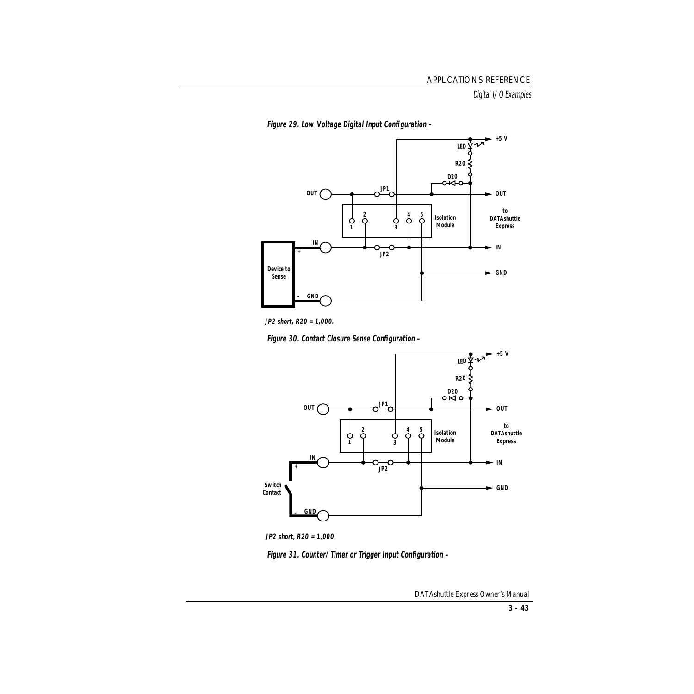

**Figure 29. Low Voltage Digital Input Configuration –**

**JP2 short, R20 = 1,000.**

**Figure 30. Contact Closure Sense Configuration –**



**JP2 short, R20 = 1,000.**

**Figure 31. Counter/Timer or Trigger Input Configuration –**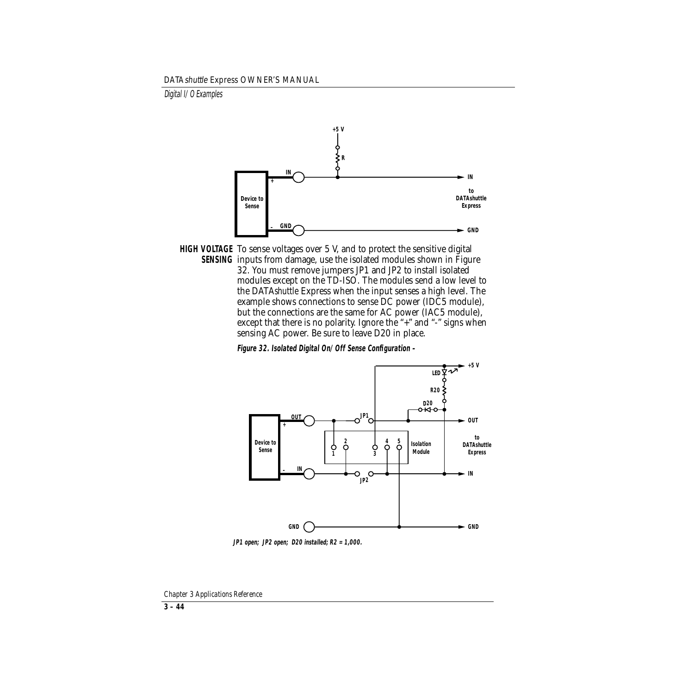

**HIGH VOLTAGE** To sense voltages over 5 V, and to protect the sensitive digital **SENSING** inputs from damage, use the isolated modules shown in Figure 32. You must remove jumpers JP1 and JP2 to install isolated modules except on the TD-ISO. The modules send a low level to the DATA*shuttle* Express when the input senses a high level. The example shows connections to sense DC power (IDC5 module), but the connections are the same for AC power (IAC5 module), except that there is no polarity. Ignore the "+" and "-" signs when sensing AC power. Be sure to leave D20 in place.

**Figure 32. Isolated Digital On/Off Sense Configuration –**



#### *Chapter 3 Applications Reference*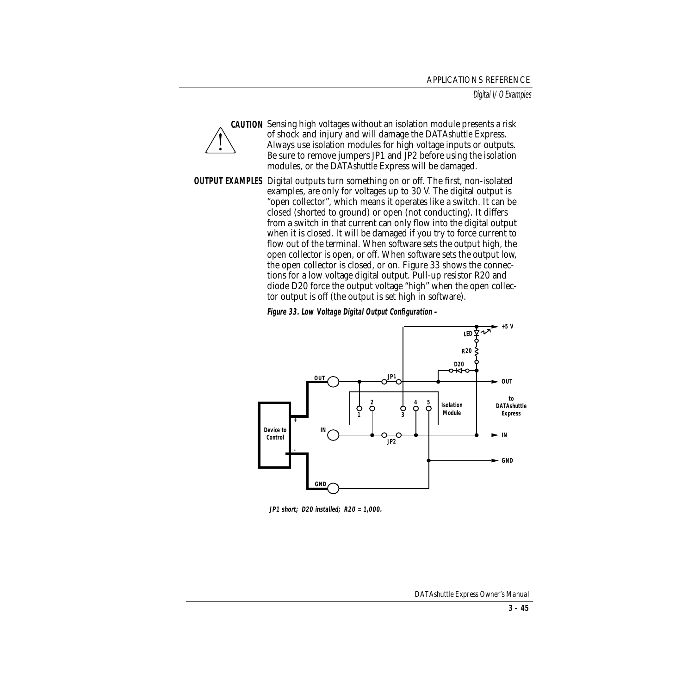

**CAUTION** Sensing high voltages without an isolation module presents a risk of shock and injury and will damage the DATA*shuttle* Express. Always use isolation modules for high voltage inputs or outputs. Be sure to remove jumpers JP1 and JP2 before using the isolation modules, or the DATA*shuttle* Express will be damaged.

**OUTPUT EXAMPLES** Digital outputs turn something on or off. The first, non-isolated examples, are only for voltages up to 30 V. The digital output is "open collector", which means it operates like a switch. It can be closed (shorted to ground) or open (not conducting). It differs from a switch in that current can only flow into the digital output when it is closed. It will be damaged if you try to force current to flow out of the terminal. When software sets the output high, the open collector is open, or off. When software sets the output low, the open collector is closed, or on. Figure 33 shows the connections for a low voltage digital output. Pull-up resistor R20 and diode D20 force the output voltage "high" when the open collector output is off (the output is set high in software).

#### **Figure 33. Low Voltage Digital Output Configuration –**



**JP1 short; D20 installed; R20 = 1,000.**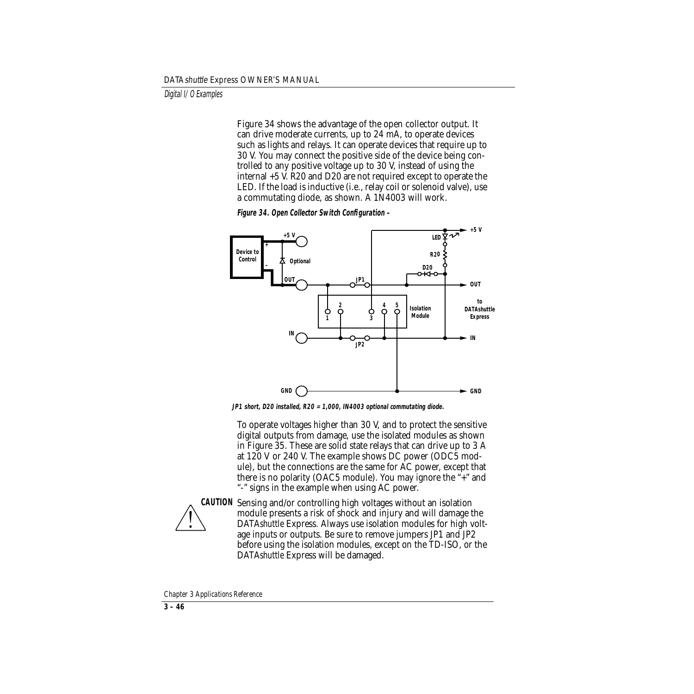Figure 34 shows the advantage of the open collector output. It can drive moderate currents, up to 24 mA, to operate devices such as lights and relays. It can operate devices that require up to 30 V. You may connect the positive side of the device being controlled to any positive voltage up to 30 V, instead of using the internal +5 V. R20 and D20 are not required except to operate the LED. If the load is inductive (i.e., relay coil or solenoid valve), use a commutating diode, as shown. A 1N4003 will work.

**Figure 34. Open Collector Switch Configuration –**



**JP1 short, D20 installed, R20 = 1,000, IN4003 optional commutating diode.**

To operate voltages higher than 30 V, and to protect the sensitive digital outputs from damage, use the isolated modules as shown in Figure 35. These are solid state relays that can drive up to 3 A at 120 V or 240 V. The example shows DC power (ODC5 module), but the connections are the same for AC power, except that there is no polarity (OAC5 module). You may ignore the "+" and "-" signs in the example when using AC power.

**CAUTION** Sensing and/or controlling high voltages without an isolation module presents a risk of shock and injury and will damage the DATA*shuttle* Express. Always use isolation modules for high voltage inputs or outputs. Be sure to remove jumpers JP1 and JP2 before using the isolation modules, except on the TD-ISO, or the DATA*shuttle* Express will be damaged.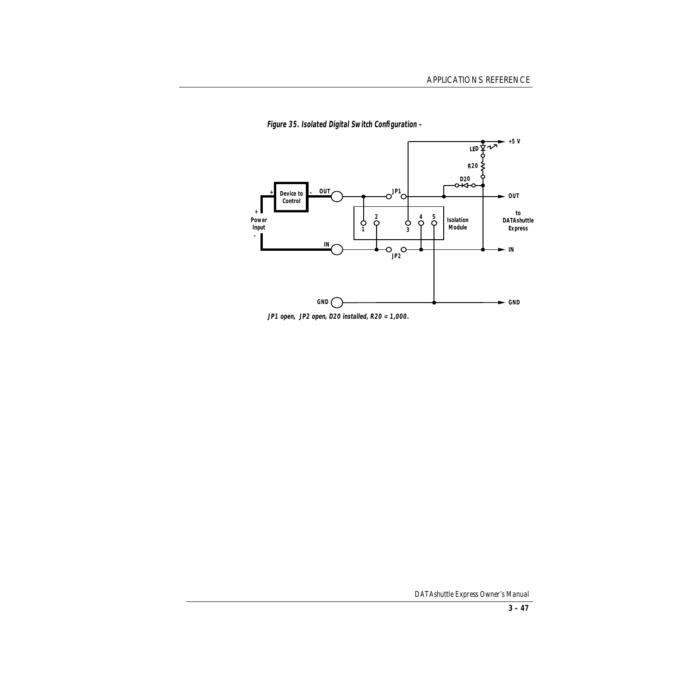

**Figure 35. Isolated Digital Switch Configuration –**

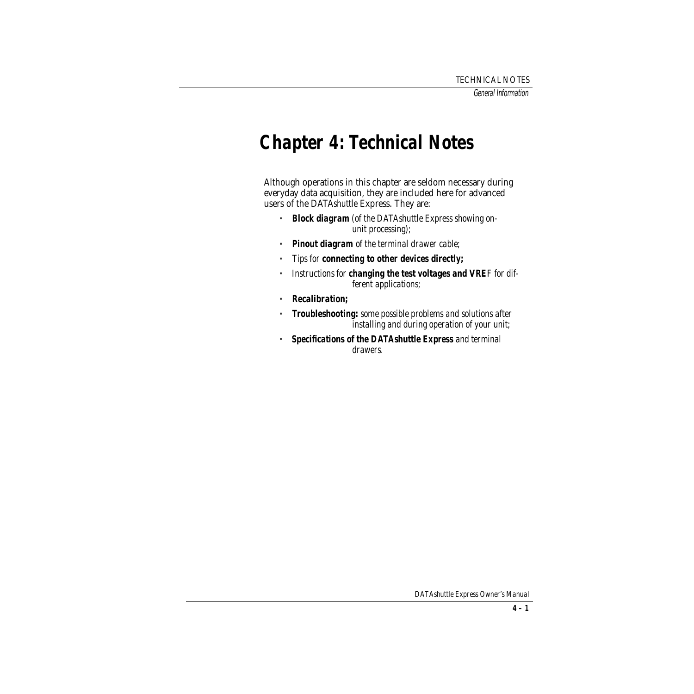# *Chapter 4: Technical Notes*

Although operations in this chapter are seldom necessary during everyday data acquisition, they are included here for advanced users of the DATA*shuttle* Express. They are:

- *· Block diagram (of the DATAshuttle Express showing onunit processing);*
- *· Pinout diagram of the terminal drawer cable;*
- *· Tips for connecting to other devices directly;*
- *· Instructions for changing the test voltages and VREF for different applications;*
- *· Recalibration;*
- *· Troubleshooting: some possible problems and solutions after installing and during operation of your unit;*
- *· Specifications of the DATAshuttle Express and terminal drawers.*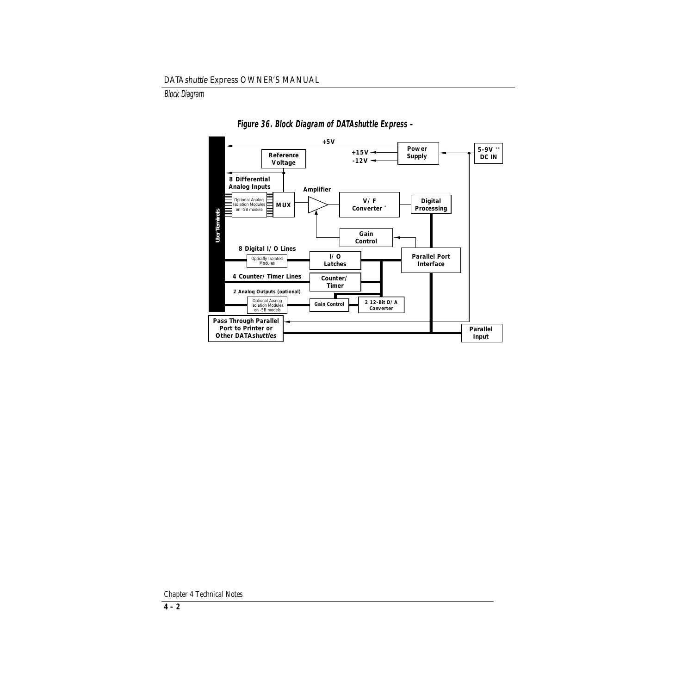#### Block Diagram



**Figure 36. Block Diagram of DATAshuttle Express –**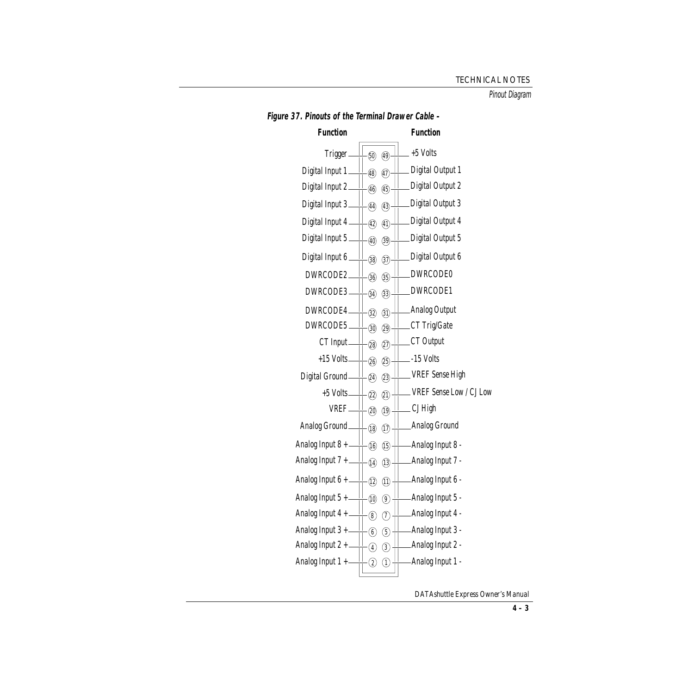Pinout Diagram



**Figure 37. Pinouts of the Terminal Drawer Cable –**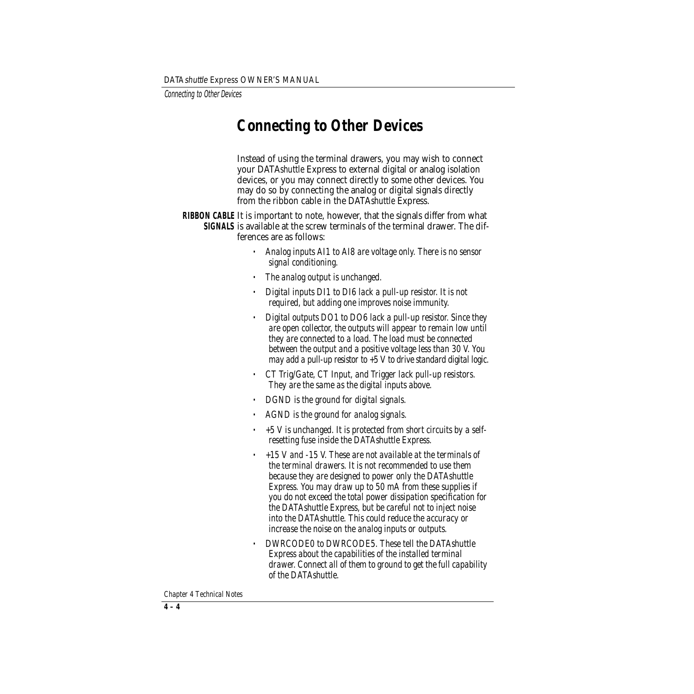Connecting to Other Devices

## *Connecting to Other Devices*

Instead of using the terminal drawers, you may wish to connect your DATA*shuttle* Express to external digital or analog isolation devices, or you may connect directly to some other devices. You may do so by connecting the analog or digital signals directly from the ribbon cable in the DATA*shuttle* Express.

**RIBBON CABLE** It is important to note, however, that the signals differ from what **SIGNALS** is available at the screw terminals of the terminal drawer. The differences are as follows:

- *· Analog inputs AI1 to AI8 are voltage only. There is no sensor signal conditioning.*
- *· The analog output is unchanged.*
- *· Digital inputs DI1 to DI6 lack a pull-up resistor. It is not required, but adding one improves noise immunity.*
- *· Digital outputs DO1 to DO6 lack a pull-up resistor. Since they are open collector, the outputs will appear to remain low until they are connected to a load. The load must be connected between the output and a positive voltage less than 30 V. You may add a pull-up resistor to +5 V to drive standard digital logic.*
- *· CT Trig/Gate, CT Input, and Trigger lack pull-up resistors. They are the same as the digital inputs above.*
- *· DGND is the ground for digital signals.*
- *· AGND is the ground for analog signals.*
- *· +5 V is unchanged. It is protected from short circuits by a selfresetting fuse inside the DATAshuttle Express.*
- *· +15 V and -15 V. These are not available at the terminals of the terminal drawers. It is not recommended to use them because they are designed to power only the DATAshuttle Express. You may draw up to 50 mA from these supplies if you do not exceed the total power dissipation specification for the DATAshuttle Express, but be careful not to inject noise into the DATAshuttle. This could reduce the accuracy or increase the noise on the analog inputs or outputs.*
- *· DWRCODE0 to DWRCODE5. These tell the DATAshuttle Express about the capabilities of the installed terminal drawer. Connect all of them to ground to get the full capability of the DATAshuttle.*

#### *Chapter 4 Technical Notes*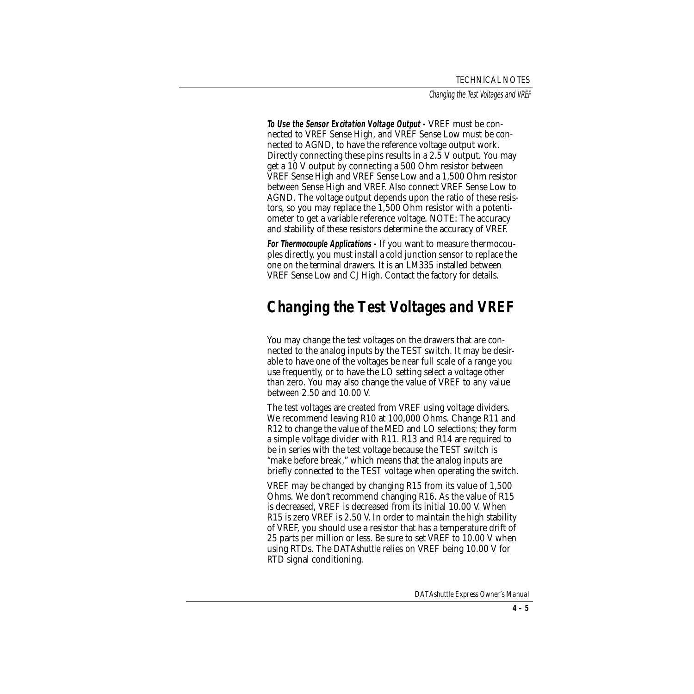Changing the Test Voltages and VREF

**To Use the Sensor Excitation Voltage Output -** VREF must be connected to VREF Sense High, and VREF Sense Low must be connected to AGND, to have the reference voltage output work. Directly connecting these pins results in a 2.5 V output. You may get a 10 V output by connecting a 500 Ohm resistor between VREF Sense High and VREF Sense Low and a 1,500 Ohm resistor between Sense High and VREF. Also connect VREF Sense Low to AGND. The voltage output depends upon the ratio of these resistors, so you may replace the 1,500 Ohm resistor with a potentiometer to get a variable reference voltage. NOTE: The accuracy and stability of these resistors determine the accuracy of VREF.

**For Thermocouple Applications -** If you want to measure thermocouples directly, you must install a cold junction sensor to replace the one on the terminal drawers. It is an LM335 installed between VREF Sense Low and CJ High. Contact the factory for details.

# *Changing the Test Voltages and VREF*

You may change the test voltages on the drawers that are connected to the analog inputs by the TEST switch. It may be desirable to have one of the voltages be near full scale of a range you use frequently, or to have the LO setting select a voltage other than zero. You may also change the value of VREF to any value between 2.50 and 10.00 V.

The test voltages are created from VREF using voltage dividers. We recommend leaving R10 at 100,000 Ohms. Change R11 and R12 to change the value of the MED and LO selections; they form a simple voltage divider with R11. R13 and R14 are required to be in series with the test voltage because the TEST switch is "make before break," which means that the analog inputs are briefly connected to the TEST voltage when operating the switch.

VREF may be changed by changing R15 from its value of 1,500 Ohms. We don't recommend changing R16. As the value of R15 is decreased, VREF is decreased from its initial 10.00 V. When R15 is zero VREF is 2.50 V. In order to maintain the high stability of VREF, you should use a resistor that has a temperature drift of 25 parts per million or less. Be sure to set VREF to 10.00 V when using RTDs. The DATA*shuttle* relies on VREF being 10.00 V for RTD signal conditioning.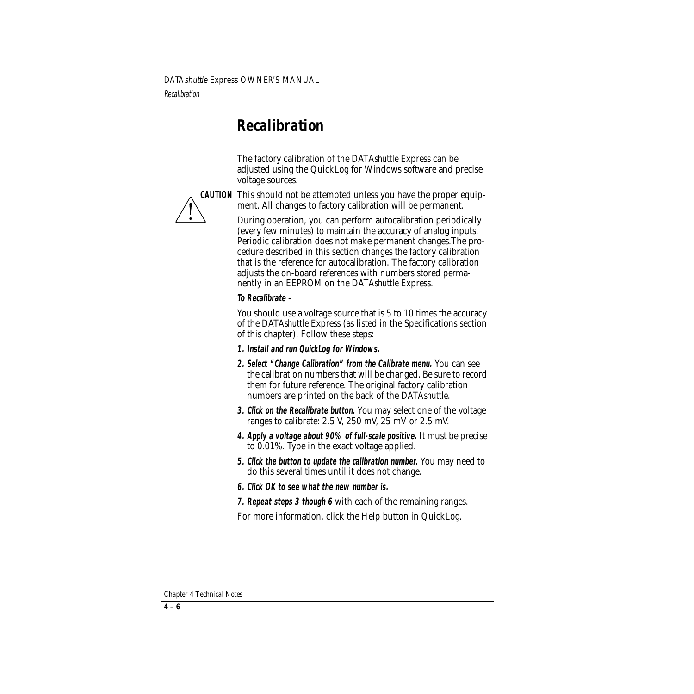Recalibration

## *Recalibration*

The factory calibration of the DATA*shuttle* Express can be adjusted using the QuickLog for Windows software and precise voltage sources.



**CAUTION** This should not be attempted unless you have the proper equipment. All changes to factory calibration will be permanent.

> During operation, you can perform autocalibration periodically (every few minutes) to maintain the accuracy of analog inputs. Periodic calibration does not make permanent changes.The procedure described in this section changes the factory calibration that is the reference for autocalibration. The factory calibration adjusts the on-board references with numbers stored permanently in an EEPROM on the DATA*shuttle* Express.

#### **To Recalibrate –**

You should use a voltage source that is 5 to 10 times the accuracy of the DATA*shuttle* Express (as listed in the Specifications section of this chapter). Follow these steps:

- **1. Install and run QuickLog for Windows.**
- **2. Select "Change Calibration" from the Calibrate menu.** You can see the calibration numbers that will be changed. Be sure to record them for future reference. The original factory calibration numbers are printed on the back of the DATA*shuttle*.
- **3. Click on the Recalibrate button.** You may select one of the voltage ranges to calibrate: 2.5 V, 250 mV, 25 mV or 2.5 mV.
- **4. Apply a voltage about 90% of full-scale positive.** It must be precise to 0.01%. Type in the exact voltage applied.
- **5. Click the button to update the calibration number.** You may need to do this several times until it does not change.
- **6. Click OK to see what the new number is.**
- **7. Repeat steps 3 though 6** with each of the remaining ranges.

For more information, click the Help button in QuickLog.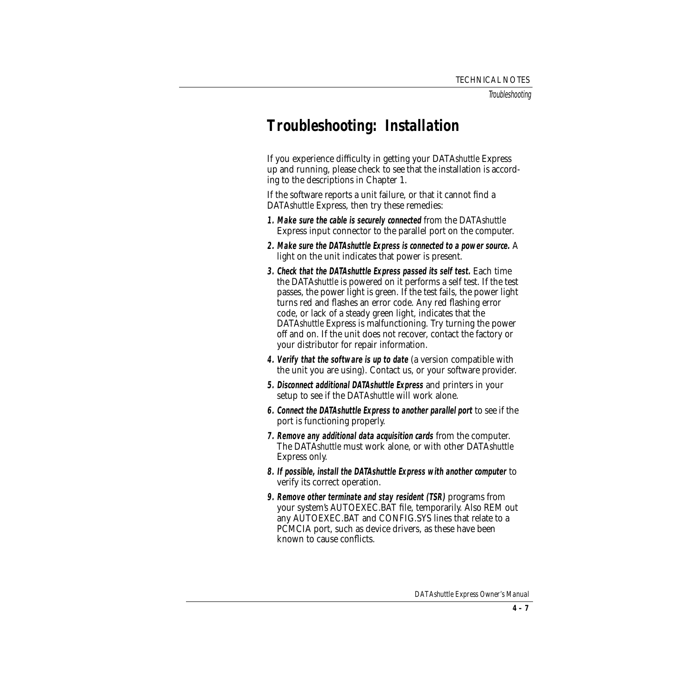### *Troubleshooting: Installation*

If you experience difficulty in getting your DATA*shuttle* Express up and running, please check to see that the installation is according to the descriptions in Chapter 1.

If the software reports a unit failure, or that it cannot find a DATA*shuttle* Express, then try these remedies:

- **1. Make sure the cable is securely connected** from the DATA*shuttle* Express input connector to the parallel port on the computer.
- **2. Make sure the DATAshuttle Express is connected to a power source.** A light on the unit indicates that power is present.
- **3. Check that the DATAshuttle Express passed its self test.** Each time the DATA*shuttle* is powered on it performs a self test. If the test passes, the power light is green. If the test fails, the power light turns red and flashes an error code. Any red flashing error code, or lack of a steady green light, indicates that the DATA*shuttle* Express is malfunctioning. Try turning the power off and on. If the unit does not recover, contact the factory or your distributor for repair information.
- **4. Verify that the software is up to date** (a version compatible with the unit you are using). Contact us, or your software provider.
- **5. Disconnect additional DATAshuttle Express** and printers in your setup to see if the DATA*shuttle* will work alone.
- **6. Connect the DATAshuttle Express to another parallel port** to see if the port is functioning properly.
- **7. Remove any additional data acquisition cards** from the computer. The DATA*shuttle* must work alone, or with other DATA*shuttle*  Express only.
- **8. If possible, install the DATAshuttle Express with another computer** to verify its correct operation.
- **9. Remove other terminate and stay resident (TSR)** programs from your system's AUTOEXEC.BAT file, temporarily. Also REM out any AUTOEXEC.BAT and CONFIG.SYS lines that relate to a PCMCIA port, such as device drivers, as these have been known to cause conflicts.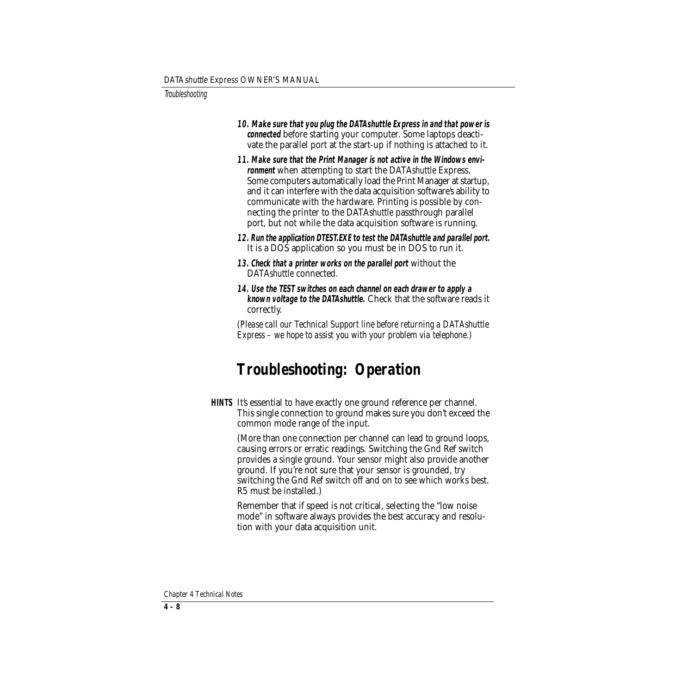- **10. Make sure that you plug the DATAshuttle Express in and that power is connected** before starting your computer. Some laptops deactivate the parallel port at the start-up if nothing is attached to it.
- **11. Make sure that the Print Manager is not active in the Windows environment** when attempting to start the DATA*shuttle* Express. Some computers automatically load the Print Manager at startup, and it can interfere with the data acquisition software's ability to communicate with the hardware. Printing is possible by connecting the printer to the DATA*shuttle* passthrough parallel port, but not while the data acquisition software is running.
- **12. Run the application DTEST.EXE to test the DATAshuttle and parallel port.**  It is a DOS application so you must be in DOS to run it.
- **13. Check that a printer works on the parallel port** without the DATA*shuttle* connected.
- **14. Use the TEST switches on each channel on each drawer to apply a known voltage to the DATAshuttle.** Check that the software reads it correctly.

*(Please call our Technical Support line before returning a DATAshuttle Express – we hope to assist you with your problem via telephone.)*

## *Troubleshooting: Operation*

**HINTS** It's essential to have exactly one ground reference per channel. This single connection to ground makes sure you don't exceed the common mode range of the input.

(More than one connection per channel can lead to ground loops, causing errors or erratic readings. Switching the Gnd Ref switch provides a single ground. Your sensor might also provide another ground. If you're not sure that your sensor is grounded, try switching the Gnd Ref switch off and on to see which works best. R5 must be installed.)

Remember that if speed is not critical, selecting the "low noise mode" in software always provides the best accuracy and resolution with your data acquisition unit.

*Chapter 4 Technical Notes*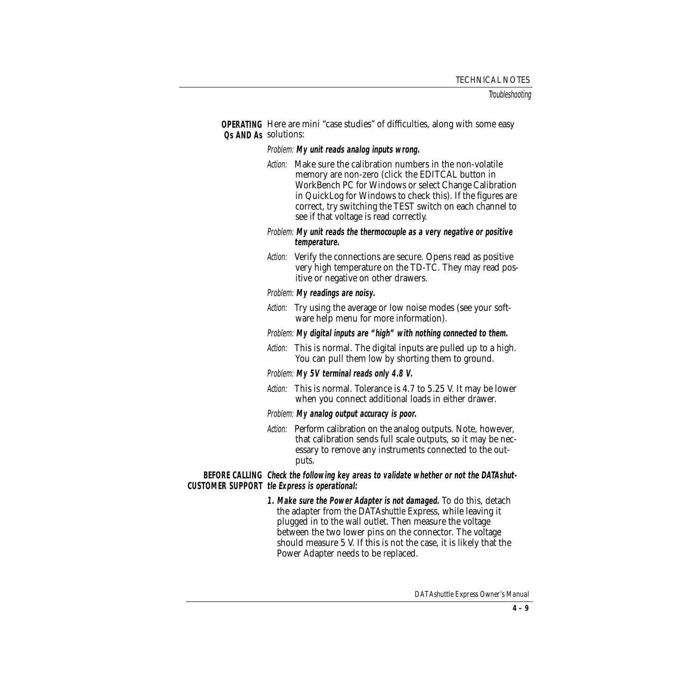Troubleshooting

**OPERATING** Here are mini "case studies" of difficulties, along with some easy **Qs AND As** solutions:

#### Problem: **My unit reads analog inputs wrong.**

Action: Make sure the calibration numbers in the non-volatile memory are non-zero (click the EDITCAL button in WorkBench PC for Windows or select Change Calibration in QuickLog for Windows to check this). If the figures are correct, try switching the TEST switch on each channel to see if that voltage is read correctly.

#### Problem: **My unit reads the thermocouple as a very negative or positive temperature.**

Action: Verify the connections are secure. Opens read as positive very high temperature on the TD-TC. They may read positive or negative on other drawers.

#### Problem: **My readings are noisy.**

Action: Try using the average or low noise modes (see your software help menu for more information).

#### Problem: **My digital inputs are "high" with nothing connected to them.**

Action: This is normal. The digital inputs are pulled up to a high. You can pull them low by shorting them to ground.

#### Problem: **My 5V terminal reads only 4.8 V.**

Action: This is normal. Tolerance is 4.7 to 5.25 V. It may be lower when you connect additional loads in either drawer.

#### Problem: **My analog output accuracy is poor.**

Action: Perform calibration on the analog outputs. Note, however, that calibration sends full scale outputs, so it may be necessary to remove any instruments connected to the outputs.

#### **Check the following key areas to validate whether or not the DATAshut-BEFORE CALLING tle Express is operational: CUSTOMER SUPPORT**

**1. Make sure the Power Adapter is not damaged.** To do this, detach the adapter from the DATA*shuttle* Express, while leaving it plugged in to the wall outlet. Then measure the voltage between the two lower pins on the connector. The voltage should measure 5 V. If this is not the case, it is likely that the Power Adapter needs to be replaced.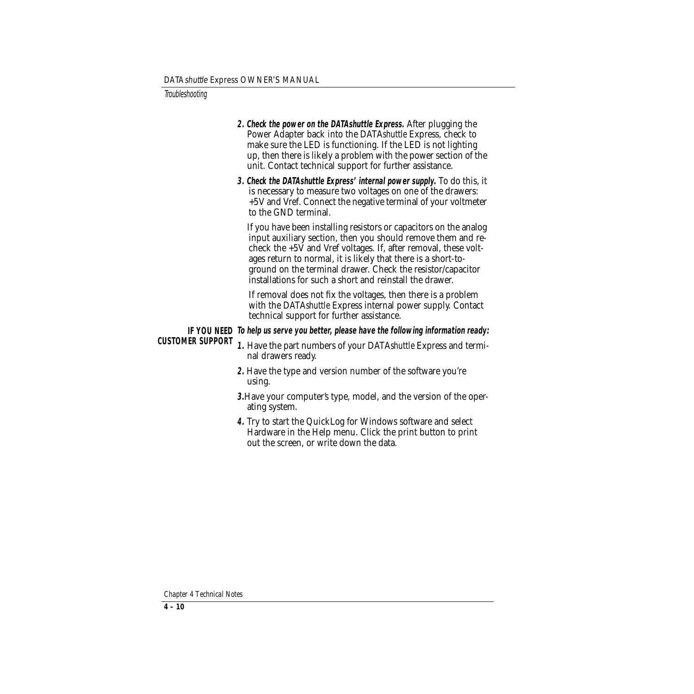| 2. Check the power on the DATA shuttle Express. After plugging the |  |
|--------------------------------------------------------------------|--|
| Power Adapter back into the DATA shuttle Express, check to         |  |
| make sure the LED is functioning. If the LED is not lighting       |  |
| up, then there is likely a problem with the power section of the   |  |
| unit. Contact technical support for further assistance.            |  |

**3. Check the DATAshuttle Express' internal power supply.** To do this, it is necessary to measure two voltages on one of the drawers: +5V and Vref. Connect the negative terminal of your voltmeter to the GND terminal.

If you have been installing resistors or capacitors on the analog input auxiliary section, then you should remove them and recheck the +5V and Vref voltages. If, after removal, these voltages return to normal, it is likely that there is a short-toground on the terminal drawer. Check the resistor/capacitor installations for such a short and reinstall the drawer.

If removal does not fix the voltages, then there is a problem with the DATA*shuttle* Express internal power supply. Contact technical support for further assistance.

**To help us serve you better, please have the following information ready: IF YOU NEED CUSTOMER SUPPORT**

- **1.** Have the part numbers of your DATA*shuttle* Express and terminal drawers ready.
- **2.** Have the type and version number of the software you're using.
- **3.**Have your computer's type, model, and the version of the operating system.
- **4.** Try to start the QuickLog for Windows software and select Hardware in the Help menu. Click the print button to print out the screen, or write down the data.

*Chapter 4 Technical Notes*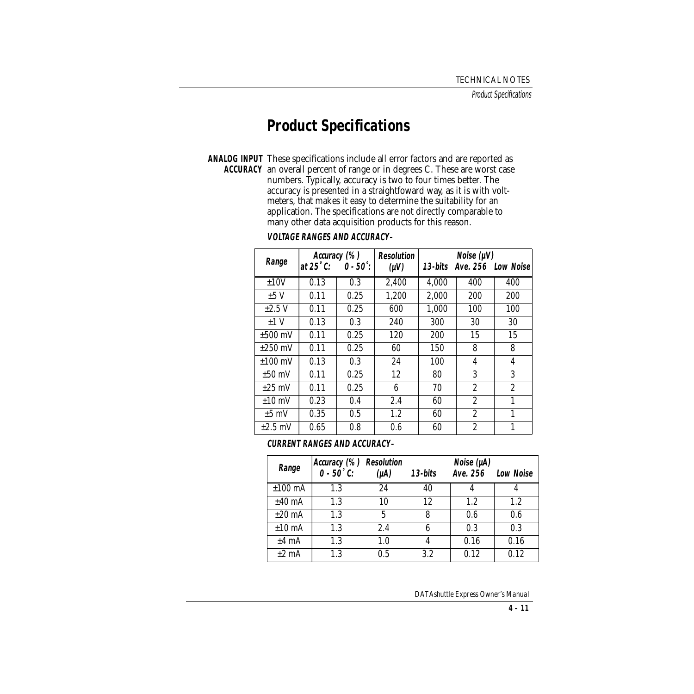**ANALOG INPUT** These specifications include all error factors and are reported as **ACCURACY** an overall percent of range or in degrees C. These are worst case numbers. Typically, accuracy is two to four times better. The accuracy is presented in a straightfoward way, as it is with voltmeters, that makes it easy to determine the suitability for an application. The specifications are not directly comparable to many other data acquisition products for this reason.

|              | Accuracy (%)      |            | <b>Resolution</b> |       | Noise (µV)     |                            |  |
|--------------|-------------------|------------|-------------------|-------|----------------|----------------------------|--|
| Range        | at $25^\circ C$ : | $0 - 50$ : | $(\mu V)$         |       |                | 13-bits Ave. 256 Low Noise |  |
| ±10V         | 0.13              | 0.3        | 2,400             | 4,000 | 400            | 400                        |  |
| $\pm 5$ V    | 0.11              | 0.25       | 1,200             | 2,000 | 200            | 200                        |  |
| $\pm 2.5$ V  | 0.11              | 0.25       | 600               | 1,000 | 100            | 100                        |  |
| $\pm$ 1 V    | 0.13              | 0.3        | 240               | 300   | 30             | 30                         |  |
| $\pm 500$ mV | 0.11              | 0.25       | 120               | 200   | 15             | 15                         |  |
| $\pm 250$ mV | 0.11              | 0.25       | 60                | 150   | 8              | 8                          |  |
| $\pm 100$ mV | 0.13              | 0.3        | 24                | 100   | 4              | $\overline{4}$             |  |
| $\pm 50$ mV  | 0.11              | 0.25       | 12                | 80    | 3              | 3                          |  |
| $+25$ mV     | 0.11              | 0.25       | 6                 | 70    | 2              | $\mathfrak{2}$             |  |
| $\pm 10$ mV  | 0.23              | 0.4        | 2.4               | 60    | $\overline{2}$ | 1                          |  |
| $\pm 5$ mV   | 0.35              | 0.5        | 1.2               | 60    | 2              | 1                          |  |
| $\pm 2.5$ mV | 0.65              | 0.8        | 0.6               | 60    | 2              | 1                          |  |

#### **VOLTAGE RANGES AND ACCURACY–**

#### **CURRENT RANGES AND ACCURACY–**

| Range        | Accuracy $(\%)$    | <b>Resolution</b> |         | Noise (µA) |                  |
|--------------|--------------------|-------------------|---------|------------|------------------|
|              | $0 - 50^\circ C$ : | (µA)              | 13-bits | Ave. 256   | <b>Low Noise</b> |
| $\pm 100$ mA | 1.3                | 24                | 40      |            |                  |
| $±40$ mA     | 1.3                | 10                | 12      | 1.2.       | 1.2              |
| $\pm 20$ mA  | 1.3                | 5                 | 8       | 0.6        | 0.6              |
| $\pm 10$ mA  | 1.3                | 2.4               | 6       | 0.3        | 0.3              |
| $\pm 4$ mA   | 1.3                | 1.0               | 4       | 0.16       | 0.16             |
| $\pm 2$ mA   | 1.3                | 0.5               | 3.2     | 0.12       | 0.12             |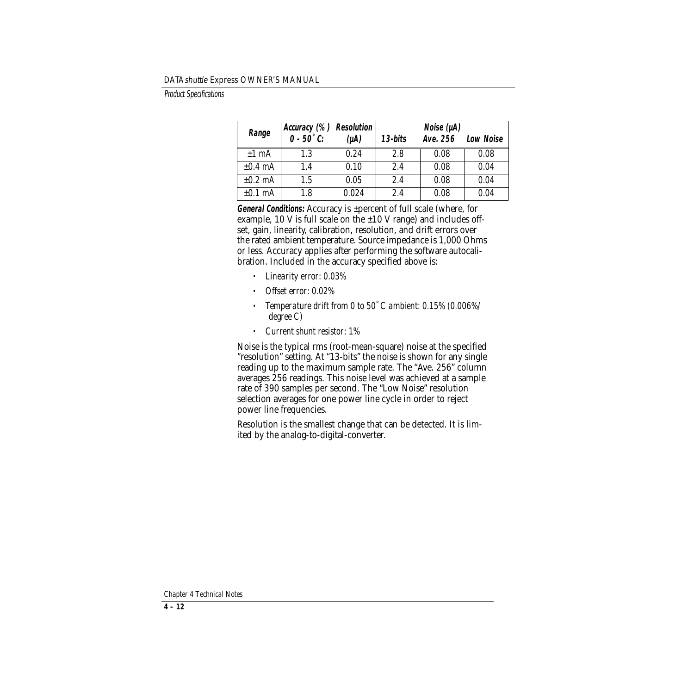| Range        | $ $ Accuracy (%) Resolution<br>$0 - 50^{\circ} C:$ | $(\mu A)$ | 13-bits | Noise (µA)<br>Ave. 256 | <b>Low Noise</b> |
|--------------|----------------------------------------------------|-----------|---------|------------------------|------------------|
| $±1$ mA      | 1.3                                                | 0.24      | 2.8     | 0.08                   | 0.08             |
| $\pm 0.4$ mA | 1.4                                                | 0.10      | 2.4     | 0.08                   | 0.04             |
| $\pm 0.2$ mA | 1.5                                                | 0.05      | 2.4     | 0.08                   | 0.04             |
| $\pm 0.1$ mA | 1.8                                                | 0.024     | 2.4     | 0.08                   | 0.04             |

**General Conditions:** Accuracy is *±*percent of full scale (where, for example, 10 V is full scale on the *±*10 V range) and includes offset, gain, linearity, calibration, resolution, and drift errors over the rated ambient temperature. Source impedance is 1,000 Ohms or less. Accuracy applies after performing the software autocalibration. Included in the accuracy specified above is:

- *· Linearity error: 0.03%*
- *· Offset error: 0.02%*
- *· Temperature drift from 0 to 50˚ C ambient: 0.15% (0.006%/ degree C)*
- *· Current shunt resistor: 1%*

Noise is the typical rms (root-mean-square) noise at the specified "resolution" setting. At "13-bits" the noise is shown for any single reading up to the maximum sample rate. The "Ave. 256" column averages 256 readings. This noise level was achieved at a sample rate of 390 samples per second. The "Low Noise" resolution selection averages for one power line cycle in order to reject power line frequencies.

Resolution is the smallest change that can be detected. It is limited by the analog-to-digital-converter.

*Chapter 4 Technical Notes*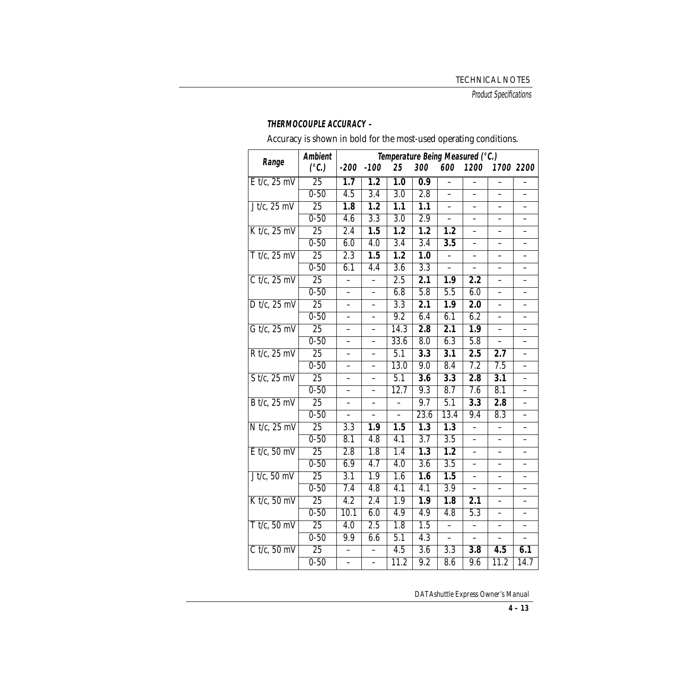### **THERMOCOUPLE ACCURACY –**

| Range                                   | <b>Ambient</b>   | Temperature Being Measured (°C.) |                          |                          |                             |                  |                          |                          |                          |
|-----------------------------------------|------------------|----------------------------------|--------------------------|--------------------------|-----------------------------|------------------|--------------------------|--------------------------|--------------------------|
|                                         | $({}^{\circ}C.)$ | $-200$                           | $-100$                   | 25                       | 300                         | 600              | 1200                     |                          | 1700 2200                |
| $E t/c$ , 25 mV                         | $\overline{25}$  | $\overline{1.7}$                 | $\overline{1.2}$         | $\overline{1.0}$         | $\overline{\overline{0.9}}$ |                  |                          |                          |                          |
|                                         | $0 - 50$         | 4.5                              | $\overline{3.4}$         | $\overline{3.0}$         | $\overline{2.8}$            |                  |                          |                          |                          |
| $Jt/c$ , $25mV$                         | $\overline{25}$  | 1.8                              | $\overline{1.2}$         | 1.1                      | $\overline{1.1}$            | —                | —                        | —                        |                          |
|                                         | $0 - 50$         | 4.6                              | 3.3                      | 3.0                      | 2.9                         |                  |                          |                          |                          |
| $K t/c$ , 25 mV                         | $\overline{25}$  | $\overline{2.4}$                 | $\overline{1.5}$         | $\overline{1.2}$         | $\overline{1.2}$            | 1.2              | $\overline{\phantom{0}}$ | $\overline{\phantom{0}}$ |                          |
|                                         | $0 - 50$         | 6.0                              | $\overline{4.0}$         | $\overline{3.4}$         | $\overline{3.4}$            | $\overline{3.5}$ |                          |                          |                          |
| $T$ t/c, 25 m $V$                       | $\overline{25}$  | 2.3                              | 1.5                      | $1.\overline{2}$         | 1.0                         |                  |                          |                          |                          |
|                                         | $0 - 50$         | 6.1                              | 4.4                      | $\overline{3.6}$         | $\overline{3.3}$            |                  | $\overline{\phantom{0}}$ |                          |                          |
| $C$ t/c, $25$ mV                        | $\overline{25}$  |                                  |                          | 2.5                      | 2.1                         | 1.9              | 2.2                      |                          |                          |
|                                         | $0 - 50$         | —                                | $\equiv$                 | 6.8                      | $\overline{5.8}$            | 5.5              | 6.0                      | $\overline{\phantom{0}}$ |                          |
| $D$ t/c, $25$ mV                        | $\overline{25}$  |                                  |                          | $\overline{3.3}$         | $\overline{2.1}$            | $\overline{1.9}$ | $\overline{2.0}$         |                          |                          |
|                                         | $0 - 50$         |                                  |                          | $\overline{9.2}$         | 6.4                         | 6.1              | $\overline{6.2}$         |                          |                          |
| $Gt/c$ , 25 mV                          | $\overline{25}$  |                                  | —                        | $14.\overline{3}$        | $\overline{2.8}$            | $\overline{2.1}$ | 1.9                      |                          | —                        |
|                                         | $0 - 50$         | —                                | $\overline{\phantom{0}}$ | 33.6                     | $\overline{8.0}$            | 6.3              | 5.8                      | $\qquad \qquad -$        | $\overline{\phantom{0}}$ |
| $R t/c$ , 25 mV                         | $\overline{25}$  | $\overline{\phantom{0}}$         | $\overline{\phantom{0}}$ | $\overline{5.1}$         | $\overline{3.3}$            | 3.1              | 2.5                      | 2.7                      | $\overline{\phantom{0}}$ |
|                                         | $0 - 50$         |                                  |                          | $\overline{13.0}$        | $\overline{9.0}$            | $\overline{8.4}$ | $\overline{7.2}$         | $\overline{7.5}$         |                          |
| $\overline{S}$ t/c, 25 mV               | $\overline{25}$  |                                  |                          | $\overline{5.1}$         | $\overline{\bf 3.6}$        | $\overline{3.3}$ | $\overline{2.8}$         | $\overline{3.1}$         |                          |
|                                         | $0 - 50$         |                                  |                          | 12.7                     | $\overline{9.3}$            | 8.7              | $\overline{7.6}$         | $\overline{8.1}$         |                          |
| $B$ t/c, $25$ mV                        | 25               | $\overline{\phantom{0}}$         | $\overline{\phantom{0}}$ | $\overline{\phantom{0}}$ | 9.7                         | 5.1              | 3.3                      | 2.8                      |                          |
|                                         | $0 - 50$         |                                  |                          |                          | 23.6                        | 13.4             | 9.4                      | $\overline{8.3}$         |                          |
| $\overline{N}t/c$ , 25 m $\overline{V}$ | $\overline{25}$  | 3.3                              | 1.9                      | 1.5                      | 1.3                         | 1.3              |                          |                          |                          |
|                                         | $0 - 50$         | 8.1                              | 4.8                      | 4.1                      | 3.7                         | 3.5              |                          |                          |                          |
| $E t/c$ , 50 mV                         | $\overline{25}$  | $\overline{2.8}$                 | $\overline{1.8}$         | 1.4                      | $\overline{1.3}$            | 1.2              |                          |                          |                          |
|                                         | $0 - 50$         | 6.9                              | 4.7                      | 4.0                      | 3.6                         | 3.5              |                          | $\overline{\phantom{0}}$ | $\overline{\phantom{0}}$ |
| $Jt/c$ , 50 mV                          | $\overline{25}$  | 3.1                              | 1.9                      | 1.6                      | 1.6                         | 1.5              | —                        | $\overline{\phantom{0}}$ | —                        |
|                                         | $0 - 50$         | 7.4                              | 4.8                      | 4.1                      | 4.1                         | 3.9              |                          |                          |                          |
| $K t/c$ , 50 mV                         | $\overline{25}$  | $\overline{4.2}$                 | $\overline{2.4}$         | $\overline{1.9}$         | $\overline{1.9}$            | 1.8              | $\overline{2.1}$         | $\overline{\phantom{0}}$ | $\overline{\phantom{0}}$ |
|                                         | $0 - 50$         | $\overline{10.1}$                | $\overline{6.0}$         | $\overline{4.9}$         | $\overline{4.9}$            | 4.8              | $\overline{5.3}$         |                          |                          |
| $T t/c$ , 50 mV                         | $\overline{25}$  | 4.0                              | $\overline{2.5}$         | 1.8                      | $\overline{1.5}$            |                  |                          |                          |                          |
|                                         | $0 - 50$         | 9.9                              | 6.6                      | $\overline{5}.1$         | $\overline{4.3}$            |                  |                          |                          |                          |
| $C$ t/c, 50 mV                          | 25               |                                  |                          | 4.5                      | $\overline{3.6}$            | 3.3              | 3.8                      | 4.5                      | 6.1                      |
|                                         | $0 - 50$         | $\equiv$                         | $\equiv$                 | $\overline{11.2}$        | $\overline{9.2}$            | $\overline{8.6}$ | 9.6                      | $\overline{11.2}$        | 14.7                     |

Accuracy is shown in bold for the most-used operating conditions.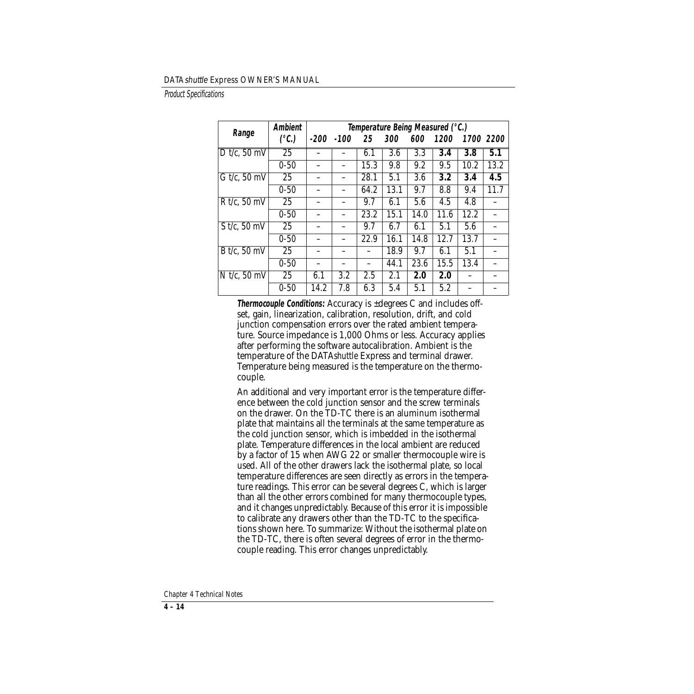|                 | <b>Ambient</b>  | Temperature Being Measured (°C.) |      |      |                  |                  |                  |                  |           |
|-----------------|-----------------|----------------------------------|------|------|------------------|------------------|------------------|------------------|-----------|
| Range           | $(^\circ C.)$   | -200                             | -100 | 25   | 300              | 600              | 1200             |                  | 1700 2200 |
| $D t/c$ , 50 mV | $\overline{25}$ |                                  |      | 6.1  | $\overline{3.6}$ | $\overline{3.3}$ | $\overline{3.4}$ | $\overline{3.8}$ | 5.1       |
|                 | $0 - 50$        |                                  |      | 15.3 | 9.8              | 9.2              | 9.5              | 10.2             | 13.2      |
| $G$ t/c, 50 mV  | 25              |                                  |      | 28.1 | 5.1              | 3.6              | 3.2              | 3.4              | 4.5       |
|                 | $0 - 50$        |                                  |      | 64.2 | 13.1             | 9.7              | 8.8              | 9.4              | 11.7      |
| $R t/c$ , 50 mV | 25              |                                  |      | 9.7  | 6.1              | 5.6              | 4.5              | 4.8              |           |
|                 | $0 - 50$        |                                  |      | 23.2 | 15.1             | 14.0             | 11.6             | 12.2             |           |
| $S t/c$ , 50 mV | 25              |                                  |      | 9.7  | 6.7              | 6.1              | 5.1              | 5.6              |           |
|                 | $0 - 50$        |                                  |      | 22.9 | 16.1             | 14.8             | 12.7             | 13.7             |           |
| $B t/c$ , 50 mV | 25              |                                  |      |      | 18.9             | 9.7              | 6.1              | 5.1              |           |
|                 | $0 - 50$        |                                  |      |      | 44.1             | 23.6             | 15.5             | 13.4             |           |
| $N t/c$ , 50 mV | 25              | 6.1                              | 3.2  | 2.5  | 2.1              | 2.0              | 2.0              |                  |           |
|                 | $0 - 50$        | 14.2                             | 7.8  | 6.3  | 5.4              | 5.1              | 5.2              |                  |           |

**Thermocouple Conditions:** Accuracy is *±*degrees C and includes offset, gain, linearization, calibration, resolution, drift, and cold junction compensation errors over the rated ambient temperature. Source impedance is 1,000 Ohms or less. Accuracy applies after performing the software autocalibration. Ambient is the temperature of the DATA*shuttle* Express and terminal drawer. Temperature being measured is the temperature on the thermocouple.

An additional and very important error is the temperature difference between the cold junction sensor and the screw terminals on the drawer. On the TD-TC there is an aluminum isothermal plate that maintains all the terminals at the same temperature as the cold junction sensor, which is imbedded in the isothermal plate. Temperature differences in the local ambient are reduced by a factor of 15 when AWG 22 or smaller thermocouple wire is used. All of the other drawers lack the isothermal plate, so local temperature differences are seen directly as errors in the temperature readings. This error can be several degrees C, which is larger than all the other errors combined for many thermocouple types, and it changes unpredictably. Because of this error it is impossible to calibrate any drawers other than the TD-TC to the specifications shown here. To summarize: Without the isothermal plate on the TD-TC, there is often several degrees of error in the thermocouple reading. This error changes unpredictably.

*Chapter 4 Technical Notes*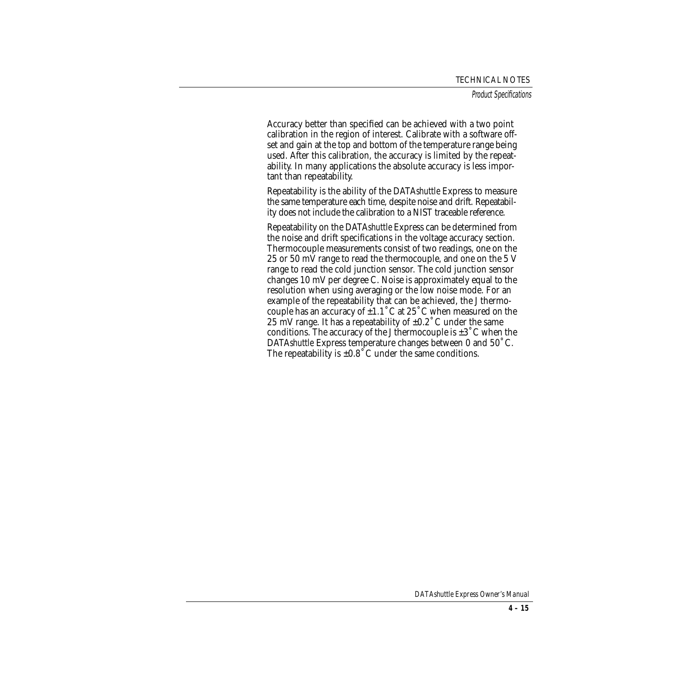Accuracy better than specified can be achieved with a two point calibration in the region of interest. Calibrate with a software offset and gain at the top and bottom of the temperature range being used. After this calibration, the accuracy is limited by the repeatability. In many applications the absolute accuracy is less important than repeatability.

Repeatability is the ability of the DATA*shuttle* Express to measure the same temperature each time, despite noise and drift. Repeatability does not include the calibration to a NIST traceable reference.

Repeatability on the DATA*shuttle* Express can be determined from the noise and drift specifications in the voltage accuracy section. Thermocouple measurements consist of two readings, one on the 25 or 50 mV range to read the thermocouple, and one on the 5 V range to read the cold junction sensor. The cold junction sensor changes 10 mV per degree C. Noise is approximately equal to the resolution when using averaging or the low noise mode. For an example of the repeatability that can be achieved, the J thermocouple has an accuracy of  $\pm 1.1^{\circ}$  C at 25° C when measured on the 25 mV range. It has a repeatability of  $\pm 0.2$ ° C under the same conditions. The accuracy of the J thermocouple is  $\pm 3^{\circ}$  C when the DATA*shuttle* Express temperature changes between 0 and 50˚ C. The repeatability is  $\pm 0.8^{\circ}$  C under the same conditions.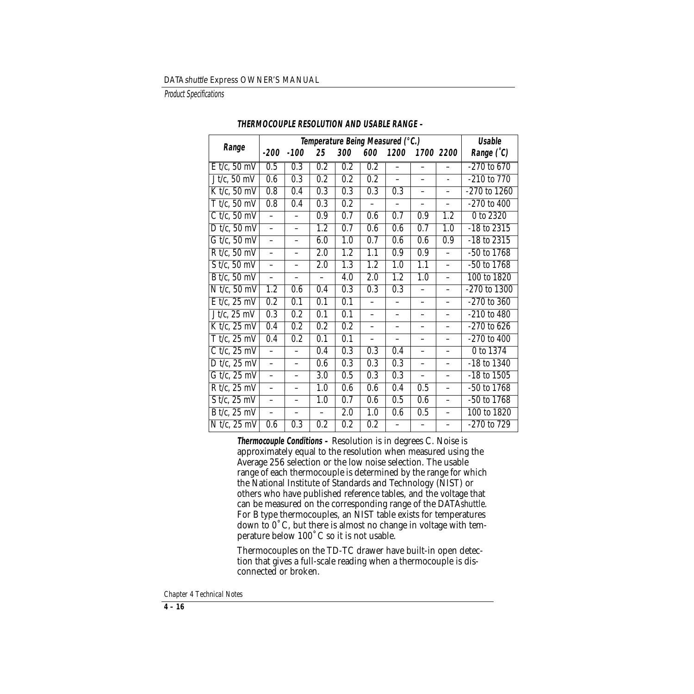|                   |                          |                          |                          |                  |                          | Temperature Being Measured (°C.) |                          |                          | <b>Usable</b>          |
|-------------------|--------------------------|--------------------------|--------------------------|------------------|--------------------------|----------------------------------|--------------------------|--------------------------|------------------------|
| Range             | $-200$                   | $-100$                   | 25                       | 300              | 600                      | 1200                             |                          | 1700 2200                | Range (°C)             |
| $E t/c$ , 50 mV   | 0.5                      | $\overline{0.3}$         | $\overline{0.2}$         | $\overline{0.2}$ | $\overline{0.2}$         | $\qquad \qquad -$                |                          |                          | $-270$ to 670          |
| $J t/c$ , 50 mV   | 0.6                      | $\overline{0.3}$         | $\overline{0.2}$         | $\overline{0.2}$ | $\overline{0.2}$         | $\qquad \qquad -$                | $\overline{\phantom{0}}$ |                          | $-210$ to $770$        |
| $K t/c$ , 50 mV   | 0.8                      | 0.4                      | 0.3                      | 0.3              | 0.3                      | 0.3                              | $\overline{\phantom{0}}$ | $\overline{\phantom{0}}$ | -270 to 1260           |
| $T$ t/c, 50 mV    | 0.8                      | 0.4                      | $\overline{0.3}$         | $\overline{0.2}$ | $\overline{\phantom{0}}$ | $\qquad \qquad -$                | $\qquad \qquad -$        | $\overline{\phantom{0}}$ | $-270$ to $400$        |
| $C$ t/c, 50 mV    |                          |                          | 0.9                      | 0.7              | 0.6                      | 0.7                              | 0.9                      | 1.2                      | 0 to 2320              |
| $D$ t/c, 50 mV    | $\equiv$                 | $\overline{\phantom{0}}$ | 1.2                      | 0.7              | 0.6                      | 0.6                              | 0.7                      | 1.0                      | $-18$ to $2315$        |
| $G$ t/c, 50 mV    | $\equiv$                 | $\overline{\phantom{0}}$ | 6.0                      | 1.0              | 0.7                      | 0.6                              | 0.6                      | 0.9                      | $-18$ to $2315$        |
| $R$ t/c, 50 mV    | $\equiv$                 | $\qquad \qquad -$        | 2.0                      | 1.2              | 1.1                      | 0.9                              | 0.9                      | $\equiv$                 | -50 to 1768            |
| $S$ t/c, 50 mV    | $\qquad \qquad -$        | $\overline{\phantom{0}}$ | $\overline{2.0}$         | $\overline{1.3}$ | $\overline{1.2}$         | $\overline{1.0}$                 | $\overline{1.1}$         | $\equiv$                 | $-50$ to $1768$        |
| $B t/c$ , 50 mV   | $\equiv$                 | $\qquad \qquad -$        | $\equiv$                 | 4.0              | 2.0                      | 1.2                              | 1.0                      | $\equiv$                 | 100 to 1820            |
| $N t/c$ , 50 mV   | 1.2                      | 0.6                      | 0.4                      | 0.3              | 0.3                      | 0.3                              |                          | $\overline{\phantom{0}}$ | -270 to 1300           |
| $E t/c$ , 25 mV   | $\overline{0.2}$         | 0.1                      | 0.1                      | 0.1              | $\qquad \qquad -$        | $\overline{\phantom{0}}$         |                          |                          | $-270$ to 360          |
| $Jt/c$ , $25mV$   | $\overline{0.3}$         | 0.2                      | 0.1                      | $\overline{0.1}$ | $\equiv$                 |                                  |                          |                          | $-210$ to $480$        |
| $K t/c$ , 25 mV   | 0.4                      | 0.2                      | 0.2                      | 0.2              | $\overline{\phantom{0}}$ |                                  |                          |                          | $-270$ to $626$        |
| $T$ t/c, $25$ mV  | $\overline{0.4}$         | $\overline{0.2}$         | $\overline{0.1}$         | $\overline{0.1}$ |                          |                                  |                          |                          | $-270$ to 400          |
| $C$ t/c, $25$ mV  |                          |                          | 0.4                      | $\overline{0.3}$ | $\overline{0.3}$         | 0.4                              |                          |                          | 0 to $13\overline{74}$ |
| $D$ t/c, $25$ mV  | $\equiv$                 | $\overline{\phantom{0}}$ | 0.6                      | $\overline{0.3}$ | $\overline{0.3}$         | $\overline{0.3}$                 | $\overline{\phantom{0}}$ |                          | $-18$ to $1340$        |
| $G$ t/c, $25$ mV  | $\qquad \qquad -$        | $\qquad \qquad -$        | $\overline{3.0}$         | $\overline{0.5}$ | $\overline{0.3}$         | $\overline{0.3}$                 |                          | $\overline{\phantom{0}}$ | $-18$ to $1505$        |
| $R$ t/c, $25$ mV  | $\equiv$                 | $\qquad \qquad -$        | 1.0                      | 0.6              | $\overline{0.6}$         | $\overline{0.4}$                 | $\overline{0.5}$         | $\overline{\phantom{0}}$ | -50 to 1768            |
| $S$ t/c, $25$ mV  | $\overline{\phantom{0}}$ | $\qquad \qquad -$        | 1.0                      | 0.7              | 0.6                      | 0.5                              | $\overline{0.6}$         | $\overline{\phantom{0}}$ | $-50$ to $1768$        |
| $B t/c$ , $25 mV$ | $\equiv$                 | $\overline{\phantom{m}}$ | $\overline{\phantom{0}}$ | $\overline{2.0}$ | $\overline{1.0}$         | $\overline{0.6}$                 | $\overline{0.5}$         | $\overline{\phantom{0}}$ | 100 to 1820            |
| $N t/c$ , $25 mV$ | 0.6                      | 0.3                      | $\overline{0.2}$         | 0.2              | $\overline{0.2}$         |                                  |                          | $\overline{\phantom{0}}$ | -270 to 729            |

**THERMOCOUPLE RESOLUTION AND USABLE RANGE –**

**Thermocouple Conditions –** Resolution is in degrees C. Noise is approximately equal to the resolution when measured using the Average 256 selection or the low noise selection. The usable range of each thermocouple is determined by the range for which the National Institute of Standards and Technology (NIST) or others who have published reference tables, and the voltage that can be measured on the corresponding range of the DATA*shuttle*. For B type thermocouples, an NIST table exists for temperatures down to 0˚ C, but there is almost no change in voltage with temperature below 100˚ C so it is not usable.

Thermocouples on the TD-TC drawer have built-in open detection that gives a full-scale reading when a thermocouple is disconnected or broken.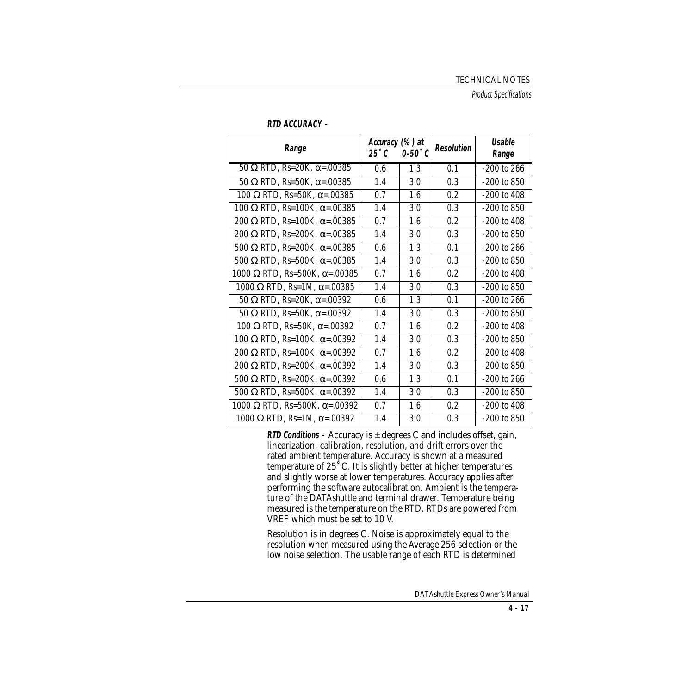### TECHNICAL NOTES

Product Specifications

|  |  | RTD ACCURACY - |  |
|--|--|----------------|--|
|--|--|----------------|--|

| Range                                        | Accuracy (%) at<br>$25^\circ C$ | $0-50^\circ C$ | <b>Resolution</b> | <b>Usable</b><br>Range |
|----------------------------------------------|---------------------------------|----------------|-------------------|------------------------|
| 50 $\Omega$ RTD, Rs=20K, $\alpha$ =.00385    | 0.6                             | 1.3            | 0.1               | $-200$ to $266$        |
| 50 $\Omega$ RTD, Rs=50K, $\alpha$ =.00385    | 1.4                             | 3.0            | 0.3               | $-200$ to $850$        |
| $100 \Omega$ RTD, Rs=50K, $\alpha$ =.00385   | 0.7                             | 1.6            | 0.2               | $-200$ to $408$        |
| 100 Ω RTD, Rs=100K, $\alpha$ =.00385         | 1.4                             | 3.0            | 0.3               | $-200$ to $850$        |
| 200 Ω RTD, Rs=100K, $\alpha$ =.00385         | 0.7                             | 1.6            | 0.2               | $-200$ to $408$        |
| 200 Ω RTD, Rs=200K, $\alpha$ =.00385         | 1.4                             | 3.0            | 0.3               | $-200$ to $850$        |
| 500 $\Omega$ RTD, Rs=200K, $\alpha$ =.00385  | 0.6                             | 1.3            | 0.1               | $-200$ to $266$        |
| 500 $\Omega$ RTD, Rs=500K, $\alpha$ =.00385  | 1.4                             | 3.0            | 0.3               | $-200$ to $850$        |
| $1000 \Omega$ RTD, Rs=500K, $\alpha$ =.00385 | 0.7                             | 1.6            | 0.2               | $-200$ to $408$        |
| 1000 Ω RTD, Rs=1M, $\alpha$ =.00385          | 1.4                             | 3.0            | 0.3               | $-200$ to $850$        |
| 50 $\Omega$ RTD, Rs=20K, $\alpha$ =.00392    | 0.6                             | 1.3            | 0.1               | $-200$ to $266$        |
| 50 $\Omega$ RTD, Rs=50K, $\alpha$ =.00392    | 1.4                             | 3.0            | 0.3               | $-200$ to $850$        |
| 100 Ω RTD, Rs=50K, $\alpha$ =.00392          | 0.7                             | 1.6            | 0.2               | $-200$ to $408$        |
| 100 Ω RTD, Rs=100K, $\alpha$ =.00392         | 1.4                             | 3.0            | 0.3               | $-200$ to $850$        |
| 200 Ω RTD, Rs=100K, $\alpha$ =.00392         | 0.7                             | 1.6            | 0.2               | $-200$ to $408$        |
| 200 Ω RTD, Rs=200K, $\alpha$ =.00392         | 1.4                             | 3.0            | 0.3               | $-200$ to $850$        |
| 500 $\Omega$ RTD, Rs=200K, $\alpha$ =.00392  | 0.6                             | 1.3            | 0.1               | $-200$ to $266$        |
| 500 $\Omega$ RTD, Rs=500K, $\alpha$ =.00392  | 1.4                             | 3.0            | 0.3               | $-200$ to $850$        |
| 1000 Ω RTD, Rs=500K, $\alpha$ =.00392        | 0.7                             | 1.6            | 0.2               | $-200$ to $408$        |
| 1000 Ω RTD, Rs=1M, $\alpha$ =.00392          | 1.4                             | 3.0            | 0.3               | $-200$ to $850$        |

**RTD Conditions –** Accuracy is  $\pm$  degrees C and includes offset, gain, linearization, calibration, resolution, and drift errors over the rated ambient temperature. Accuracy is shown at a measured temperature of 25˚ C. It is slightly better at higher temperatures and slightly worse at lower temperatures. Accuracy applies after performing the software autocalibration. Ambient is the temperature of the DATA*shuttle* and terminal drawer. Temperature being measured is the temperature on the RTD. RTDs are powered from VREF which must be set to 10 V.

Resolution is in degrees C. Noise is approximately equal to the resolution when measured using the Average 256 selection or the low noise selection. The usable range of each RTD is determined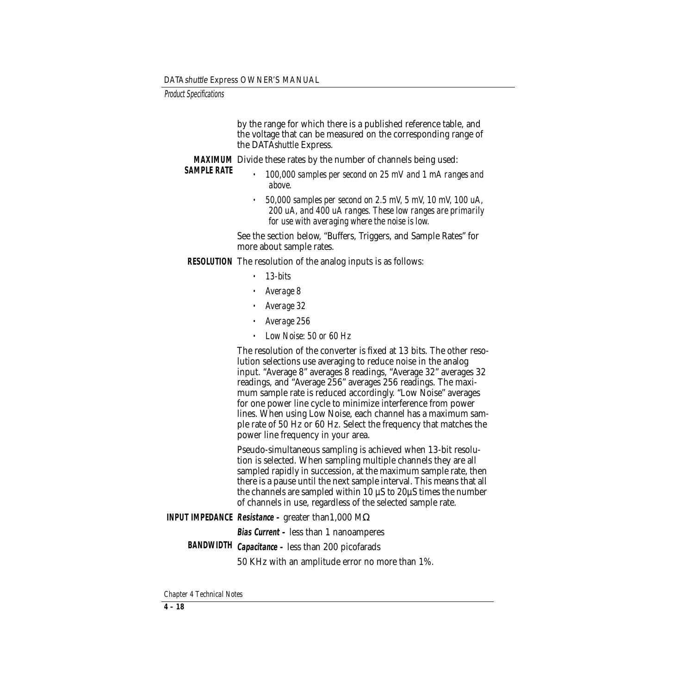by the range for which there is a published reference table, and the voltage that can be measured on the corresponding range of the DATA*shuttle* Express.

**MAXIMUM** Divide these rates by the number of channels being used:

**SAMPLE RATE**

- *· 100,000 samples per second on 25 mV and 1 mA ranges and above.*
- *· 50,000 samples per second on 2.5 mV, 5 mV, 10 mV, 100 uA, 200 uA, and 400 uA ranges. These low ranges are primarily for use with averaging where the noise is low.*

See the section below, "Buffers, Triggers, and Sample Rates" for more about sample rates.

**RESOLUTION** The resolution of the analog inputs is as follows:

- *· 13-bits*
- *· Average 8*
- *· Average 32*
- *· Average 256*
- *· Low Noise: 50 or 60 Hz*

The resolution of the converter is fixed at 13 bits. The other resolution selections use averaging to reduce noise in the analog input. "Average 8" averages 8 readings, "Average 32" averages 32 readings, and "Average 256" averages 256 readings. The maximum sample rate is reduced accordingly. "Low Noise" averages for one power line cycle to minimize interference from power lines. When using Low Noise, each channel has a maximum sample rate of 50 Hz or 60 Hz. Select the frequency that matches the power line frequency in your area.

Pseudo-simultaneous sampling is achieved when 13-bit resolution is selected. When sampling multiple channels they are all sampled rapidly in succession, at the maximum sample rate, then there is a pause until the next sample interval. This means that all the channels are sampled within 10 µS to 20µS times the number of channels in use, regardless of the selected sample rate.

**INPUT IMPEDANCE** Resistance – greater than1,000 MΩ

**Bias Current –** less than 1 nanoamperes

**BANDWIDTH** *Capacitance* **–** less than 200 picofarads

50 KHz with an amplitude error no more than 1%.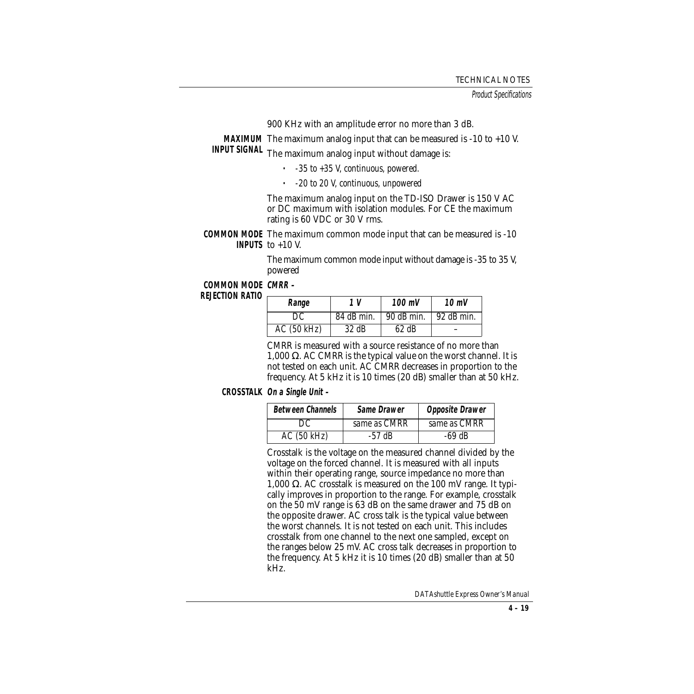900 KHz with an amplitude error no more than 3 dB.

**MAXIMUM** The maximum analog input that can be measured is -10 to +10 V. **INPUT SIGNAL** The maximum analog input without damage is:

- *· -35 to +35 V, continuous, powered.*
- *· -20 to 20 V, continuous, unpowered*

The maximum analog input on the TD-ISO Drawer is 150 V AC or DC maximum with isolation modules. For CE the maximum rating is 60 VDC or 30 V rms.

**COMMON MODE** The maximum common mode input that can be measured is -10  $\,$ **INPUTS** to  $+10$  V.

> The maximum common mode input without damage is -35 to 35 V, powered

### **CMRR – COMMON MODE**

#### **REJECTION RATIO**

| Range      | 1 V        | 100 mV       | $10 \text{ mV}$ |
|------------|------------|--------------|-----------------|
| DC         | 84 dB min. | $90$ dB min. | $92$ dB min.    |
| AC(50 kHz) | 32 dB      | 62 dB        |                 |

CMRR is measured with a source resistance of no more than 1,000 Ω. AC CMRR is the typical value on the worst channel. It is not tested on each unit. AC CMRR decreases in proportion to the frequency. At 5 kHz it is 10 times (20 dB) smaller than at 50 kHz.

#### **On a Single Unit – CROSSTALK**

| <b>Between Channels</b> | <b>Same Drawer</b> | <b>Opposite Drawer</b> |
|-------------------------|--------------------|------------------------|
| DC.                     | same as CMRR       | same as CMRR           |
| AC(50 kHz)              | $-57$ dB           | $-69$ dB               |

Crosstalk is the voltage on the measured channel divided by the voltage on the forced channel. It is measured with all inputs within their operating range, source impedance no more than 1,000 Ω. AC crosstalk is measured on the 100 mV range. It typically improves in proportion to the range. For example, crosstalk on the 50 mV range is 63 dB on the same drawer and 75 dB on the opposite drawer. AC cross talk is the typical value between the worst channels. It is not tested on each unit. This includes crosstalk from one channel to the next one sampled, except on the ranges below 25 mV. AC cross talk decreases in proportion to the frequency. At 5 kHz it is 10 times (20 dB) smaller than at 50 kHz.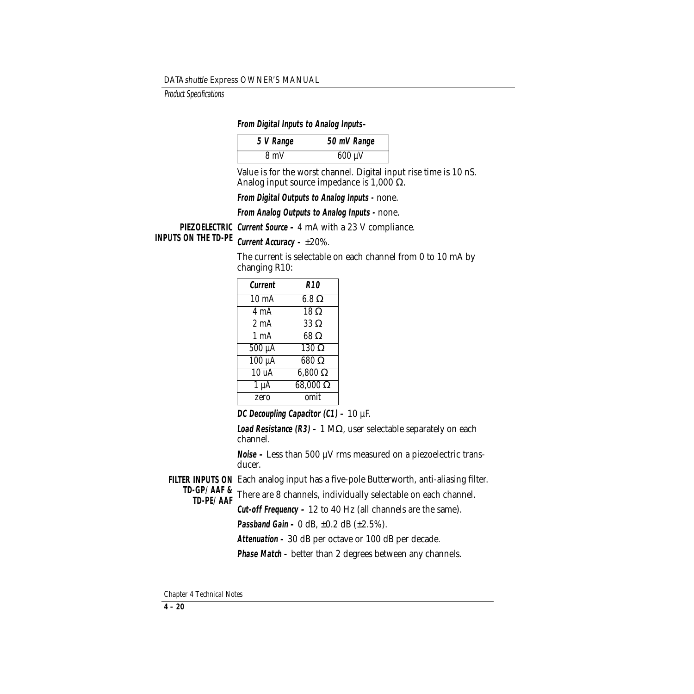#### **From Digital Inputs to Analog Inputs–**

| 5 V Range      | 50 mV Range |
|----------------|-------------|
| $8 \text{ mV}$ | $600 \mu V$ |

Value is for the worst channel. Digital input rise time is 10 nS. Analog input source impedance is  $1,000 \Omega$ .

**From Digital Outputs to Analog Inputs -** none.

#### **From Analog Outputs to Analog Inputs -** none.

**PIEZOELECTRIC Current Source –** 4 mA with a 23 V compliance.

#### **Current Accuracy –** ±20%. **INPUTS ON THE TD-PE**

The current is selectable on each channel from 0 to 10 mA by changing R10:

| <b>Current</b>     | <b>R10</b>               |
|--------------------|--------------------------|
| $\overline{10}$ mA | $\overline{6.8\,\Omega}$ |
| 4 mA               | $18 \Omega$              |
| 2 <sub>m</sub> A   | $33\,\Omega$             |
| 1 mA               | 68 Ω                     |
| $500 \mu A$        | $\overline{130\,\Omega}$ |
| $100 \mu A$        | 680Ω                     |
| $\overline{10}$ uA | $6,800\,\Omega$          |
| 1 μA               | $68,000\,\Omega$         |
| zero               | omit                     |

**DC Decoupling Capacitor (C1) –** 10 µF.

**Load Resistance (R3) –** 1 MΩ, user selectable separately on each channel.

**Noise –** Less than 500 µV rms measured on a piezoelectric transducer.

**FILTER INPUTS ON** Each analog input has a five-pole Butterworth, anti-aliasing filter.

**TD-PE/AAF**

TD-GP/AAF & There are 8 channels, individually selectable on each channel.

**Cut-off Frequency –** 12 to 40 Hz (all channels are the same).

**Passband Gain –** 0 dB,  $\pm 0.2$  dB ( $\pm 2.5\%$ ).

**Attenuation –** 30 dB per octave or 100 dB per decade.

**Phase Match –** better than 2 degrees between any channels.

*Chapter 4 Technical Notes*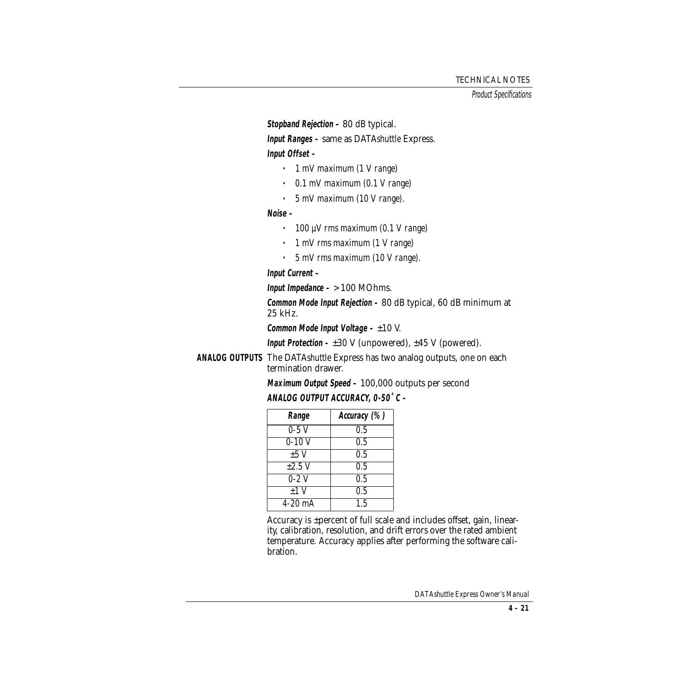**Stopband Rejection –** 80 dB typical.

**Input Ranges –** same as DATA*shuttle* Express.

**Input Offset –** 

- *· 1 mV maximum (1 V range)*
- *· 0.1 mV maximum (0.1 V range)*
- *· 5 mV maximum (10 V range).*

#### **Noise –**

- *· 100 µV rms maximum (0.1 V range)*
- *· 1 mV rms maximum (1 V range)*
- *· 5 mV rms maximum (10 V range).*

#### **Input Current –**

**Input Impedance –** > 100 MOhms.

**Common Mode Input Rejection –** 80 dB typical, 60 dB minimum at 25 kHz.

**Common Mode Input Voltage –** ±10 V.

**Input Protection**  $-\pm 30$  V (unpowered),  $\pm 45$  V (powered).

**ANALOG OUTPUTS** The DATA*shuttle* Express has two analog outputs, one on each termination drawer.

> **Maximum Output Speed –** 100,000 outputs per second **ANALOG OUTPUT ACCURACY, 0-50˚ C –**

| Range                  | Accuracy (%) |
|------------------------|--------------|
| $0-5V$                 | 0.5          |
| $0-10\,\overline{V}$   | 0.5          |
| $\pm 5$ V              | 0.5          |
| $\pm 2.5 \overline{V}$ | 0.5          |
| $0 - 2V$               | 0.5          |
| $+1$ V                 | 0.5          |
| 4-20 mA                | 15           |

Accuracy is ±percent of full scale and includes offset, gain, linearity, calibration, resolution, and drift errors over the rated ambient temperature. Accuracy applies after performing the software calibration.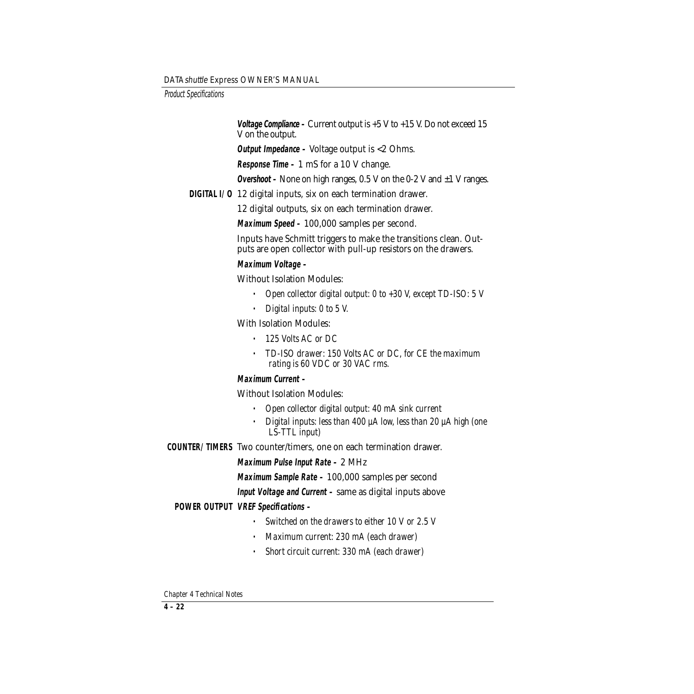**Voltage Compliance –** Current output is +5 V to +15 V. Do not exceed 15 V on the output.

*Output Impedance – Voltage output is <2 Ohms.* 

**Response Time –** 1 mS for a 10 V change.

**Overshoot** – None on high ranges, 0.5 V on the 0-2 V and  $\pm 1$  V ranges.

**DIGITAL I/O** 12 digital inputs, six on each termination drawer.

12 digital outputs, six on each termination drawer.

**Maximum Speed –** 100,000 samples per second.

Inputs have Schmitt triggers to make the transitions clean. Outputs are open collector with pull-up resistors on the drawers.

#### **Maximum Voltage –**

Without Isolation Modules:

- *· Open collector digital output: 0 to +30 V, except TD-ISO: 5 V*
- *· Digital inputs: 0 to 5 V.*

With Isolation Modules:

- *· 125 Volts AC or DC*
- *· TD-ISO drawer: 150 Volts AC or DC, for CE the maximum rating is 60 VDC or 30 VAC rms.*

#### **Maximum Current –**

Without Isolation Modules:

- *· Open collector digital output: 40 mA sink current*
- *· Digital inputs: less than 400 µA low, less than 20 µA high (one LS-TTL input)*

**COUNTER/TIMERS** Two counter/timers, one on each termination drawer.

#### **Maximum Pulse Input Rate –** 2 MHz

**Maximum Sample Rate –** 100,000 samples per second

**Input Voltage and Current –** same as digital inputs above

### **POWER OUTPUT** VREF Specifications -

- *· Switched on the drawers to either 10 V or 2.5 V*
- *· Maximum current: 230 mA (each drawer)*
- *· Short circuit current: 330 mA (each drawer)*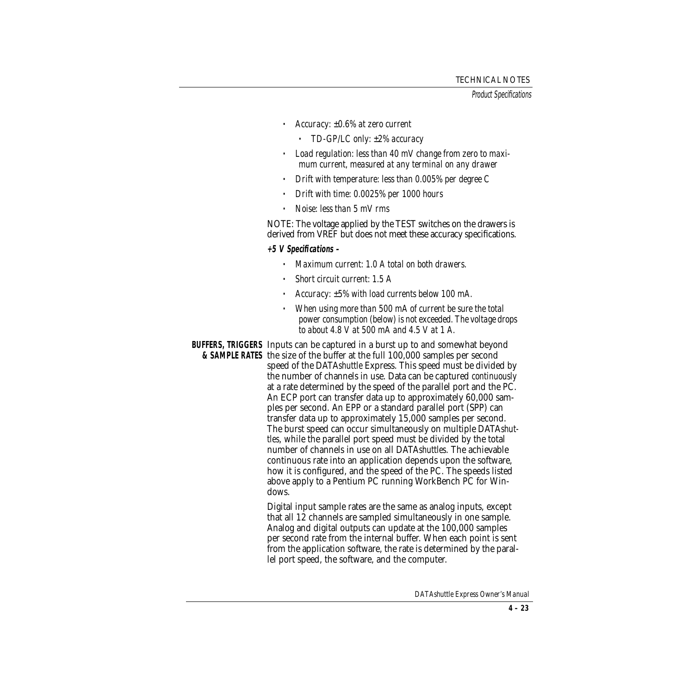Product Specifications

- *· Accuracy: ±0.6% at zero current*
	- *· TD-GP/LC only: ±2% accuracy*
- *· Load regulation: less than 40 mV change from zero to maximum current, measured at any terminal on any drawer*
- *· Drift with temperature: less than 0.005% per degree C*
- *· Drift with time: 0.0025% per 1000 hours*
- *· Noise: less than 5 mV rms*

NOTE: The voltage applied by the TEST switches on the drawers is derived from VREF but does not meet these accuracy specifications.

#### **+5 V Specifications –**

- *· Maximum current: 1.0 A total on both drawers.*
- *· Short circuit current: 1.5 A*
- *· Accuracy: ±5% with load currents below 100 mA.*
- *When using more than 500 mA of current be sure the total power consumption (below) is not exceeded. The voltage drops to about 4.8 V at 500 mA and 4.5 V at 1 A.*

**BUFFERS, TRIGGERS** Inputs can be captured in a burst up to and somewhat beyond **& SAMPLE RATES** the size of the buffer at the full 100,000 samples per second speed of the DATA*shuttle* Express. This speed must be divided by the number of channels in use. Data can be captured *continuously* at a rate determined by the speed of the parallel port and the PC. An ECP port can transfer data up to approximately 60,000 samples per second. An EPP or a standard parallel port (SPP) can transfer data up to approximately 15,000 samples per second. The burst speed can occur simultaneously on multiple DATA*shuttles*, while the parallel port speed must be divided by the total number of channels in use on all DATA*shuttles*. The achievable continuous rate into an application depends upon the software, how it is configured, and the speed of the PC. The speeds listed above apply to a Pentium PC running WorkBench PC for Windows.

> Digital input sample rates are the same as analog inputs, except that all 12 channels are sampled simultaneously in one sample. Analog and digital outputs can update at the 100,000 samples per second rate from the internal buffer. When each point is sent from the application software, the rate is determined by the parallel port speed, the software, and the computer.

> > *DATAshuttle Express Owner's Manual*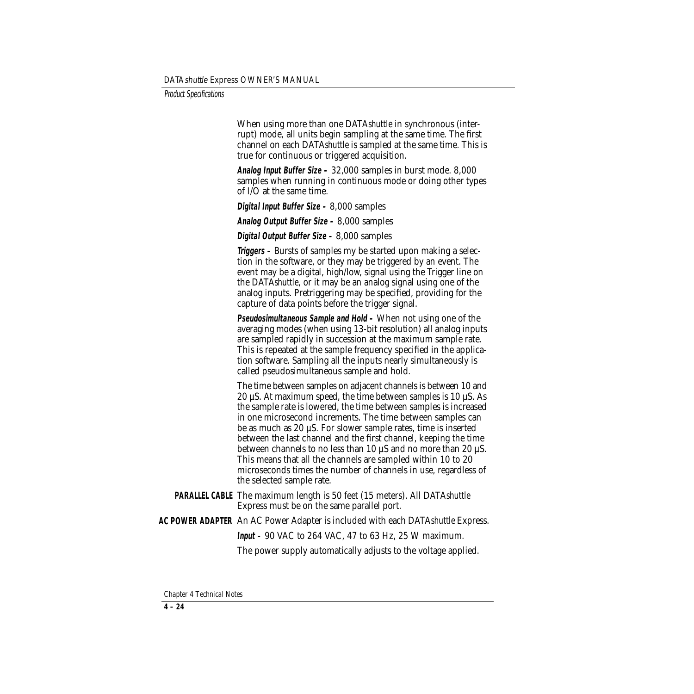Product Specifications

When using more than one DATA*shuttle* in synchronous (interrupt) mode, all units begin sampling at the same time. The first channel on each DATA*shuttle* is sampled at the same time. This is true for continuous or triggered acquisition.

**Analog Input Buffer Size –** 32,000 samples in burst mode. 8,000 samples when running in continuous mode or doing other types of I/O at the same time.

**Digital Input Buffer Size –** 8,000 samples

**Analog Output Buffer Size –** 8,000 samples

**Digital Output Buffer Size –** 8,000 samples

**Triggers –** Bursts of samples my be started upon making a selection in the software, or they may be triggered by an event. The event may be a digital, high/low, signal using the Trigger line on the DATA*shuttle*, or it may be an analog signal using one of the analog inputs. Pretriggering may be specified, providing for the capture of data points before the trigger signal.

**Pseudosimultaneous Sample and Hold –** When not using one of the averaging modes (when using 13-bit resolution) all analog inputs are sampled rapidly in succession at the maximum sample rate. This is repeated at the sample frequency specified in the application software. Sampling all the inputs nearly simultaneously is called pseudosimultaneous sample and hold.

The time between samples on adjacent channels is between 10 and 20  $\mu$ S. At maximum speed, the time between samples is 10  $\mu$ S. As the sample rate is lowered, the time between samples is increased in one microsecond increments. The time between samples can be as much as 20 µS. For slower sample rates, time is inserted between the last channel and the first channel, keeping the time between channels to no less than 10 µS and no more than 20 µS. This means that all the channels are sampled within 10 to 20 microseconds times the number of channels in use, regardless of the selected sample rate.

- The maximum length is 50 feet (15 meters). All DATA*shuttle* **PARALLEL CABLE** Express must be on the same parallel port.
- **AC POWER ADAPTER** An AC Power Adapter is included with each DATA*shuttle* Express.

**Input –** 90 VAC to 264 VAC, 47 to 63 Hz, 25 W maximum.

The power supply automatically adjusts to the voltage applied.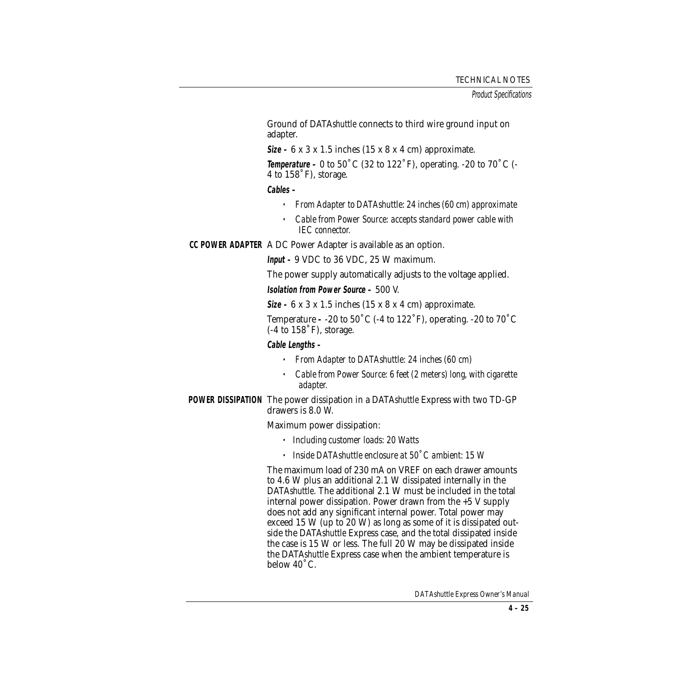Ground of DATA*shuttle* connects to third wire ground input on adapter.

**Size –**  $6 \times 3 \times 1.5$  inches  $(15 \times 8 \times 4 \text{ cm})$  approximate.

**Temperature –** 0 to 50˚ C (32 to 122˚ F), operating. -20 to 70˚ C (- 4 to 158˚ F), storage.

## **Cables –**

- *· From Adapter to DATAshuttle: 24 inches (60 cm) approximate*
- *· Cable from Power Source: accepts standard power cable with IEC connector.*

**CC POWER ADAPTER** A DC Power Adapter is available as an option.

**Input –** 9 VDC to 36 VDC, 25 W maximum.

The power supply automatically adjusts to the voltage applied.

# **Isolation from Power Source –** 500 V.

**Size –**  $6 \times 3 \times 1.5$  inches (15  $\times 8 \times 4$  cm) approximate.

Temperature **–** -20 to 50˚ C (-4 to 122˚ F), operating. -20 to 70˚ C (-4 to 158˚ F), storage.

# **Cable Lengths –**

- *· From Adapter to DATAshuttle: 24 inches (60 cm)*
- *· Cable from Power Source: 6 feet (2 meters) long, with cigarette adapter.*
- **POWER DISSIPATION** The power dissipation in a DATA*shuttle* Express with two TD-GP drawers is 8.0 W.

Maximum power dissipation:

- *· Including customer loads: 20 Watts*
- *· Inside DATAshuttle enclosure at 50˚ C ambient: 15 W*

The maximum load of 230 mA on VREF on each drawer amounts to 4.6 W plus an additional 2.1 W dissipated internally in the DATA*shuttle*. The additional 2.1 W must be included in the total internal power dissipation. Power drawn from the +5 V supply does not add any significant internal power. Total power may exceed 15 W (up to 20 W) as long as some of it is dissipated outside the DATA*shuttle* Express case, and the total dissipated inside the case is 15 W or less. The full 20 W may be dissipated inside the DATA*shuttle* Express case when the ambient temperature is below 40˚ C.

*DATAshuttle Express Owner's Manual*